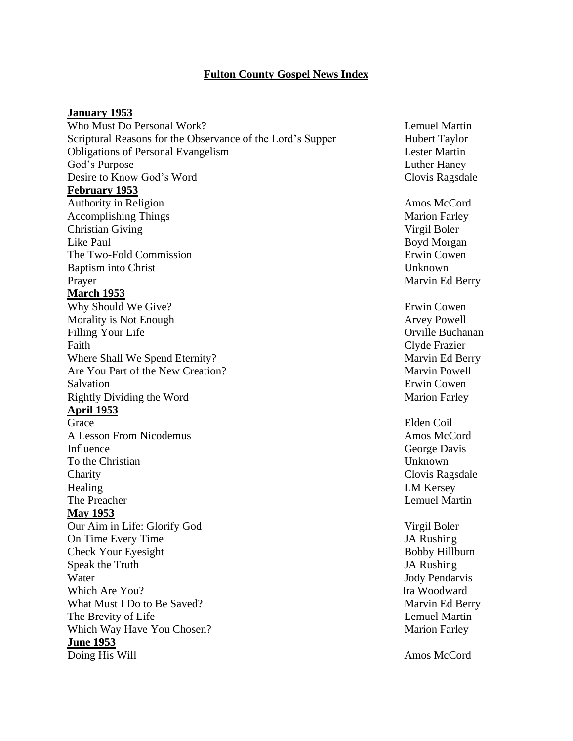# **Fulton County Gospel News Index**

#### **January 1953**

Who Must Do Personal Work? Lemuel Martin Lemuel Martin Scriptural Reasons for the Observance of the Lord's Supper Hubert Taylor Obligations of Personal Evangelism Lester Martin God's Purpose Luther Haney Desire to Know God's Word Clovis Ragsdale **February 1953** Authority in Religion **Amos McCord** Amos McCord Accomplishing Things Marion Farley Christian Giving Virgil Boler Like Paul Boyd Morgan The Two-Fold Commission **Example 2** and the Two-Fold Commission Baptism into Christ Unknown Prayer Marvin Ed Berry **March 1953** Why Should We Give? Erwin Cowen Morality is Not Enough and The State of the State Arvey Powell Filling Your Life **Orificial Contract Contract Contract Contract Contract Contract Contract Contract Contract Contract Contract Contract Contract Contract Contract Contract Contract Contract Contract Contract Contract Cont** Faith Clyde Frazier Where Shall We Spend Eternity? Marvin Ed Berry Are You Part of the New Creation? Marvin Powell Salvation **Example 2018** Erwin Cowen Rightly Dividing the Word Marion Farley **April 1953** Grace Elden Coil A Lesson From Nicodemus **Amos McCord** Amos McCord Influence George Davis To the Christian Unknown Charity Clovis Ragsdale Healing LM Kersey The Preacher **Lemuel Martin May 1953** Our Aim in Life: Glorify God Virgil Boler On Time Every Time  $\blacksquare$ Check Your Eyesight Bobby Hillburn Speak the Truth JA Rushing Water **Internal Contract Contract Contract Contract Contract Contract Contract Contract Contract Contract Contract Contract Contract Contract Contract Contract Contract Contract Contract Contract Contract Contract Contract** Which Are You? Ita Woodward What Must I Do to Be Saved? Marvin Ed Berry The Brevity of Life **Lemuel Martin** Which Way Have You Chosen? Marion Farley **June 1953** Doing His Will Amos McCord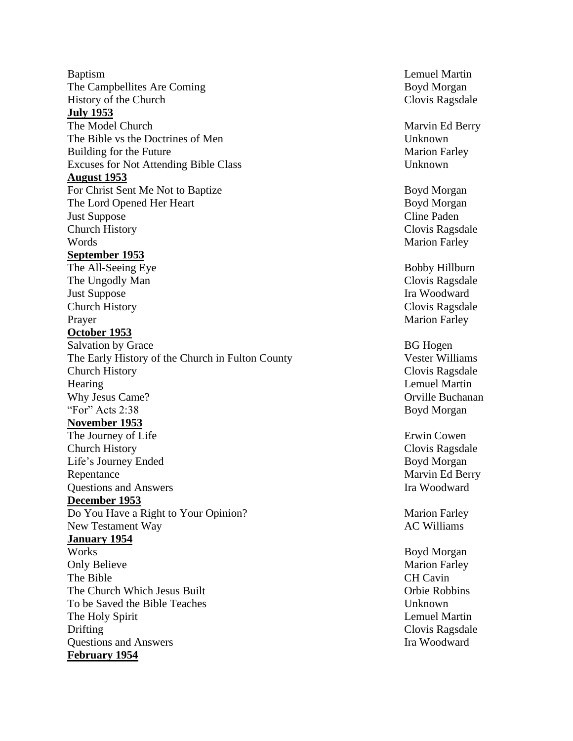Baptism Lemuel Martin The Campbellites Are History of the Church **July 1953** The Model Church The Bible vs the Doctrines of Building for the Excuses for Not Attending Bible **August 1953** For Christ Sent Me Not to The Lord Opened Her **Just Suppose** Church History Clovis Ragsdale Words **Marion Farley September 1953** The All - Seeing The Ungodly **Just Suppose** Church History Clovis Ragsdale Prayer Marion Farley **October 1953** Salvation by Grace BG Hogen The Early History of the Church in Fulton County Vester Williams Church History Clovis Ragsdale Hearing Lemuel Martin Lemuel Martin Lemuel Martin Lemuel Martin Lemuel Martin Lemuel Martin Lemuel Martin Lemuel Martin Lemuel Martin Lemuel Martin Lemuel Martin Lemuel Martin Lemuel Martin Lemuel Martin Lemuel Martin Lemu Why Jesus Came "For" Acts 2:38 Boyd Morgan **November 1953** The Journey of Church History Clovis Ragsdale Life's Journey Repentance Marvin Ed Berry **Ouestions and Answers Ira Woodward December 1953** Do You Have a Right to Your New Testament **January 1954** Works Boyd Morgan **Only Believe** The Bible CH Cavin The Church Which Jesus Built Church Church Which Jesus Built Church Church Church Church Church Church Church Church Church Church Church Church Church Church Church Church Church Church Church Church Church Church Church To be Saved the Bible Teaches Unknown The Holy Spirit Lemuel Martin Drifting Clovis Ragsdale Questions and Answers **Ira Woodward February 1954**

Boyd Morgan Clovis Ragsdale

Marvin Ed Berry Unknown **Marion Farley** Unknown

Boyd Morgan Boyd Morgan Cline Paden

Bobby Hillburn Clovis Ragsdale Ira Woodward

Orville Buchanan

Erwin Cowen Boyd Morgan

Marion Farley AC Williams

Marion Farley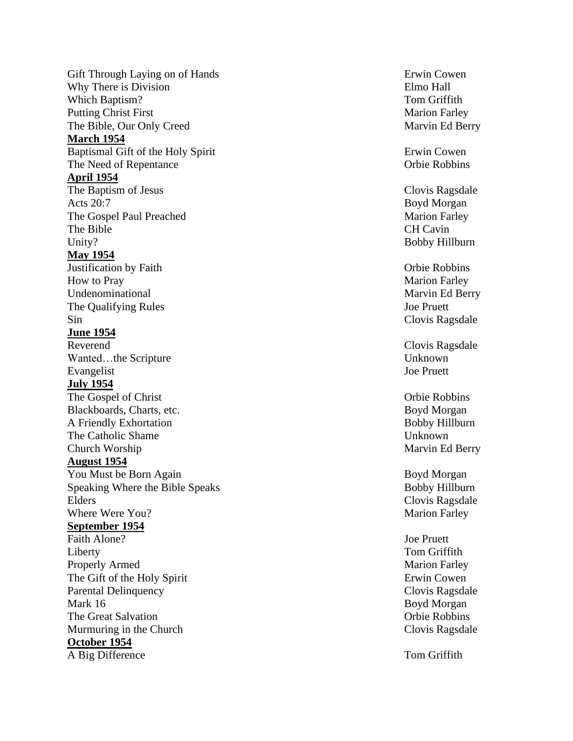Gift Through Laying on of Why There is Division **Elmo** Hall Which Baptism Putting Christ The Bible, Our O nly **March 1954** Baptismal Gift of the Holy Spirit Erwin Cowen The Need of **April 1954** The Baptism of Jesus Clovis Ragsdale Acts 20:7 Boyd Morgan The Gospel Paul The Bible CH Cavin Unity? **May 1954** Justification by Faith **How to Pray** Undenominational Marvin Ed Berry The Qualifying Sin Clovis Ragsdale **June 1954** Reverend Clovis Ragsdale Wanted…the Scripture Unknown Evangelist Joe Pruett **July 1954** The Gospel of Christ Christ Christ Christ Christ Christ Christ Christ Christ Christ Christ Christ Christ Christ Christ Christ Christ Christ Christ Christ Christ Christ Christ Christ Christ Christ Christ Christ Christ Chris Blackboards, Charts, etc. A Friendly The Catholic Shame Church Worship Marvin Ed Berry **August 1954** You Must be Born Speaking Where the Bible Speaks Bobby Hillburn Elders Clovis Ragsdale Where Were **September 1954** Faith Alone? Alone? Joe Pruett Liberty Tom Griffith Properly Armed The Gift of the Holy Spirit Erwin Cowen Parental Delinquency Mark 16 Boyd Morgan The Great Murmuring in the **October 1954** A Big Difference Tom Griffith

Erwin Cowen ? Tom Griffith **Marion Farley** Marvin Ed Berry

Orbie Robbins

**Marion Farley** ? Bobby Hillburn

Orbie Robbins **Marion Farley** Joe Pruett

Boyd Morgan Bobby Hillburn Unknown

Boyd Morgan **Marion Farley** 

**Marion Farley** Clovis Ragsdale Orbie Robbins Clovis Ragsdale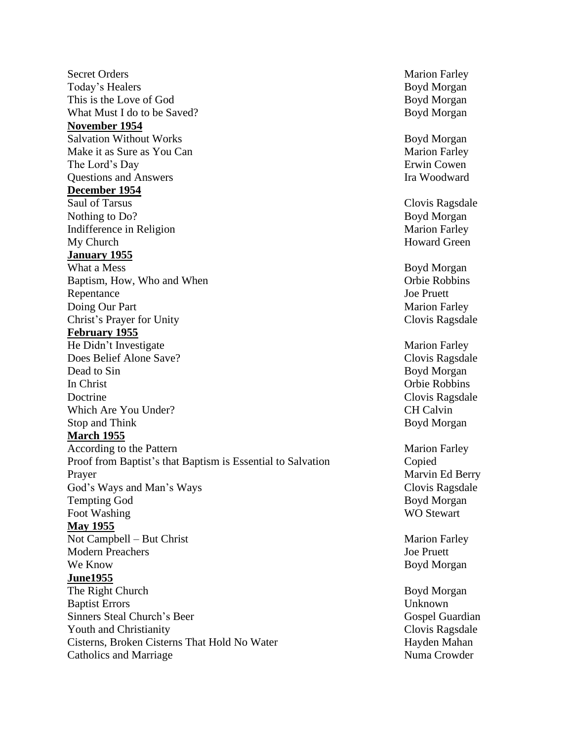Secret Orders Marion Farley Today's Healers Boyd Morgan This is the Love of God Boyd Morgan What Must I do to be Saved? Boyd Morgan **November 1954** Salvation Without Works Boyd Morgan Make it as Sure as You Can Marion Farley The Lord's Day Erwin Cowen **Questions and Answers** Ira Woodward **December 1954** Saul of Tarsus Clovis Ragsdale Nothing to Do? Boyd Morgan Indifference in Religion Marion Farley My Church Howard Green **January 1955** What a Mess<br>
Boyd Morgan<br>
Bantism How. Who and When<br>
Bantism Group Chie Robbins Baptism, How, Who and When Repentance Joe Pruett Doing Our Part Marion Farley Christ's Prayer for Unity Clovis Ragsdale **February 1955** He Didn't Investigate Marion Farley Does Belief Alone Save? Clovis Ragsdale Dead to Sin Boyd Morgan In Christ Orbie Robbins Doctrine Clovis Ragsdale Which Are You Under? CH Calvin Stop and Think Boyd Morgan **March 1955** According to the Pattern Marion Farley Proof from Baptist's that Baptism is Essential to Salvation Copied Prayer Marvin Ed Berry God's Ways and Man's Ways Clovis Ragsdale Tempting God Boyd Morgan Foot Washing WO Stewart **May 1955** Not Campbell – But Christ Marion Farley Modern Preachers Joe Pruett We Know Boyd Morgan **June1955** The Right Church Boyd Morgan Baptist Errors Unknown Sinners Steal Church's Beer Gospel Guardian Gospel Guardian Youth and Christianity Clovis Ragsdale Cisterns, Broken Cisterns That Hold No Water Hayden Mahan Catholics and Marriage Numa Crowder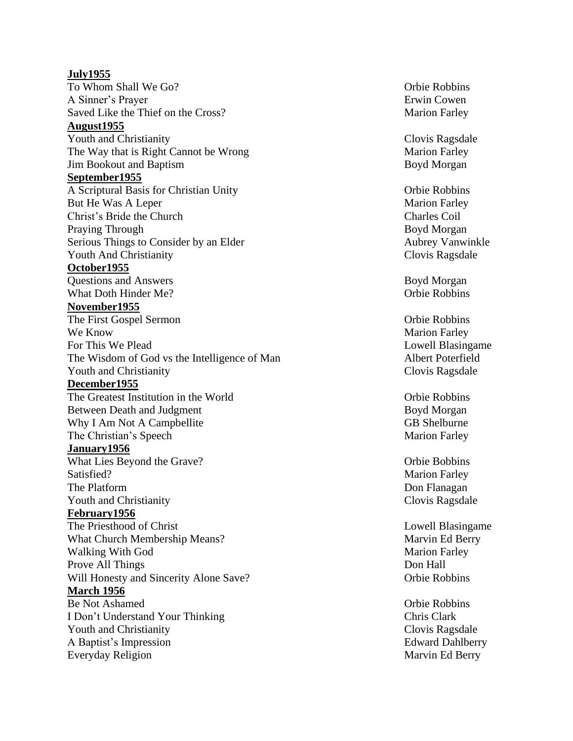**July1955** To Whom Shall We A Sinner's Prayer Erwin Cowen Saved Like the Thief on the **August1955** Youth and Christianity Clovis Ragsdale The Way that is Right Cannot be **Jim Bookout and Baptism Boyd Morgan September1955** A Scriptural Basis for Christian But He Was Christ's Bride Praying Through Serious Things to Consider by an Elder Aubrey Vanwinkle Youth And Christianity Clovis Ragsdale **October1955 Questions and Answers** Boyd Morgan What Doth Hinder **November1955** The First Gospel Sermon Orbie Robbins We Know For This We The Wisdom of God vs the Intelligence of Youth and Christianity **Clovis Ragsdale December1955** The Greatest Institution in the Between Death and Why I Am Not A Campbellite GB Shelburne The Christian's **January1956** What Lies Beyond Satisfied? Marion Farley The Platform Youth and Christianity **Clovis Ragsdale Clovis Ragsdale February1956** The Priesthood of Christ Lowell Blasingame What Church Membership Means Walking With God Prove All Will Honesty and Sincerity Alone **March 1956** Be Not I Don't Understand Your Thinking Youth and Christianity **Clovis Ragsdale** A Baptist's Everyday

Orbie Robbins **Marion Farley** 

Marion Farley

Orbie Robbins **Marion Farley** Charles Coil Boyd Morgan

Orbie Robbins

Marion Farley Lowell Blasingame Albert Poterfield

Orbie Robbins Boyd Morgan **Marion Farley** 

Orbie Bobbins Don Flanagan

Marvin Ed Berry **Marion Farley** Don Hall Orbie Robbins

Orbie Robbins C hris Clark Edward Dahlberry Marvin Ed Berry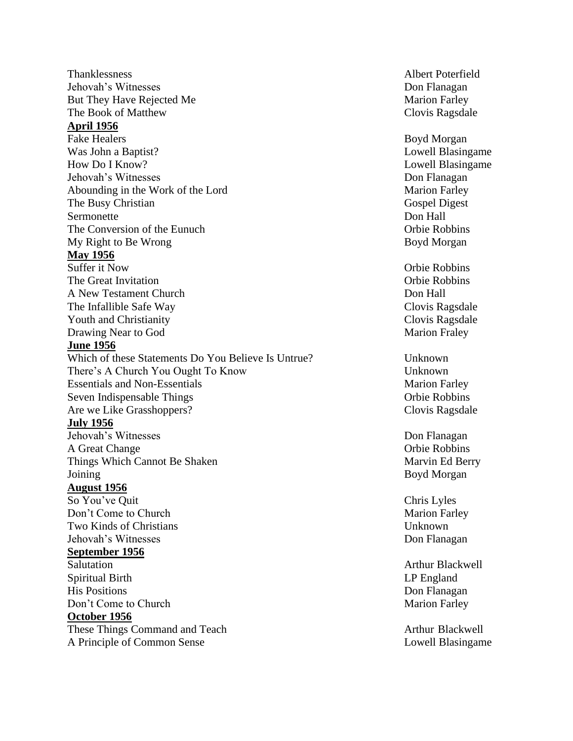Thanklessness Albert Poterfield Jehovah's Witnesses Don Flanagan But They Have Rejected Me Marion Farley The Book of Matthew Clovis Ragsdale **April 1956** Fake Healers Boyd Morgan Was John a Baptist? Lowell Blasingame How Do I Know? Lowell Blasingame Jehovah's Witnesses Don Flanagan Abounding in the Work of the Lord Marion Farley The Busy Christian Gospel Digest Sermonette Don Hall The Conversion of the Eunuch Conversion of the Eunuch Conversion of the Eunuch Conversion Conversion Conversion My Right to Be Wrong Boyd Morgan **May 1956** Suffer it Now Orbie Robbins The Great Invitation **Communist Communist Communist Communist Communist Communist Communist Communist Communist Communist Communist Communist Communist Communist Communist Communist Communist Communist Communist Communist** A New Testament Church **Don Hall** The Infallible Safe Way **Clovis Ragsdale** Youth and Christianity **Clovis Ragsdale Clovis Ragsdale** Drawing Near to God Marion Fraley **June 1956** Which of these Statements Do You Believe Is Untrue? Unknown There's A Church You Ought To Know Unknown Essentials and Non-Essentials Marion Farley Seven Indispensable Things Orbie Robbins Are we Like Grasshoppers? Clovis Ragsdale **July 1956** Jehovah's Witnesses Don Flanagan A Great Change Change Change Change Change Change Change Change Change Change Change Change Change Change Change Change Change Change Change Change Change Change Change Change Change Change Change Change Change Change Chan Things Which Cannot Be Shaken Marvin Ed Berry Joining Boyd Morgan **August 1956** So You've Quit Chris Lyles Don't Come to Church **Marion Farley** Marion Farley Two Kinds of Christians Unknown Jehovah's Witnesses Don Flanagan **September 1956** Salutation **Arthur Blackwell** Spiritual Birth LP England His Positions **Don Flanagan** Don't Come to Church Marion Farley **October 1956** These Things Command and Teach Arthur Blackwell

A Principle of Common Sense Lowell Blasingame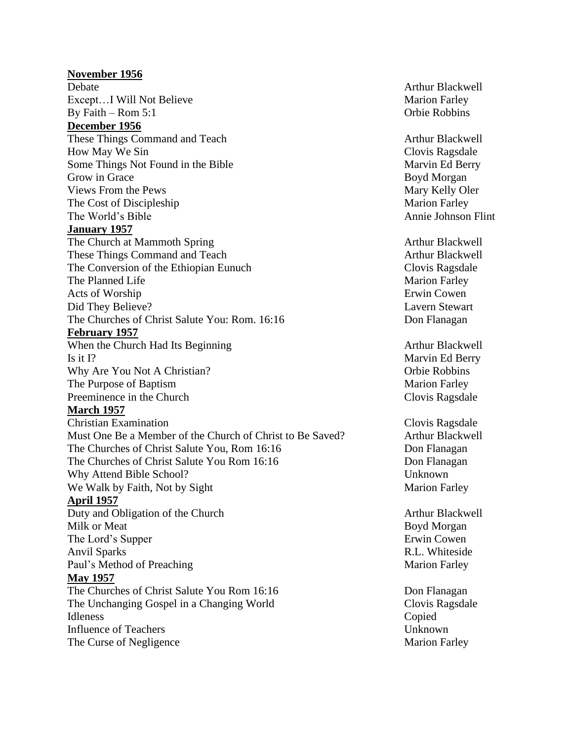**November 1956** Debate Arthur Blackwell Except...I Will Not Believe Marion Farley By Faith – Rom 5:1 Orbie Robbins **December 1956** These Things Command and Teach Arthur Blackwell How May We Sin Clovis Ragsdale Some Things Not Found in the Bible Marvin Ed Berry Grow in Grace Boyd Morgan Views From the Pews Mary Kelly Oler The Cost of Discipleship Marion Farley The World's Bible Annie Johnson Flint **January 1957** The Church at Mammoth Spring and Arthur Blackwell These Things Command and Teach Arthur Blackwell The Conversion of the Ethiopian Eunuch Clovis Ragsdale The Planned Life Marion Farley Acts of Worship Erwin Cowen Did They Believe? Lavern Stewart The Churches of Christ Salute You: Rom. 16:16 Don Flanagan **February 1957** When the Church Had Its Beginning Arthur Blackwell Is it I? Marvin Ed Berry Why Are You Not A Christian? Changes are a series of the Robbins of Police Robbins The Purpose of Baptism and the Purpose of Baptism and the Marion Farley Preeminence in the Church Clovis Ragsdale **March 1957** Christian Examination Clovis Ragsdale Must One Be a Member of the Church of Christ to Be Saved? Arthur Blackwell The Churches of Christ Salute You, Rom 16:16 Don Flanagan The Churches of Christ Salute You Rom 16:16 Don Flanagan Why Attend Bible School? Unknown We Walk by Faith, Not by Sight Marion Farley **April 1957** Duty and Obligation of the Church Arthur Blackwell Arthur Blackwell Milk or Meat Boyd Morgan The Lord's Supper Erwin Cowen Anvil Sparks R.L. Whiteside Paul's Method of Preaching Marion Farley **May 1957** The Churches of Christ Salute You Rom 16:16 Don Flanagan The Unchanging Gospel in a Changing World Clovis Ragsdale Idleness Copied Influence of Teachers Unknown The Curse of Negligence Marion Farley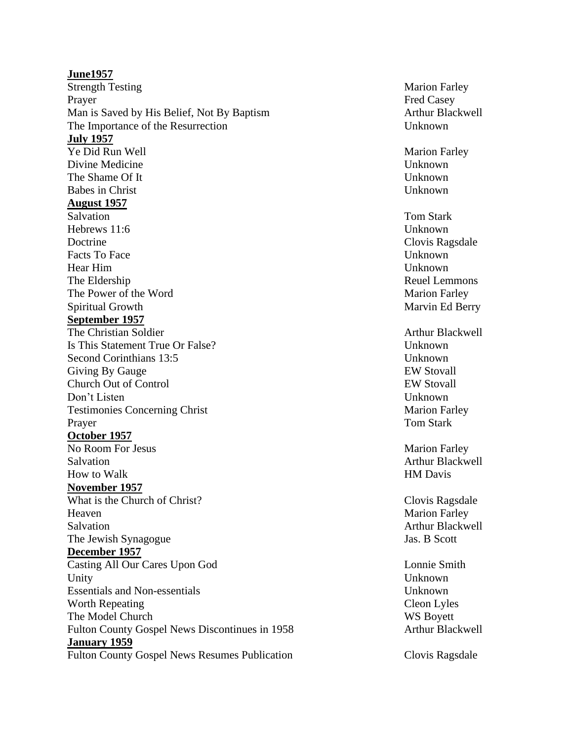# **June1957** Strength Testing Marion Farley Prayer Fred Casey Man is Saved by His Belief, Not By Baptism Arthur Blackwell The Importance of the Resurrection Unknown **July 1957** Ye Did Run Well Marion Farley Divine Medicine Unknown The Shame Of It Unknown Babes in Christ Unknown **August 1957** Salvation Tom Stark Hebrews 11:6 Unknown Doctrine Clovis Ragsdale Facts To Face Unknown Hear Him Unknown The Eldership **Reuel Lemmons** Reuel Lemmons The Power of the Word Marion Farley Spiritual Growth Marvin Ed Berry **September 1957** The Christian Soldier Arthur Blackwell and Arthur Blackwell Is This Statement True Or False? Unknown Second Corinthians 13:5 Unknown Giving By Gauge **EW Stovall** Church Out of Control EW Stovall Don't Listen Unknown Testimonies Concerning Christ Marion Farley Prayer Tom Stark **October 1957** No Room For Jesus Marion Farley Salvation **Arthur Blackwell** How to Walk HM Davis **November 1957** What is the Church of Christ? Clovis Ragsdale Heaven Marion Farley Salvation **Arthur Blackwell** The Jewish Synagogue Jas. B Scott **December 1957** Casting All Our Cares Upon God Lonnie Smith Unity Unknown Essentials and Non-essentials Unknown Worth Repeating Cleon Lyles The Model Church WS Boyett Fulton County Gospel News Discontinues in 1958 Arthur Blackwell **January 1959** Fulton County Gospel News Resumes Publication Clovis Ragsdale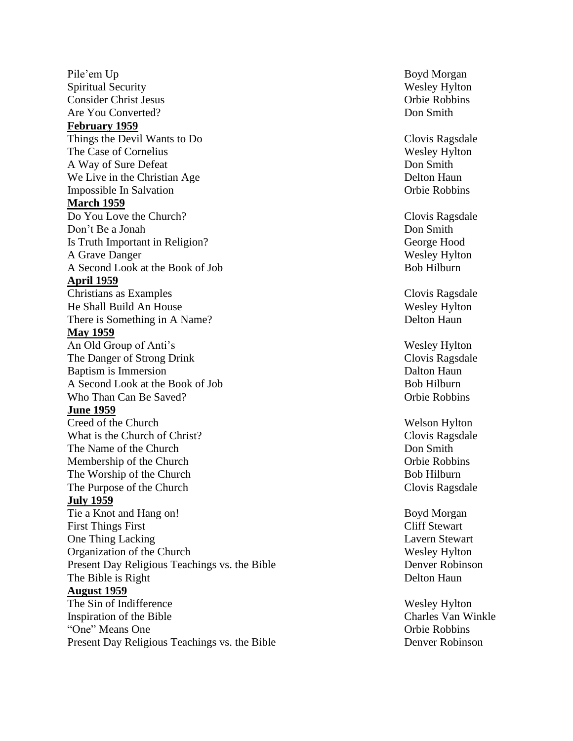Pile'em **Spiritual Security** Consider Christ Jesus Orbie Robbins Are You Converted? Don Smith **February 1959** Things the Devil Wants to D The Case of Cornelius Wesley Hylton A Way of Sure We Live in the Christian Age Delton Haun Impossible In Salvation **March 1959** Do You Love Don't Be a Jonah Don Smith Is Truth Important in Religion A Grave A Second Look at the Book of Job Bob Hilburn **April 1959** Christians as He Shall Build An There is Something in A Name **May 1959** An Old Group of Anti's Wesley Hylton The Danger of Strong Baptism is Immersion Dalton Haun A Second Look at the Book of Job Bob Hilburn Who Than Can **June 1959** Creed of the What is the Church of Christ The Name of the Membership of the The Worship of the The Purpose of the **July 1959** Tie a Knot and First Things One Thing Organization of the Present Day Religious Teachings vs. the Bible Denver Robinson The Bible is **August 1959** The Sin of Inspiration of the "One" Means

Present Day Religious Teachings vs. the

Boyd Morgan Wesley Hylton

Clovis Ragsdale Don Smith **Orbie Robbins** 

Clovis Ragsdale George Hood Wesley Hylton

Clovis Ragsdale Wesley Hylton Delton Haun

Clovis Ragsdale Orbie Robbins

Welson Hylton Clovis Ragsdale Don Smith Orbie Robbins Bob Hilburn Clovis Ragsdale

Boyd Morgan **Cliff Stewart** Lavern Stewart Wesley Hylton Delton Haun

Wesley Hylton Charles Van Winkle Orbie Robbins Denver Robinson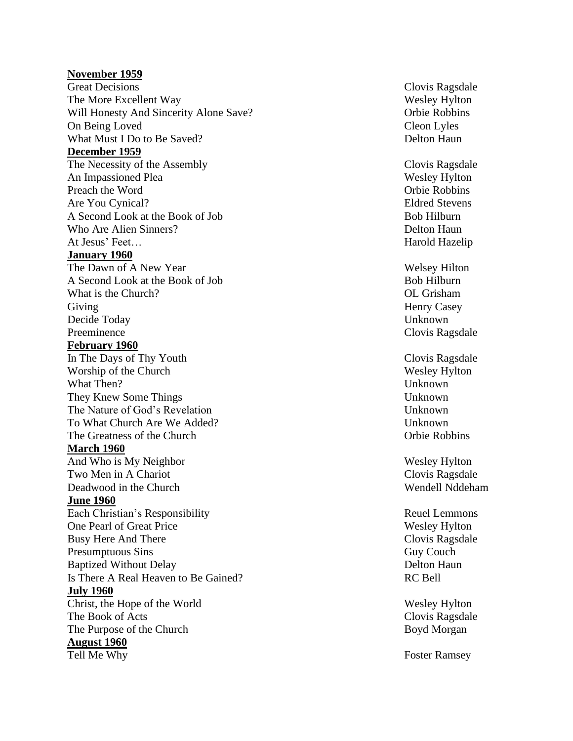## **November 1959**

**Great Decisions** The More Excellent Will Honesty And Sincerity Alone Save On Being What Must I Do to Be **December 1959** The Necessity of An Impassioned Preach the Are You A Second Look at the Book of Job Bob Hilburn Who Are Alien Sinners At Jesus ' **January 1960** The Dawn of A Second Look at the Book of Job Bob Hilburn What is the Church Giving Henry Casey Decide Today Unknown Preeminence Clovis Ragsdale **February 1960** In The Days of Thy Worship of the Church What Then? Unknown They Knew Some Things Unknown The Nature of God's Revelation Unknown To What Church Are We Added? Unknown The Greatness of the **March 1960** And Who is My Two Men in A Deadwood in the **June 1960** Each Christian's Responsibility and the contract of the Reuel Lemmons One Pearl of Great Busy Here And Presumptuous Baptized Without Is There A Real Heaven to Be Gained? RC Bell **July 1960** Christ, the Hope of The Book of Acts The Purpose of the **August 1960** Tell Me

Clovis Ragsdale Wesley Hylton ? Orbie Robbins Cleon Lyles Delton Haun

Clovis Ragsdale Wesley Hylton Orbie Robbins Eldred Stevens Delton Haun Harold Hazelip

Welsey Hilton OL Grisham

Clovis Ragsdale Wesley Hylton Orbie Robbins

Wesley Hylton Clovis Ragsdale Wendell Nddeham

Wesley Hylton Clovis Ragsdale **Guy Couch** Delton Haun

Wesley Hylton Clovis Ragsdale Boyd Morgan

Foster Ramsey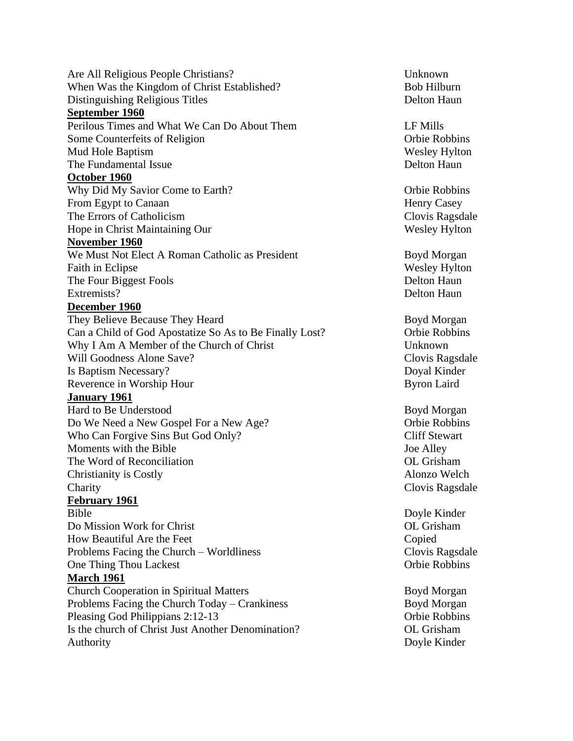Are All Religious People Christians? Unknown When Was the Kingdom of Christ Established? Bob Hilburn Distinguishing Religious Titles Delton Haun **September 1960** Perilous Times and What We Can Do About Them LF Mills Some Counterfeits of Religion Counterfeits of Religion Corbie Robbins Mud Hole Baptism Wesley Hylton The Fundamental Issue **Delton Haun** Delton Haun **October 1960** Why Did My Savior Come to Earth? Come Come Contract Come Contract Come Robbins From Egypt to Canaan Henry Casey The Errors of Catholicism Clovis Ragsdale Hope in Christ Maintaining Our Wesley Hylton **November 1960** We Must Not Elect A Roman Catholic as President Boyd Morgan Faith in Eclipse Wesley Hylton The Four Biggest Fools **Delton Haun** Extremists? Delton Haun **December 1960** They Believe Because They Heard Boyd Morgan Can a Child of God Apostatize So As to Be Finally Lost? Orbie Robbins Why I Am A Member of the Church of Christ Unknown Will Goodness Alone Save? Clovis Ragsdale Is Baptism Necessary? Doyal Kinder Reverence in Worship Hour Byron Laird **January 1961** Hard to Be Understood Boyd Morgan Do We Need a New Gospel For a New Age? Orbie Robbins Who Can Forgive Sins But God Only? Cliff Stewart Moments with the Bible **Solution** 3 and 3 and 3 and 3 and 3 and 3 and 3 and 3 and 3 and 3 and 3 and 3 and 3 and 3 and 3 and 3 and 3 and 3 and 3 and 3 and 3 and 3 and 3 and 3 and 3 and 3 and 3 and 3 and 3 and 3 and 3 and 3 The Word of Reconciliation **Conciliation** and the United States of Constantine Constantine Constantine Constantine Constantine Constantine Constantine Constantine Constantine Constantine Constantine Constantine Constantine Christianity is Costly Alonzo Welch Charity Charity Charity Clovis Ragsdale **February 1961** Bible Doyle Kinder Do Mission Work for Christ OL Grisham How Beautiful Are the Feet The Copied Copied Copied Problems Facing the Church – Worldliness Clovis Ragsdale One Thing Thou Lackest Company of the Company of the Robbins Company of the Robbins Company of the Robbins Company of the Robbins Company of the Robbins Company of the Robbins Company of the Robbins Company of the Robbins **March 1961** Church Cooperation in Spiritual Matters **Boyd Morgan** Problems Facing the Church Today – Crankiness Boyd Morgan Pleasing God Philippians 2:12-13 Orbie Robbins Is the church of Christ Just Another Denomination? OL Grisham Authority Doyle Kinder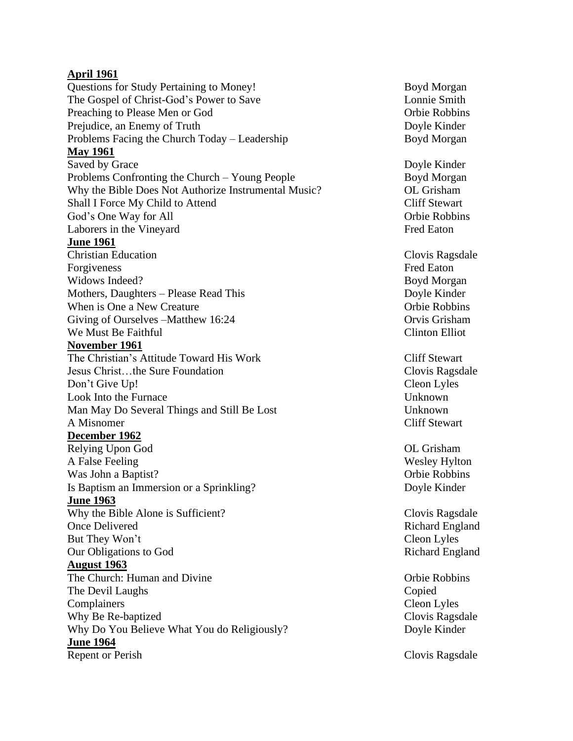# **April 1961**

Questions for Study Pertaining to Money! Boyd Morgan The Gospel of Christ-God's Power to Save Lonnie Smith Preaching to Please Men or God Orbie Robbins Prejudice, an Enemy of Truth Doyle Kinder Problems Facing the Church Today – Leadership Boyd Morgan **May 1961** Saved by Grace Doyle Kinder Problems Confronting the Church – Young People Boyd Morgan Why the Bible Does Not Authorize Instrumental Music? OL Grisham Shall I Force My Child to Attend Cliff Stewart God's One Way for All Orbie Robbins Laborers in the Vineyard Fred Eaton **June 1961** Christian Education Clovis Ragsdale Forgiveness Fred Eaton Widows Indeed? Boyd Morgan Mothers, Daughters – Please Read This Doyle Kinder When is One a New Creature **Orbie Robbins** Giving of Ourselves –Matthew 16:24 Orvis Grisham We Must Be Faithful Clinton Elliot **November 1961** The Christian's Attitude Toward His Work Cliff Stewart Jesus Christ…the Sure Foundation Clovis Ragsdale Don't Give Up! Cleon Lyles Look Into the Furnace Unknown Man May Do Several Things and Still Be Lost Unknown A Misnomer Cliff Stewart **December 1962** Relying Upon God OL Grisham A False Feeling Wesley Hylton Was John a Baptist? Orbie Robbins Is Baptism an Immersion or a Sprinkling? Doyle Kinder **June 1963** Why the Bible Alone is Sufficient? Clovis Ragsdale Once Delivered Richard England But They Won't Cleon Lyles Our Obligations to God Richard England **August 1963** The Church: Human and Divine **The Church: Human and Divine Orbie Robbins** The Devil Laughs Copied Complainers Cleon Lyles Why Be Re-baptized Clovis Ragsdale Why Do You Believe What You do Religiously? Doyle Kinder **June 1964** Repent or Perish Clovis Ragsdale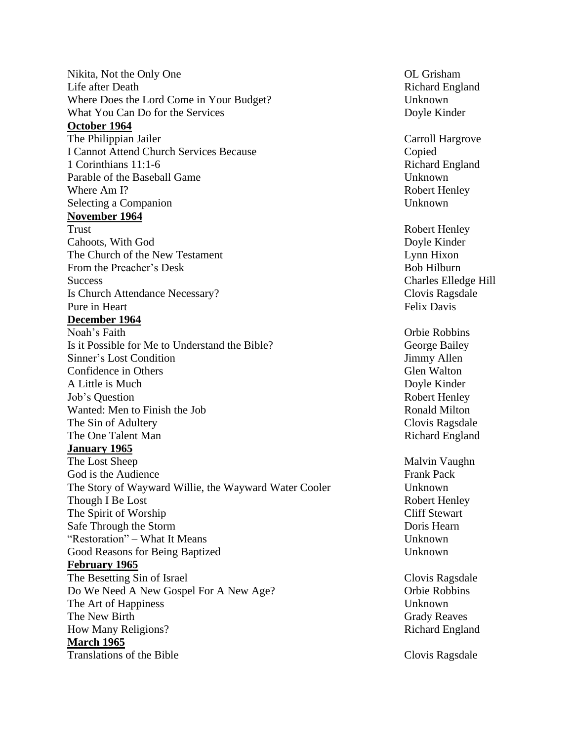Nikita, Not the Only One **OL Grisham** OL Grisham Life after Death **Richard England** Richard England Where Does the Lord Come in Your Budget? Unknown What You Can Do for the Services Doyle Kinder **October 1964** The Philippian Jailer **Carroll Hargrove** Carroll Hargrove I Cannot Attend Church Services Because Copied 1 Corinthians 11:1-6 Richard England Parable of the Baseball Game Unknown Where Am I? **Robert Henley** Robert Henley Selecting a Companion Unknown **November 1964** Trust **Robert Henley** Robert Henley Cahoots, With God Doyle Kinder The Church of the New Testament Lynn Hixon From the Preacher's Desk Bob Hilburn Success Charles Elledge Hill Is Church Attendance Necessary? Clovis Ragsdale Pure in Heart Felix Davis **December 1964** Noah's Faith Orbie Robbins Is it Possible for Me to Understand the Bible? George Bailey Sinner's Lost Condition and Sinner's Lost Condition and Sinner's Lost Condition Confidence in Others Glen Walton Glen Walton A Little is Much **Doyle Kinder** Job's Question **Robert Henley** Robert Henley Wanted: Men to Finish the Job Ronald Milton The Sin of Adultery **Clovis Ragsdale Clovis Ragsdale** The One Talent Man Richard England **January 1965** The Lost Sheep Malvin Vaughn God is the Audience **Frank Pack** The Story of Wayward Willie, the Wayward Water Cooler Unknown Though I Be Lost **Robert Henley** Robert Henley The Spirit of Worship Cliff Stewart Safe Through the Storm Storm and the Storm Doris Hearn Doris Hearn Doris Hearn "Restoration" – What It Means Unknown Good Reasons for Being Baptized Unknown **February 1965** The Besetting Sin of Israel Clovis Ragsdale Clovis Ragsdale Do We Need A New Gospel For A New Age? Orbie Robbins The Art of Happiness Unknown The New Birth Grady Reaves How Many Religions? Richard England **March 1965** Translations of the Bible Clovis Ragsdale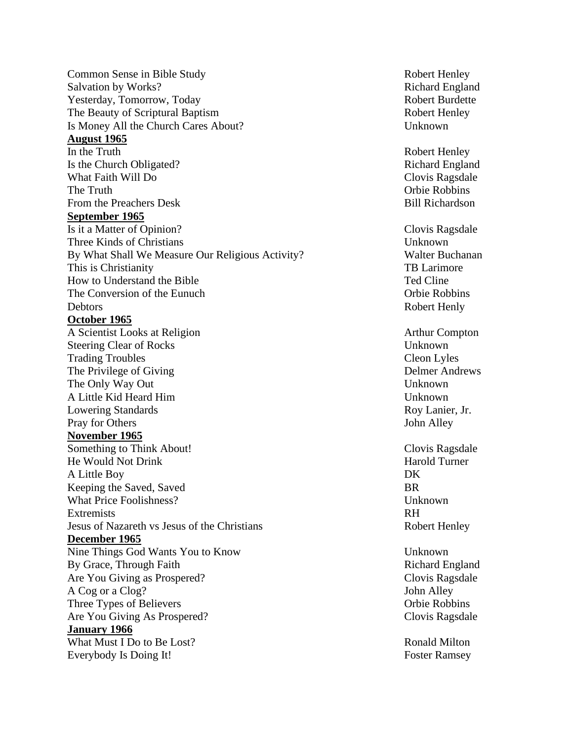**Common Sense in Bible Study Study Robert Henley Robert Henley** Salvation by Works? Richard England Yesterday, Tomorrow, Today Robert Burdette The Beauty of Scriptural Baptism Robert Henley Is Money All the Church Cares About? Unknown **August 1965** In the Truth **Robert Henley** Robert Henley Is the Church Obligated? Richard England What Faith Will Do Clovis Ragsdale The Truth Company of the Truth Company of the Truth Company of the Robbins Company of the Robbins From the Preachers Desk Bill Richardson **September 1965** Is it a Matter of Opinion? Clovis Ragsdale Three Kinds of Christians **Unknown** By What Shall We Measure Our Religious Activity? Walter Buchanan This is Christianity TB Larimore How to Understand the Bible Ted Cline The Conversion of the Eunuch Conversion of the Eunuch Conversion of the Eunuch Conversion Conversion Conversion Debtors Robert Henly **October 1965** A Scientist Looks at Religion and Arthur Compton Arthur Compton Steering Clear of Rocks Unknown Trading Troubles Cleon Lyles The Privilege of Giving Delmer Andrews The Only Way Out Unknown A Little Kid Heard Him Unknown Lowering Standards **Roy Lanier**, Jr. **Roy Lanier**, Jr. Pray for Others John Alley **November 1965** Something to Think About! Something to Think About! He Would Not Drink Harold Turner A Little Boy DK Keeping the Saved, Saved BR What Price Foolishness? The Contract of the Unknown Unknown Extremists RH Jesus of Nazareth vs Jesus of the Christians Robert Henley **December 1965**  Nine Things God Wants You to Know Unknown By Grace, Through Faith Richard England Are You Giving as Prospered? Clovis Ragsdale A Cog or a Clog? John Alley Three Types of Believers Orbie Robbins Are You Giving As Prospered? Clovis Ragsdale **January 1966** What Must I Do to Be Lost? Ronald Milton Everybody Is Doing It! Foster Ramsey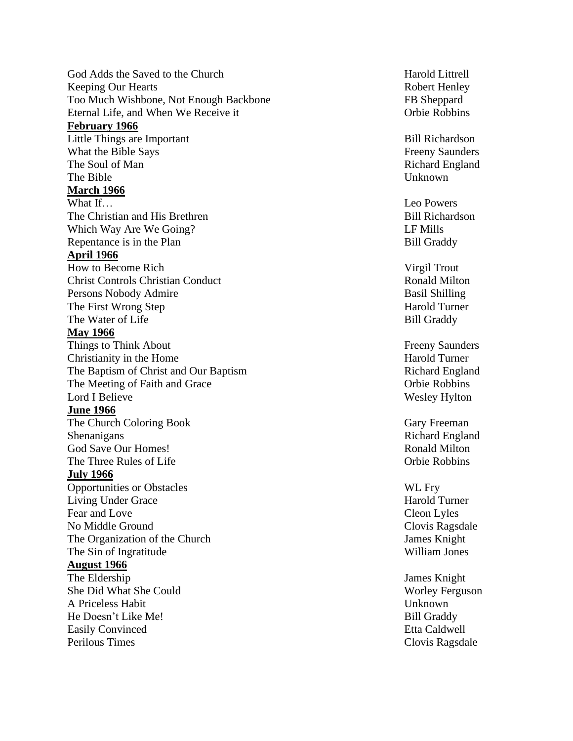God Adds the Saved to the Keeping Our Hearts Robert Henley Too Much Wishbone, Not Enough Eternal Life, and When We **February 1966** Little Things are What the Bible The Soul of The Bible Unknown **March 1966** What I f The Christian and His Which Way Are We Going Repentance is in the **April 1966** How to Become Christ Controls Christian Persons Nobody The First Wrong The Water of **May 1966 Things to Think About** Christianity in the The Baptism of Christ and Our The Meeting of Faith Lord I Believe **June 1966** The Church Coloring Shenanigans Richard England God Save Our The Three Rules of Life **The Community** Computer Community Community Community Community Community Community Community Community Community Community Community Community Community Community Community Community Community Com **July 1966** Opportunities or Obstacles WL Fry Living Under Fear and No Middle G The Organization of the The Sin of **August 1966** The Eldership James Knight She Did What She A Priceless Habit Unknown He Doesn't Like M e **Easily Convinced** Perilous Times

Harold Littrell FB Sheppard Orbie Robbins

Bill Richardson **Freeny Saunders** Richard England

Leo Powers Bill Richardson ? LF Mills **Bill Graddy** 

Virgil Trout Ronald Milton Basil Shilling Harold Turner Bill Graddy

**Freeny Saunders** Harold Turner Richard England Orbie Robbins Wesley Hylton

Gary Freeman Ronald Milton

Harold Turner Cleon Lyles Clovis Ragsdale James Knight William Jones

Worley Ferguson **Bill Graddy** Etta Caldwell Clovis Ragsdale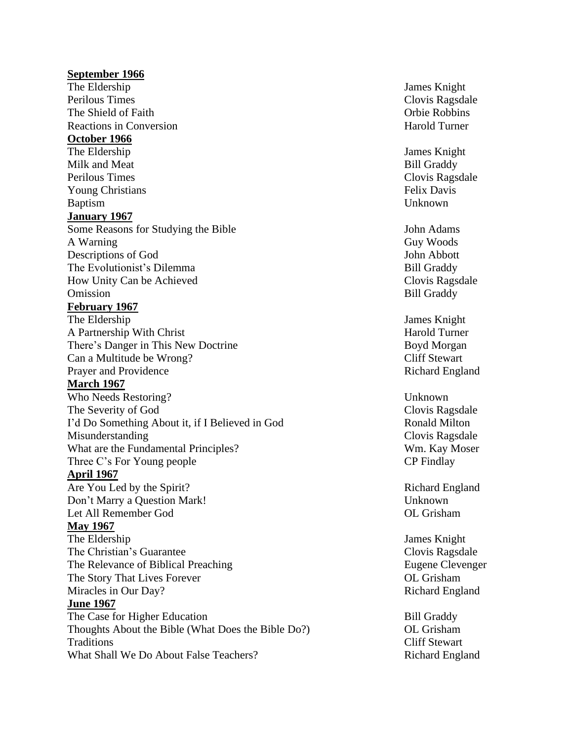# **September 1966** The Eldership James Knight Perilous Times Clovis Ragsdale The Shield of Faith The Shield of Faith Channel Channel Channel Channel Channel Channel Channel Channel Channel Channel Channel Channel Channel Channel Channel Channel Channel Channel Channel Channel Channel Channel Channe Reactions in Conversion **Reaction** Harold Turner **October 1966** The Eldership James Knight Milk and Meat Bill Graddy Perilous Times Clovis Ragsdale Young Christians Felix Davis Baptism Unknown **January 1967** Some Reasons for Studying the Bible John Adams A Warning Guy Woods Descriptions of God John Abbott The Evolutionist's Dilemma Bill Graddy How Unity Can be Achieved Clovis Ragsdale Omission Bill Graddy **February 1967** The Eldership James Knight A Partnership With Christ Harold Turner There's Danger in This New Doctrine Boyd Morgan Can a Multitude be Wrong? Cliff Stewart Prayer and Providence **Richard England** England **March 1967** Who Needs Restoring? Unknown The Severity of God Clovis Ragsdale I'd Do Something About it, if I Believed in God Ronald Milton Misunderstanding Clovis Ragsdale What are the Fundamental Principles? Wm. Kay Moser Three C's For Young people CP Findlay **April 1967** Are You Led by the Spirit? Richard England Don't Marry a Question Mark! Unknown Let All Remember God OL Grisham **May 1967** The Eldership James Knight The Christian's Guarantee Clovis Ragsdale The Relevance of Biblical Preaching The Relevance of Biblical Preaching Eugene Clevenger The Story That Lives Forever **The Story That Lives Forever** and the Story That Lives Forever and the Story That I Miracles in Our Day? Richard England **June 1967** The Case for Higher Education Bill Graddy Thoughts About the Bible (What Does the Bible Do?) OL Grisham Traditions Cliff Stewart What Shall We Do About False Teachers? Richard England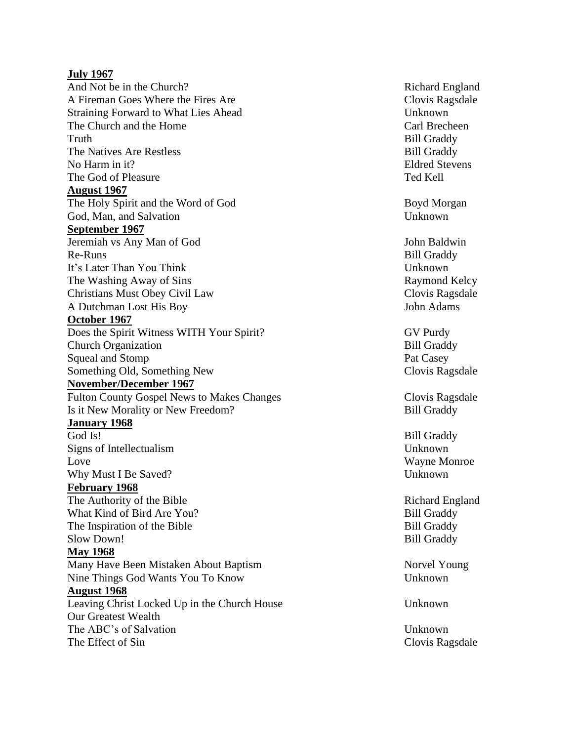# **July 1967**

And Not be in the Church A Fireman Goes Where the Fires Straining Forward to What Lies Ahead Unknown The Church and the Truth Bill Graddy The Natives Are Restless No Harm in it The God of Pleasure The God of Pleasure Ted Kell **August 1967** The Holy Spirit and the Word of God Boyd Morgan God, Man, and Salvation Unknown **September 1967** Jeremiah vs Any Man of God John Baldwin Re - It's Later Than You Think Unknown The Washing Away of Christians Must Obey Civil A Dutchman Lost His **October 1967**  Does the Spirit Witness WITH Your Spirit Church Organization **Bill Graddy** Squeal and Stomp Something Old, Something **November/December 1967** Fulton County Gospel News to Makes Is it New Morality or New Freedom **January 1968** God Is! Signs of Intellectualism Unknown Love Wayne Monroe Why Must I Be Saved **February 1968** The Authority of What Kind of Bird Are You The Inspiration of Slow Down! Bill Graddy **May 1968** Many Have Been Mistaken About Nine Things God Wants You To Know Unknown **August 1968** Leaving Christ Locked Up in the Church Our Greatest Wealth The ABC's of Salvation The ABC's of Salvation

Richard England Clovis Ragsdale Carl Brecheen **Bill Graddy Eldred Stevens** 

**Bill Graddy** Raymond Kelcy Clovis Ragsdale John Adams

**GV Purdy** Pat Casey Clovis Ragsdale

Clovis Ragsdale **Bill Graddy** 

Bill Graddy ? Unknown

Richard England **Bill Graddy Bill Graddy** 

Norvel Young

**Unknown** 

The Effect of Sin Clovis Ragsdale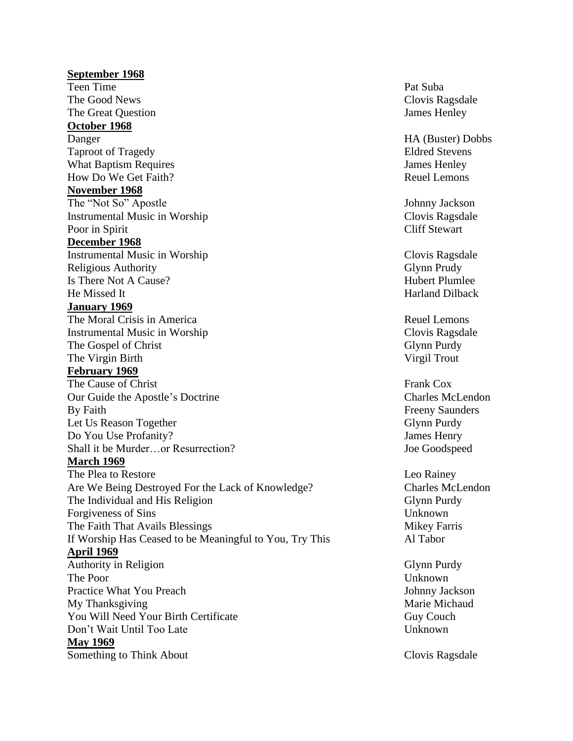# **September 1968** Teen Time Pat Suba The Good News Clovis Ragsdale The Great Question James Henley **October 1968** Danger HA (Buster) Dobbs Taproot of Tragedy Eldred Stevens What Baptism Requires James Henley How Do We Get Faith? **Reuel Lemons November 1968** The "Not So" Apostle Johnny Jackson Instrumental Music in Worship Clovis Ragsdale Poor in Spirit Cliff Stewart **December 1968** Instrumental Music in Worship Clovis Ragsdale Religious Authority Glynn Prudy Is There Not A Cause? The Cause of the Cause of the Cause of the Hubert Plumlee He Missed It **Harland Dilback January 1969** The Moral Crisis in America Reuel Lemons Instrumental Music in Worship Clovis Ragsdale The Gospel of Christ Glynn Purdy Glynn Purdy The Virgin Birth Virgil Trout **February 1969** The Cause of Christ Frank Cox Our Guide the Apostle's Doctrine Charles McLendon By Faith Freeny Saunders Let Us Reason Together Glynn Purdy Glynn Purdy Do You Use Profanity? James Henry Shall it be Murder…or Resurrection? Joe Goodspeed **March 1969** The Plea to Restore Leo Rainey Are We Being Destroyed For the Lack of Knowledge? Charles McLendon The Individual and His Religion Glynn Purdy Forgiveness of Sins Unknown The Faith That Avails Blessings The Faith That Avails Blessings Mikey Farris If Worship Has Ceased to be Meaningful to You, Try This Al Tabor **April 1969** Authority in Religion Glynn Purdy The Poor Unknown Practice What You Preach **Vertex** 1 and 2 and 2 and 3 and 3 Johnny Jackson My Thanksgiving and the Michaud Marie Michaud Marie Michaud You Will Need Your Birth Certificate Guy Couch Guy Couch Don't Wait Until Too Late Unknown **May 1969** Something to Think About Clovis Ragsdale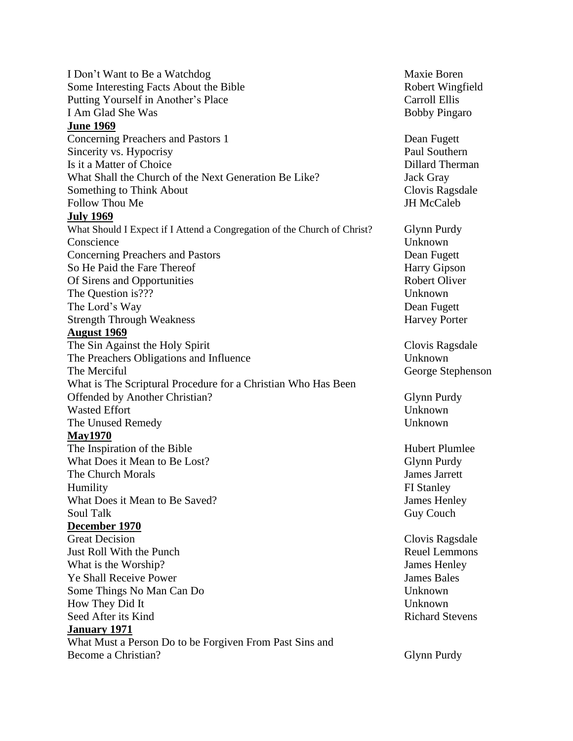I Don't Want to Be a Watchdog Maxie Boren Some Interesting Facts About the Bible Robert Wingfield Putting Yourself in Another's Place Carroll Ellis I Am Glad She Was Bobby Pingaro **June 1969 Concerning Preachers and Pastors 1 Dean Fugett** Dean Fugett Sincerity vs. Hypocrisy Paul Southern Is it a Matter of Choice Dillard Therman What Shall the Church of the Next Generation Be Like? Jack Gray Something to Think About Clovis Ragsdale Follow Thou Me **JH** McCaleb **July 1969** What Should I Expect if I Attend a Congregation of the Church of Christ? Glynn Purdy Conscience Unknown **Concerning Preachers and Pastors Dean Fugett** Dean Fugett So He Paid the Fare Thereof Harry Gipson Of Sirens and Opportunities Robert Oliver The Question is??? Unknown The Lord's Way Dean Fugett Strength Through Weakness Harvey Porter **August 1969** The Sin Against the Holy Spirit Clovis Ragsdale The Preachers Obligations and Influence Unknown The Merciful George Stephenson What is The Scriptural Procedure for a Christian Who Has Been Offended by Another Christian? Glynn Purdy Wasted Effort **Unknown** The Unused Remedy **Unknown May1970** The Inspiration of the Bible Hubert Plumlee What Does it Mean to Be Lost? Glynn Purdy The Church Morals James Jarrett Humility **FI** Stanley What Does it Mean to Be Saved? James Henley Soul Talk Guy Couch **December 1970** Great Decision Clovis Ragsdale Just Roll With the Punch Reuel Lemmons What is the Worship? James Henley **The Shall Receive Power States Access** 2014 **James Bales** 3. James Bales Some Things No Man Can Do Unknown How They Did It Unknown Seed After its Kind Richard Stevens **January 1971** What Must a Person Do to be Forgiven From Past Sins and Become a Christian? Glynn Purdy Glynn Purdy Glynn Purdy Glynn Purdy Glynn Purdy Glynn Purdy Glynn Purdy Glynn Purdy Glynn Purdy Glynn Purdy Glynn Purdy Glynn Purdy Glynn Purdy Glynn Purdy Glynn Purdy Glynn Purdy Glynn Purd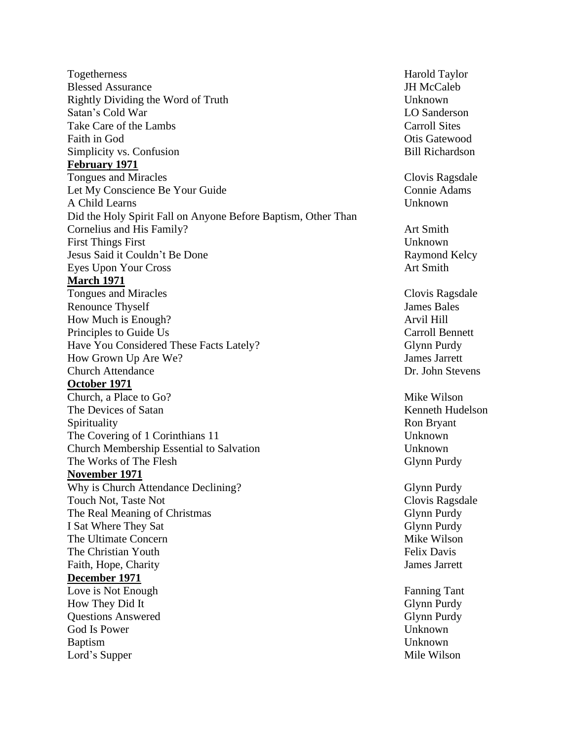Togetherness Harold Taylor Blessed Assurance and the state of the state of the Second Second Second Second Second Second Second Second Second Second Second Second Second Second Second Second Second Second Second Second Second Second Second Second Se Rightly Dividing the Word of Truth Unknown Satan's Cold War **LO** Sanderson Take Care of the Lambs Carroll Sites Faith in God Otis Gatewood Simplicity vs. Confusion **Bill Richardson** Bill Richardson **February 1971** Tongues and Miracles Clovis Ragsdale Let My Conscience Be Your Guide Connie Adams A Child Learns Unknown Did the Holy Spirit Fall on Anyone Before Baptism, Other Than Cornelius and His Family? Art Smith First Things First Unknown Jesus Said it Couldn't Be Done Raymond Kelcy Eyes Upon Your Cross Art Smith **March 1971** Tongues and Miracles **Clovis Ragsdale** Renounce Thyself James Bales How Much is Enough? Arvil Hill **Principles to Guide Us Carroll Bennett** Carroll Bennett Have You Considered These Facts Lately? Glynn Purdy How Grown Up Are We? James Jarrett Church Attendance Dr. John Stevens **October 1971** Church, a Place to Go? Mike Wilson The Devices of Satan The Devices of Satan Kenneth Hudelson Spirituality **Ron Bryant** Ron Bryant The Covering of 1 Corinthians 11 Unknown Church Membership Essential to Salvation Unknown The Works of The Flesh Glynn Purdy **November 1971** Why is Church Attendance Declining? Glynn Purdy Touch Not, Taste Not **Clovis Ragsdale** The Real Meaning of Christmas Glynn Purdy Glynn Purdy I Sat Where They Sat Glynn Purdy Glynn Purdy The Ultimate Concern and Concern and Concern and Concern and Concern and Mike Wilson The Christian Youth Felix Davis Faith, Hope, Charity James Jarrett **December 1971** Love is Not Enough Fanning Tant How They Did It Glynn Purdy Questions Answered Glynn Purdy God Is Power Unknown Baptism Unknown Lord's Supper Mile Wilson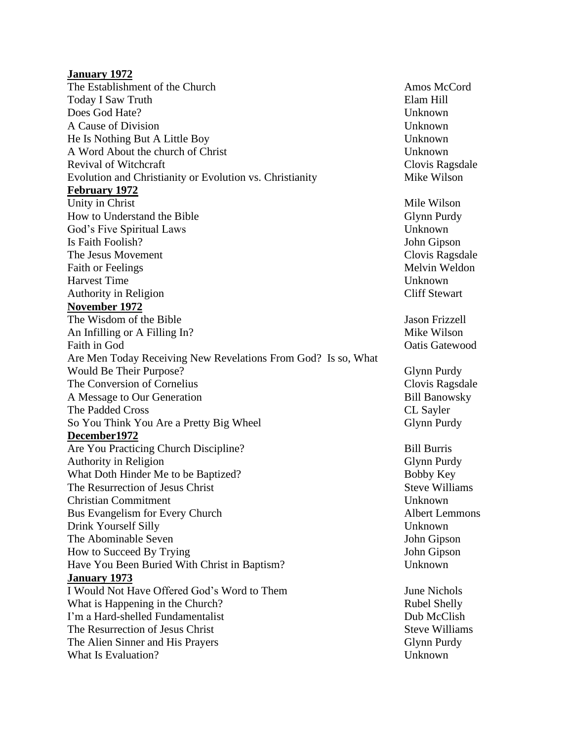## **January 1972**

The Establishment of the Church Amos McCord Amos McCord Today I Saw Truth Elam Hill Does God Hate? Unknown A Cause of Division Unknown He Is Nothing But A Little Boy Unknown A Word About the church of Christ Unknown Revival of Witchcraft **Clovis Ragsdale** Clovis Ragsdale Evolution and Christianity or Evolution vs. Christianity Mike Wilson **February 1972** Unity in Christ Mile Wilson How to Understand the Bible Glynn Purdy God's Five Spiritual Laws Unknown Is Faith Foolish? John Gipson The Jesus Movement **Clovis Ragsdale Clovis Ragsdale** Faith or Feelings Melvin Weldon Harvest Time Unknown Authority in Religion Cliff Stewart **November 1972** The Wisdom of the Bible **State State State State State State State State State State State State State State State State State State State State State State State State State State State State State State State State State** An Infilling or A Filling In? Mike Wilson Faith in God **Oatis Gatewood** Are Men Today Receiving New Revelations From God? Is so, What Would Be Their Purpose? Glynn Purdy Glynn Purdy The Conversion of Cornelius Clovis Ragsdale A Message to Our Generation Bill Banowsky The Padded Cross CL Sayler So You Think You Are a Pretty Big Wheel Glynn Purdy **December1972** Are You Practicing Church Discipline? Bill Burris Authority in Religion Glynn Purdy What Doth Hinder Me to be Baptized? Bobby Key The Resurrection of Jesus Christ Steve Williams Steve Williams Christian Commitment Unknown Bus Evangelism for Every Church Albert Lemmons Drink Yourself Silly Unknown The Abominable Seven John Gipson How to Succeed By Trying John Gipson Have You Been Buried With Christ in Baptism? Unknown **January 1973** I Would Not Have Offered God's Word to Them June Nichols What is Happening in the Church? Rubel Shelly I'm a Hard-shelled Fundamentalist Dub McClish The Resurrection of Jesus Christ Steve Williams Steve Williams The Alien Sinner and His Prayers Glynn Purdy Glynn Purdy What Is Evaluation? Unknown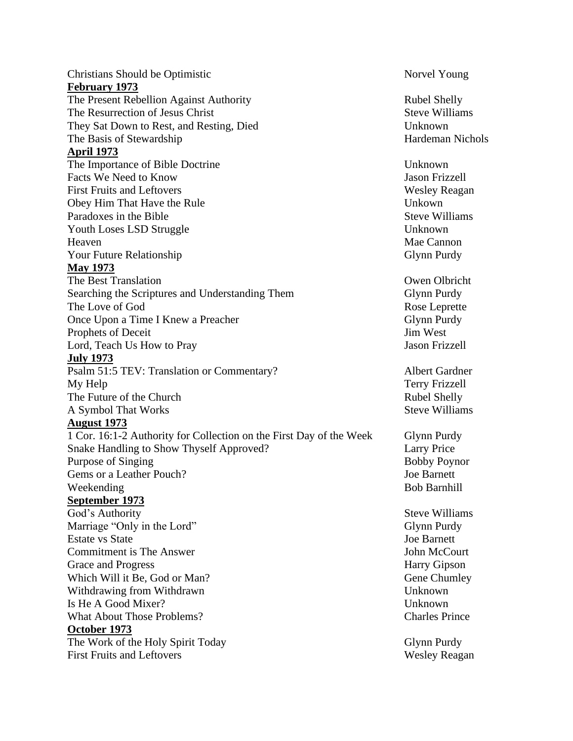Christians Should be Optimistic Norvel Young **February 1973** The Present Rebellion Against Authority Rubel Shelly The Resurrection of Jesus Christ Steve Williams Steve Williams They Sat Down to Rest, and Resting, Died Unknown The Basis of Stewardship Hardeman Nichols **April 1973** The Importance of Bible Doctrine Unknown Facts We Need to Know Tassets We Need to Know Tassets We Need to Know Tassets We Need to Know Tassets and the U First Fruits and Leftovers Wesley Reagan Obey Him That Have the Rule Unkown Paradoxes in the Bible Steve Williams Youth Loses LSD Struggle Unknown Heaven Mae Cannon Mae Cannon Mae Cannon Mae Cannon Mae Cannon Mae Cannon Mae Cannon Mae Cannon Mae Cannon Mae Cannon Mae Cannon Mae Cannon Mae Cannon Mae Cannon Mae Cannon Mae Cannon Mae Cannon Mae Cannon Mae Cannon Mae Ca Your Future Relationship Glynn Purdy **May 1973** The Best Translation Owen Olbricht Searching the Scriptures and Understanding Them Glynn Purdy The Love of God Rose Leprette Once Upon a Time I Knew a Preacher Glynn Purdy Glynn Purdy Prophets of Deceit Jim West Lord, Teach Us How to Pray Jason Frizzell **July 1973** Psalm 51:5 TEV: Translation or Commentary? Albert Gardner My Help Terry Frizzell The Future of the Church Rubel Shelly A Symbol That Works Steve Williams **August 1973** 1 Cor. 16:1-2 Authority for Collection on the First Day of the Week Glynn Purdy Snake Handling to Show Thyself Approved? Larry Price Purpose of Singing Bobby Poynor Gems or a Leather Pouch? Some states and the set of the Barnett states of the Barnett states of the Barnett states of the Barnett states of the Barnett states of the Barnett states of the Barnett states of the Barnett stat Weekending Bob Barnhill **September 1973** God's Authority Steve Williams Marriage "Only in the Lord" Glynn Purdy Estate vs State Joe Barnett Commitment is The Answer The Court and the Second League of The Second League of The Second League of The Second League of The Second League of The Second League of The Second League of The Second League of The Second Leag Grace and Progress Harry Gipson Which Will it Be, God or Man? Gene Chumley Withdrawing from Withdrawn Unknown Is He A Good Mixer? Unknown What About Those Problems? The Charles Prince Charles Prince **October 1973** The Work of the Holy Spirit Today Glynn Purdy First Fruits and Leftovers Wesley Reagan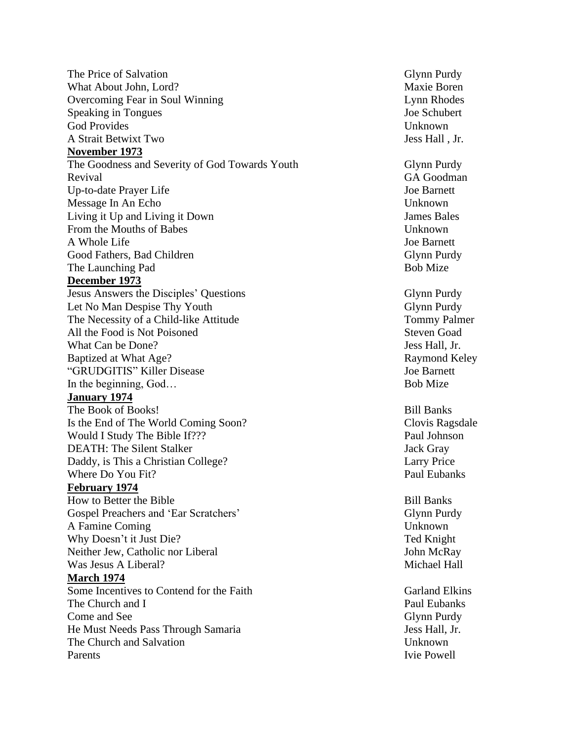The Price of Salvation Glynn Purdy What About John, Lord? Maxie Boren Overcoming Fear in Soul Winning Lynn Rhodes Speaking in Tongues Joe Schubert God Provides Unknown A Strait Betwixt Two Jess Hall , Jr. **November 1973** The Goodness and Severity of God Towards Youth Glynn Purdy Revival GA Goodman Up-to-date Prayer Life 30 and 100 and 100 and 100 and 100 and 100 and 100 and 100 and 100 and 100 and 100 and 100 and 100 and 100 and 100 and 100 and 100 and 100 and 100 and 100 and 100 and 100 and 100 and 100 and 100 and Message In An Echo Unknown Living it Up and Living it Down James Bales From the Mouths of Babes **Unknown** A Whole Life Joe Barnett Good Fathers, Bad Children Glynn Purdy Glynn Purdy The Launching Pad Bob Mize **December 1973** Jesus Answers the Disciples' Questions Glynn Purdy Let No Man Despise Thy Youth Glynn Purdy Glynn Purdy The Necessity of a Child-like Attitude Tommy Palmer All the Food is Not Poisoned Steven Goad Steven Goad What Can be Done? Jess Hall, Jr. Baptized at What Age? Raymond Keley "GRUDGITIS" Killer Disease Joe Barnett In the beginning, God… Bob Mize **January 1974** The Book of Books! Bill Banks Is the End of The World Coming Soon? Clovis Ragsdale Would I Study The Bible If??? Paul Johnson DEATH: The Silent Stalker **Jack Gray** Jack Gray Daddy, is This a Christian College? Larry Price Where Do You Fit? Paul Eubanks **February 1974** How to Better the Bible Bill Banks Gospel Preachers and 'Ear Scratchers' Glynn Purdy A Famine Coming Unknown Why Doesn't it Just Die? The State of the State of the Ted Knight Neither Jew, Catholic nor Liberal John McRay Was Jesus A Liberal? Michael Hall **March 1974** Some Incentives to Contend for the Faith Garland Elkins The Church and I Paul Eubanks Come and See Glynn Purdy Come and See Glynn Purdy Come and See Glynn Purdy Come and See Glynn Purdy Come and See Glynn Purdy Come and See Glynn Purdy Come and See Glynn Purdy Come and See Glynn Purdy Come and See Glynn Pur He Must Needs Pass Through Samaria Jess Hall, Jr. The Church and Salvation The Church and Salvation Unknown Parents Ivie Powell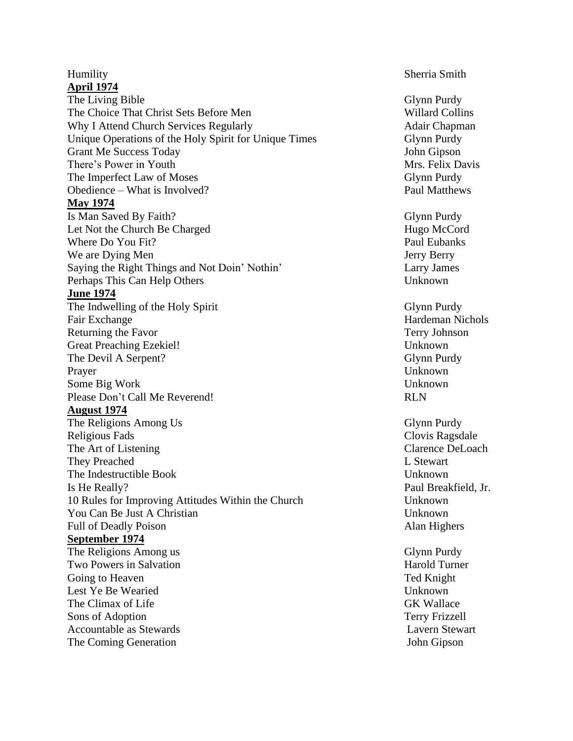# **April 1974**

The Living Bible Glynn Purdy The Choice That Christ Sets Before Men Willard Collins Why I Attend Church Services Regularly **Adair** Chapman Unique Operations of the Holy Spirit for Unique Times Glynn Purdy Grant Me Success Today **John Gipson** There's Power in Youth Mrs. Felix Davis The Imperfect Law of Moses Glynn Purdy Glynn Purdy Obedience – What is Involved? Paul Matthews **May 1974** Is Man Saved By Faith? Glynn Purdy Let Not the Church Be Charged Hugo McCord Where Do You Fit? Paul Eubanks We are Dying Men Jerry Berry Berry Berry Berry Berry Berry Berry Berry Berry Berry Berry Berry Berry Berry Berry Berry Berry Berry Berry Berry Berry Berry Berry Berry Berry Berry Berry Berry Berry Berry Berry Berry Berry B Saying the Right Things and Not Doin' Nothin' Larry James Perhaps This Can Help Others Unknown **June 1974** The Indwelling of the Holy Spirit Glynn Purdy Fair Exchange Hardeman Nichols Returning the Favor Terry Johnson Great Preaching Ezekiel! Unknown The Devil A Serpent? Glynn Purdy Prayer Unknown Some Big Work Unknown Please Don't Call Me Reverend! RLN **August 1974** The Religions Among Us Glynn Purdy Religious Fads Clovis Ragsdale The Art of Listening The Art of Listening Clarence DeLoach They Preached L Stewart L Stewart The Indestructible Book Unknown Is He Really? Paul Breakfield, Jr. 10 Rules for Improving Attitudes Within the Church Unknown You Can Be Just A Christian Unknown Full of Deadly Poison **Alan Highers** Alan Highers **Alan Highers September 1974** The Religions Among us Glynn Purdy Two Powers in Salvation **Harold Turner** Harold Turner Going to Heaven **Ted Knight** Communications of the Communication of the Communication of the Communications of the Communication of the Communications of the Communications of the Communications of the Communications of th Lest Ye Be Wearied Unknown The Climax of Life GK Wallace GK Wallace Sons of Adoption Terry Frizzell Accountable as Stewards **Lavern Stewart** The Coming Generation The Coming Generation Supervisory 3. The Coming Generation Supervisory 3. The Coming Generation Supervisory 3. The Coming Generation Supervisory 3. The Coming Generation Supervisory 3. The Coming Gene

#### Humility Sherria Smith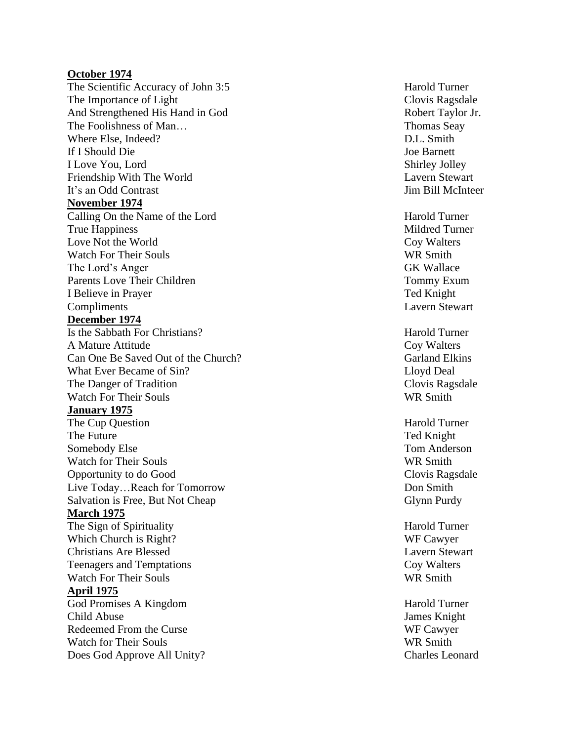#### **October 1974**

The Scientific Accuracy of John 3:5 Harold Turner The Importance of Light The Importance of Light Clovis Ragsdale And Strengthened His The Foolishness of Where Else, If I Should I Love Friendship With The It's an Odd **November 1974** Calling On the Name of **True Happiness** Love Not the Watch For Their The Lord's Anger GK Wallace Parents Love Their I Believe in Compliments Lavern Stewart **December 1974** Is the Sabbath For Christians? Harold Turner A Mature Attitude Coy Walters Can One Be Saved Out of What Ever Became of The Danger of Watch For Their **January 1975** The Cup The Future Somebody Watch for Their Opportunity to do Live Today…Reach for Tomorrow Don Smith Salvation is Free, But Not **March 1975** The Sign of Spirituality **Harold Turner** Harold Turner Which Church is Christians Are Teenagers and Temptations **Coy Walters** Watch For Their Souls WR Smith **April 1975** God Promises A Kingdom **Harold Turner** Harold Turner Child Redeemed From the Watch for Their Does God Approve All

Robert Taylor Jr. Thomas Seay D.L. Smith Joe Barnett Shirley Jolley Lavern Stewart Jim Bill McInteer

Harold Turner Mildred Turner Coy Walters WR Smith Tommy Exum Ted Knight

Garland Elkins Lloyd Deal Clovis Ragsdale WR Smith

Harold Turner Ted Knight Tom Anderson WR Smith Clovis Ragsdale Glynn Purdy

WF Cawyer Lavern Stewart

James Knight WF Cawyer WR Smith Charles Leonard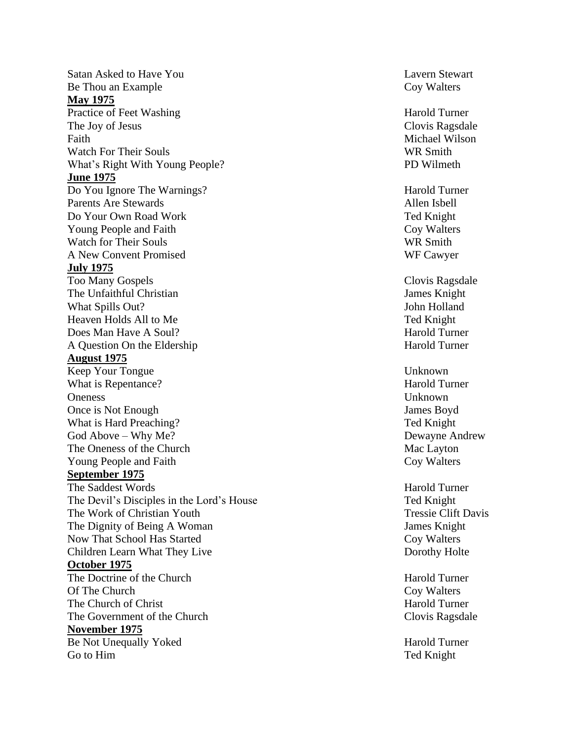Satan Asked to Have Be Thou an **May 1975** Practice of Feet Washing The Contraction of Turner Harold Turner The Joy of Jesus Faith **Michael Wilson** Watch For Their What's Right With Young **June 1975** Do You Ignore The Parents Are Do Your Own Young People and Watch for Their A New Convent **July 1975** Too Many The Unfaithful Christian James Knight What Spills Heaven Holds All to M Does Man Have A A Question On the **August 1975** Keep Your Tongue Unknown What is Repentance? The state of the Marold Turner and Turner Oneness Unknown Once is Not What is Hard Preaching? Ted Knight God Above – Why The Oneness of Young People and **September 1975** The Saddest The Devil's Disciples in the Lord's House Ted Knight The Work of Christian The Dignity of Being A Now That School Has Children Learn What They Liv **October 1975** The Doctrine of O f The Church of Christ Harold Turner Harold Turner The Government of **November 1975** Be Not Unequally Yoked Harold Turner Go to Him Ted Knight

Lavern Stewart Coy Walters

Clovis Ragsdale WR Smith PD Wilmeth

Harold Turner Allen Isbell Ted Knight Coy Walters WR Smith WF Cawyer

Clovis Ragsdale John Holland Ted Knight Harold Turner Harold Turner

James Boyd Dewayne Andrew Mac Layton Coy Walters

Harold Turner Tressie Clift Davis James Knight Coy Walters Dorothy Holte

Harold Turner Coy Walters Clovis Ragsdale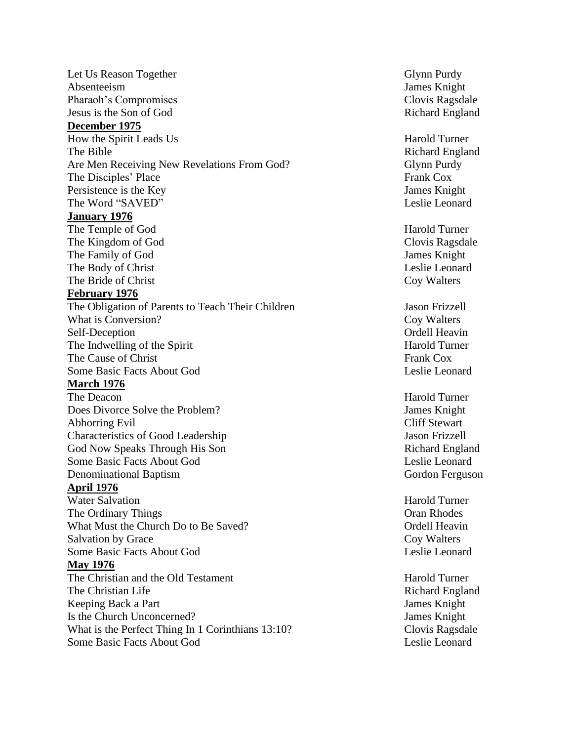Let Us Reason Together Glynn Purdy Glynn Purdy Absenteeism James Knight Pharaoh's Compromises Clovis Ragsdale Jesus is the Son of God Richard England **December 1975** How the Spirit Leads Us Harold Turner The Bible **Richard England Richard England** Are Men Receiving New Revelations From God? Glynn Purdy The Disciples' Place Frank Cox Persistence is the Key James Knight The Word "SAVED" Leslie Leonard **January 1976** The Temple of God Harold Turner The Kingdom of God Clovis Ragsdale The Family of God James Knight The Body of Christ Leslie Leonard The Bride of Christ Coy Walters **February 1976** The Obligation of Parents to Teach Their Children Jason Frizzell What is Conversion? Coy Walters Self-Deception Ordell Heavin The Indwelling of the Spirit Harold Turner The Cause of Christ Frank Cox Some Basic Facts About God Leslie Leonard **March 1976** The Deacon **Harold Turner** Harold Turner Does Divorce Solve the Problem? James Knight Abhorring Evil Cliff Stewart Characteristics of Good Leadership Jason Frizzell God Now Speaks Through His Son Richard England Some Basic Facts About God Leslie Leonard Denominational Baptism Gordon Ferguson **April 1976** Water Salvation **Harold Turner** Harold Turner The Ordinary Things **Oran Rhodes** Oran Rhodes What Must the Church Do to Be Saved? Ordell Heavin Salvation by Grace Coy Walters Some Basic Facts About God Leslie Leonard **May 1976** The Christian and the Old Testament Harold Turner Harold Turner The Christian Life **Richard England** Richard England Keeping Back a Part James Knight Is the Church Unconcerned? James Knight What is the Perfect Thing In 1 Corinthians 13:10? Clovis Ragsdale Some Basic Facts About God **Leslie Leonard** Leslie Leonard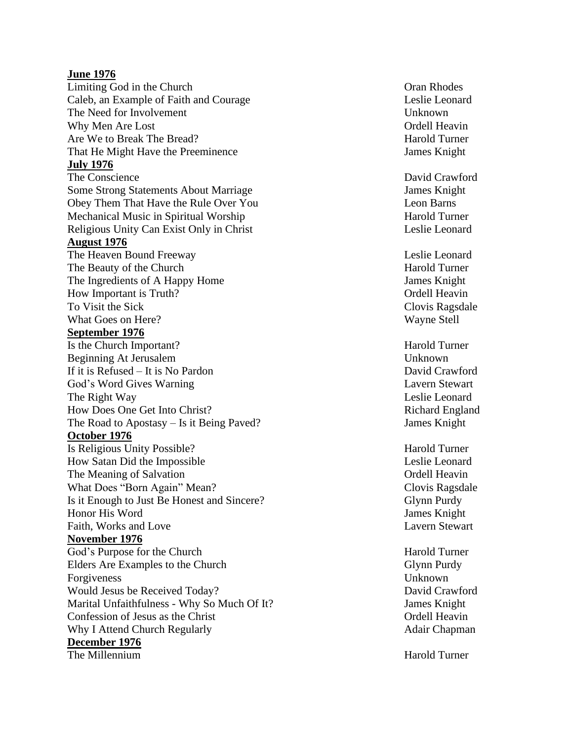#### **June 1976**

Limiting God in the Caleb, an Example of Faith and The Need for Involvement The Need for Involvement Unknown Why Men Are Lost Ordell H Are We to Break The That He Might Have the Preeminence **State Islams** James Knight **July 1976** The Conscience Some Strong Statements About Obey Them That Have the Rule O ver Mechanical Music in Spiritual Religious Unity Can Exist Only in Christ Christ Christ Leslie Leonard **August 1976** The Heaven Bound The Beauty of the The Ingredients of A Happy How Important is Truth? Conservative Conservative Conservative Conservative Conservative Conservative Conservative Conservative Conservative Conservative Conservative Conservative Conservative Conservative Conservative Con To Visit the What Goes on **September 1976** Is the Church I Beginning At Jerusalem Unknown If it is Refused – It is God's Word Gives The Right How Does One Get The Road to Apostasy – Is it Being **October 1976** Is Religious Unity How Satan Did the The Meaning of What Does "Born Again" Is it Enough to Just Be Honest and Honor His Word Faith, Works and **November 1976** God's Purpose for the Elders Are Examples to the Forgiveness Unknown Would Jesus be Received Marital Unfaithfulness - Why So Much Of Confession of Jesus as Why I Attend Church **December 1976** The Millennium **Harold Turner** 

Oran Rhodes Leslie Leonard eav i n Harold Turner

David Crawford James Knight Leon Barns Harold Turner

Leslie Leonard Harold Turner James Knight Clovis Ragsdale Wayne Stell

Harold Turner David Crawford Lavern Stewart Leslie Leonard Richard England James Knight

Harold Turner Leslie Leonard Ordell Heavin Clovis Ragsdale Glynn Purdy James Knight Lavern Stewart

Harold Turner Glynn Purdy David Crawford James Knight Ordell Heavin Adair Chapman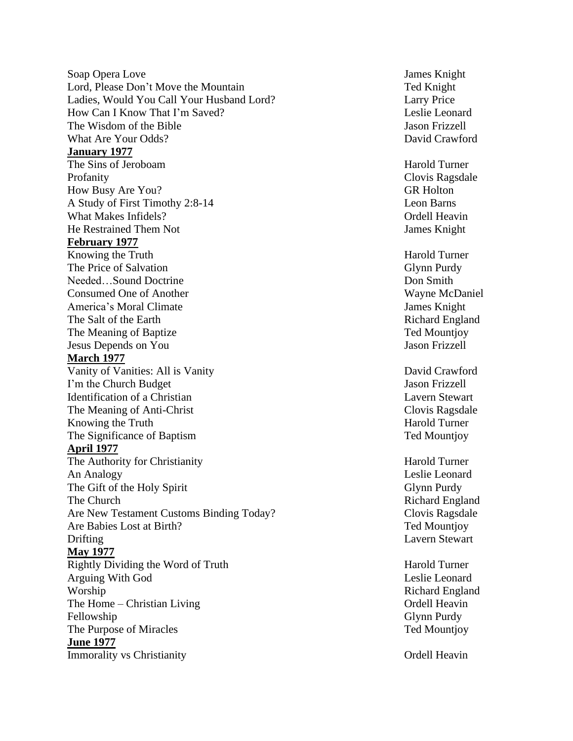Soap Opera Lord, Please Don't Move the Ladies, Would You Call Your Husband Lord? Larry Price How Can I Know That I'm The Wisdom of What Are Your **January 1977** The Sins of Jeroboam Harold Turner Profanity Clovis Ragsdale How Busy Are A Study of First Timothy 2:8 What Makes He R e strained Them **February 1977** Knowing the The Price of Needed… Sound Consumed One of America's Moral The Salt of the The Meaning of Jesus Depends on **March 1977** Vanity of Vanities: All is I'm the Church Identification of a Christian Lavern Stewart The Meaning of Anti Knowing the The Significance of **April 1977** The Authority for Christianity **Harold Turner** Harold Turner **An Analogy** The Gift of the Holy Spirit Glynn Purdy The Church Are New Testament Customs Binding Today? Clovis Ragsdale Are Babies Lost at Drifting Lavern Stewart **May 1977** Rightly Dividing the Word of Arguing With God Worship Richard England The Home – Christian Fellowship Glynn Purdy The Purpose of **June 1977 Immorality vs Christianity Ordell Heavin** 

James Knight Ted Knight Leslie Leonard Jason Frizzell David Crawford

**GR Holton** Leon Barns Ordell Heavin James Knight

Harold Turner Glynn Purdy Don Smith Wayne McDaniel James Knight Richard England Ted Mountjoy Jason Frizzell

David Crawford Jason Frizzell Clovis Ragsdale Harold Turner Ted Mountjoy

Leslie Leonard Richard England Ted Mountjoy

Harold Turner Leslie Leonard Ordell Heavin Ted Mountjoy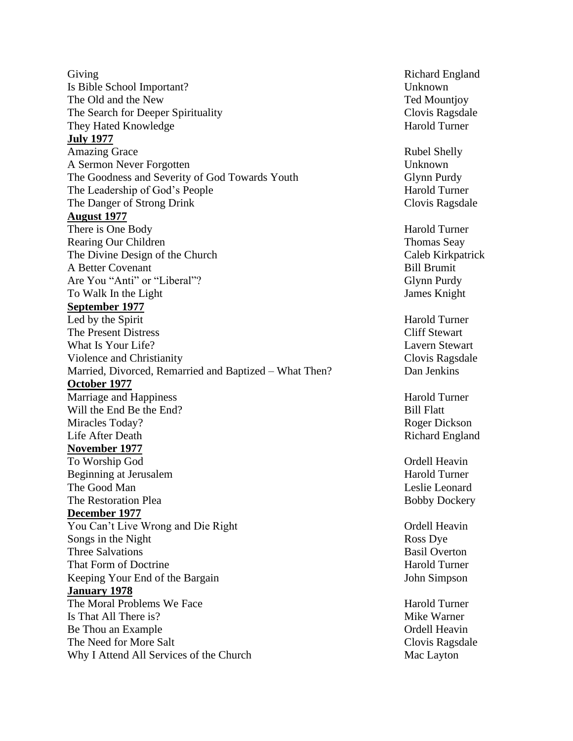Giving **Giving** Richard England Is Bible School Important? Unknown The Old and the New Ted Mountjoy The Search for Deeper Spirituality Clovis Ragsdale They Hated Knowledge Harold Turner **July 1977** Amazing Grace Rubel Shelly Rubel Shelly Rubel Shelly A Sermon Never Forgotten Unknown The Goodness and Severity of God Towards Youth Glynn Purdy The Leadership of God's People Harold Turner The Danger of Strong Drink Clovis Ragsdale **August 1977** There is One Body Harold Turner Rearing Our Children Thomas Seay The Divine Design of the Church Caleb Kirkpatrick Caleb Kirkpatrick A Better Covenant Bill Brumit Are You "Anti" or "Liberal"? To Walk In the Light James Knight **September 1977** Led by the Spirit Harold Turner The Present Distress Cliff Stewart What Is Your Life? Lavern Stewart Violence and Christianity Clovis Ragsdale Married, Divorced, Remarried and Baptized – What Then? Dan Jenkins **October 1977** Marriage and Happiness Harold Turner Will the End Be the End? Bill Flatt Miracles Today? Roger Dickson Life After Death Richard England **November 1977** To Worship God Ordell Heavin Beginning at Jerusalem Harold Turner The Good Man **Leslie** Leonard **Communist Communist Leslie** Leonard The Restoration Plea Bobby Dockery **December 1977** You Can't Live Wrong and Die Right Christian Cordell Heavin Songs in the Night Ross Dye Three Salvations Basil Overton That Form of Doctrine Harold Turner Harold Turner Keeping Your End of the Bargain John Simpson **January 1978** The Moral Problems We Face The Moral Problems We Face Harold Turner Is That All There is? Mike Warner Be Thou an Example Ordell Heavin The Need for More Salt Clovis Ragsdale Why I Attend All Services of the Church Mac Layton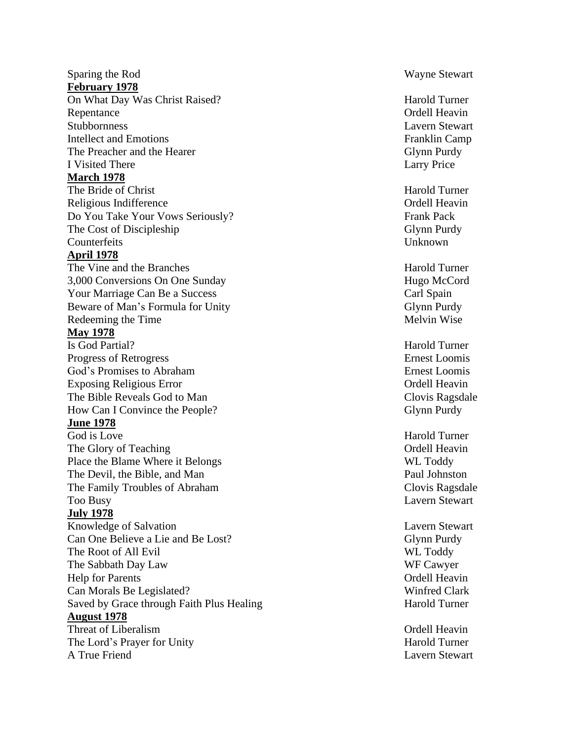#### Sparing the **February 1978**

On What Day Was Christ Raised? Harold Turner Repentance Ordell Heavin Stubbornness Lavern Stewart Intellect and The Preacher and the I Visited **March 1978**

The Bride of Christ Harold Turner Religious Indifference **Contract Contract Contract Contract Contract Contract Contract Contract Contract Contract Contract Contract Contract Contract Contract Contract Contract Contract Contract Contract Contract Contract** Do You Take Your Vows Seriously? Frank Pack The Cost of Discipleship Glynn Purdy Counterfeits Unknown

# **April 1978**

The Vine and the 3,000 Conversions On Your Marriage Can Be a Beware of Man's Formula for Redeeming the

## **May 1978**

Is God Partial? Progress of God's Promises to Abraham **Ernest** Loomis Exposing Religious The Bible Reveals God to How Can I Convince the Pe

# **June 1978**

God is Love The Glory of Teaching Place the Blame Where it The Devil, the Bible , and The Family Troubles of Abraham Clovis Ragsdale Too Busy Lavern Stewart

# **July 1978**

Knowledge of Salvation Can One Believe a Lie and Be The Root of All The Sabbath Day Law **Help for Parents** Can Morals Be Legislated? Winfred Clark Saved by Grace through Faith Plus **August 1978** Threat of Liberalism The Lord's Prayer for A True

**Wayne Stewart** 

Franklin Camp Glynn Purdy Larry Price

Harold Turner Hugo McCord Carl Spain Glynn Purdy Melvin Wise

Harold Turner Ernest Loomis Ordell Heavin Clovis Ragsdale Glynn Purdy

Harold Turner Ordell Heavin WL Toddy Paul Johnston

Lavern Stewart Glynn Purdy WL Toddy WF Cawyer Ordell Heavin Harold Turner

Ordell Heavin Harold Turner Lavern Stewart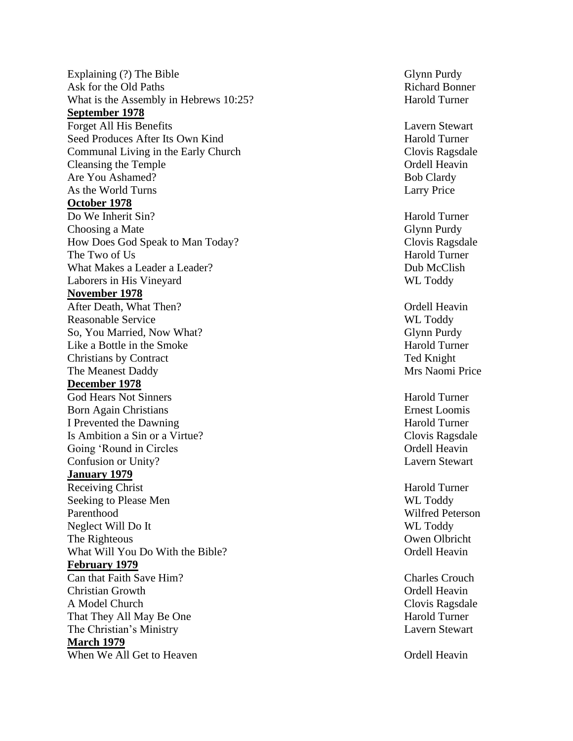Explaining (?) The Ask for the Old What is the Assembly in Hebrews 10:25? Harold Turner **September 1978** Forget All His Seed Produces After Its Own Communal Living in the Early Cleansing the Are You Ashamed As the World **October 1978** Do We Inherit Choosing a How Does God Speak to Man The Two of U What Makes a Leader a Laborers in His **November 1978** After Death, What Reasonable So, You Married, Now Like a Bottle in the Christians by The Meanest **December 1978** God Hears Not Sinners **Harold Turner** Harold Turner **Born Again Christians Example 2018 Example 2018 Example 2018 Example 2018 Example 2018 Example 2018 Example 2018** I Prevented the Dawning Harold Turner Is Ambition a Sin or a Virtue? Clovis Ragsdale Going 'Round in Circles Communication's Communication of Communication of Communication of Communication of Communication of Communication of Communication of Communication of Communication of Communication of Communicatio Confusion or Unity? Lavern Stewart **January 197 9** Receiving Christ **Harold Turner** Harold Turner Seeking to Please Parenthood Wilfred Peterson Neglect Will Do I The Righteous What Will You Do With the **February 1979** Can that Faith Save Christian A Model That They All May Be The Christian's **March 1979** When We All Get to Heaven **Exercise 2** and the Cordell Heavin

Glynn Purdy Richard Bonner

Lavern Stewart Harold Turner Clovis Ragsdale Ordell Heavin **Bob Clardy** Larry Price

Harold Turner Glynn Purdy Clovis Ragsdale Harold Turner Dub McClish WL Toddy

Ordell Heavin WL Toddy Glynn Purdy Harold Turner Ted Knight Mrs Naomi Price

WL Toddy WL Toddy **Owen Olbricht** Ordell Heavin

Charles Crouch Ordell Heavin Clovis Ragsdale Harold Turner Lavern Stewart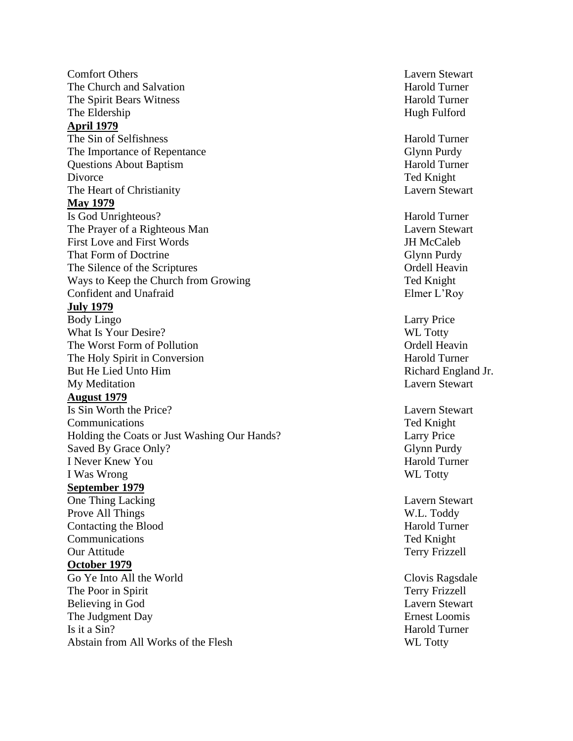Comfort Others The Church and The Spirit Bears Witness **Harold Turner** The Eldership **April 1979** The Sin of The Importance of Questions About Divorce Ted Knight The Heart of Christianity Lavern Stewart **May 1979** Is God Unrighteous? Harold Turner The Prayer of a Righteous First Love and First That Form of The Silence of the Ways to Keep the Church from Confident and **July 1979** Body Lingo Larry Price What Is Your Desire? WE Totty The Worst Form of Pollution Contract Contract Contract Contract Contract Contract Contract Contract Contract Contract Contract Contract Contract Contract Contract Contract Contract Contract Contract Contract Contract Contr The Holy Spirit in Conversion **Harold Turner** Harold Turner But He Lied Unto Him Richard England Jr. My Meditation Lavern Stewart **August 1979** Is Sin Worth the Communications Ted Knight Holding the Coats or Just Washing Our Saved By Grace I Never Knew I Was Wrong WL Tott **September 1979** One Thing Prove All Contacting the Communications Ted Knight Our Attitude Terry Frizzell **October 1979** Go Ye Into All the The Poor in Believing in God Lavern Stewart The Judgment Is it a Sin? Harold Turner Abstain from All Works of the Flesh WL Totty

Lavern Stewart Harold Turner Hugh Fulford

Harold Turner Glynn Purdy Harold Turner

Lavern Stewart JH McCaleb Glynn Purdy Ordell Heavin Ted Knight Elmer L'Roy

Lavern Stewart Larry Price Glynn Purdy Harold Turner WL Totty

Lavern Stewart W.L. Toddy Harold Turner

Clovis Ragsdale Terry Frizzell **Ernest Loomis**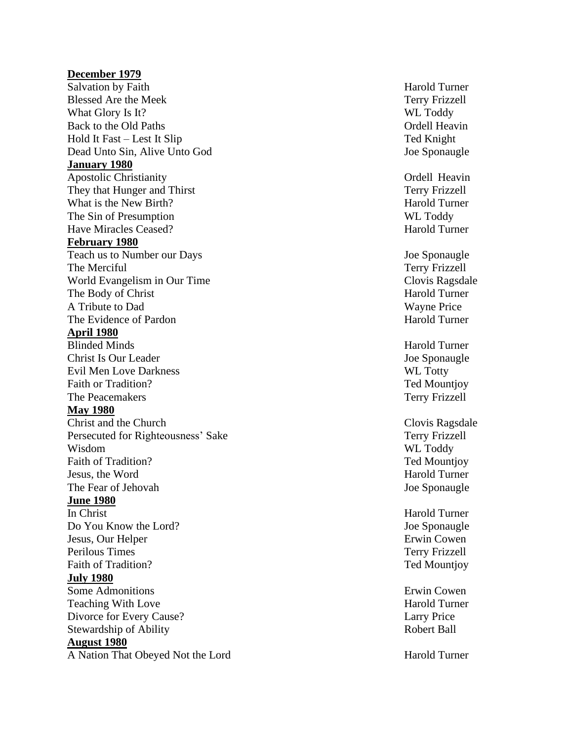#### **December 1979**

Salvation by Faith Blessed Are the What Glory Is It? WL Toddy Back to the Old Hold It Fast – Lest It Slip Ted Knight Dead Unto Sin, Alive **January 1980** Apostolic Christianity **Ordell Heavin** They that Hunger and What is the New The Sin of Presumption WL Toddy Have Miracles **February 1980** Teach us to Number our The Merciful World Evangelism in Our The Body of Christ Harold Turner A Tribute to The Evidence of **April 1980** Blinded Minds Harold Turner Christ Is Our Leader **Is a Contract Christ** Is Our Leader **Joe Sponaugle** Evil Men Love Darkness WL Totty Faith or Tradition? The Tradition of Tradition of Tradition of Tradition of Tradition of Tradition of Tradition of Tradition of Tradition of Tradition of Tradition of Tradition of Tradition of Tradition of Tradition of Tra The Peacemakers Terry Frizzell **May 1980** Christ and the Church Christ and the Church Clovis Ragsdale Persecuted for Righteousness' Wisdom WL Toddy Faith of Tradition? Jesus, the The Fear of Jehovah Joe Sponaugle **June 1980** In Christ Harold Turner Do You Know the Lord? Joe Sponaugle Jesus, Our Perilous Faith of Tradition? Ted Mountjoy **July 1980** Some Admonitions Erwin Cowen Teaching With Divorce for Every Stewardship of **August 1980** A Nation That Obeyed Not the Lord Harold Turner

Harold Turner Terry Frizzell Ordell Heavin Joe Sponaugle

Terry Frizzell Harold Turner Harold Turner

Joe Sponaugle Terry Frizzell Clovis Ragsdale Wayne Price Harold Turner

Terry Frizzell Ted Mountiov Harold Turner

Erwin Cowen Terry Frizzell

Harold Turner Larry Price Robert Ball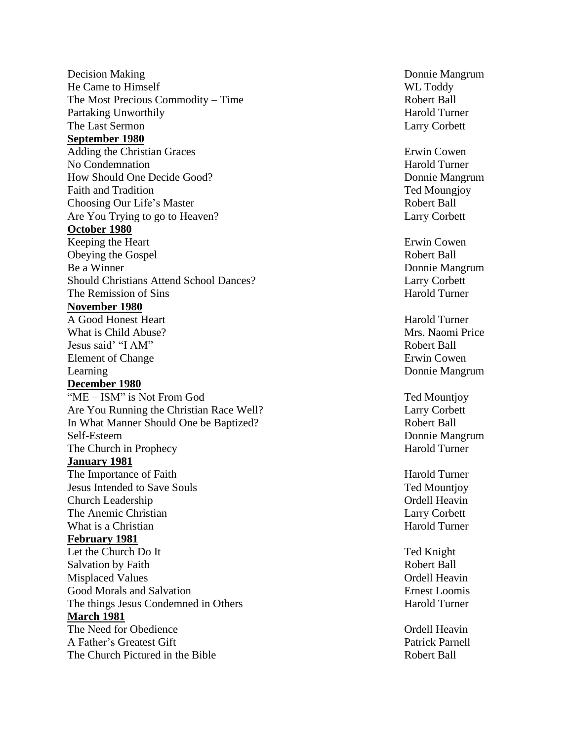Decision Making He Came to The Most Precious Commodity Partaking Unworthily The Last **September 1980** Adding the Christian No Condemnation **Harold Turner** How Should One Decide Faith and Choosing Our Life's Are You Trying to go to Heaven? Larry Corbett **October 1980** Keeping the Obeying the Be a Winner Should Christians Attend School The Remission of **November 1980** A Good Honest What is Child Jesus said' "I AM" Robert Ball Element of Learning Donnie Mangrum Donnie Mangrum **December 1980** "ME – ISM" is Not Are You Running the Christian Race In What Manner Should One be Self-The Church in Prophecy **Fig. 2.1 The Church in Prophecy Harold Turner January 1981** The Importance of Faith The Importance of Faith Harold Turner Jesus Intended to Save S o **Church Leadership** The Anemic Christian Larry Corbett What is a Christian **Harold Turner** Harold Turner **February 1981** Let the Church Do I Salvation by Faith **Robert Ball Misplaced Values** Good Morals and The things Jesus Condemned in **March 1981** The Need for A Father's Greatest The Church Pictured in

Donnie Mangrum WL Toddy Robert Ball Harold Turner Larry Corbett

Erwin Cowen Donnie Mangrum Ted Moungjoy Robert Ball

Erwin Cowen Robert Ball Donnie Mangrum Larry Corbett Harold Turner

Harold Turner Mrs. Naomi Price Erwin Cowen

Ted Mountioy Larry Corbett Robert Ball Donnie Mangrum

Ted Mountjoy Ordell Heavin

Ted Knight Ordell Heavin Ernest Loomis Harold Turner

Ordell Heavin Patrick Parnell Robert Ball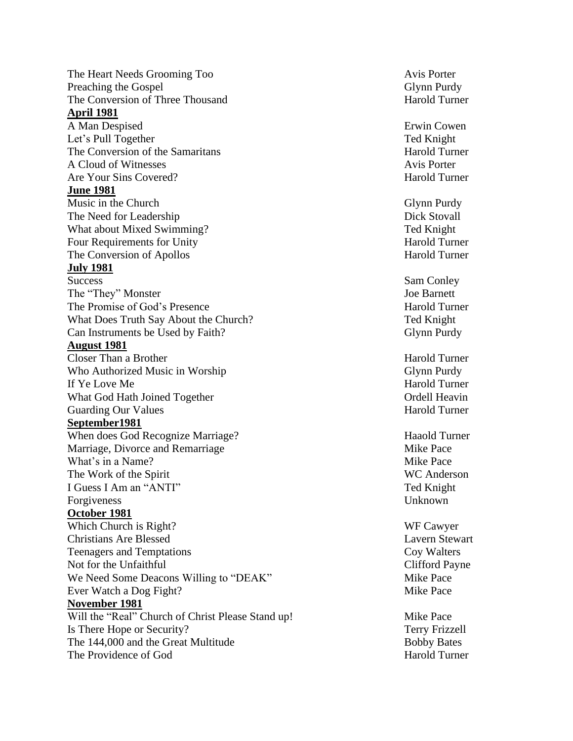The Heart Needs Grooming Preaching the Gospel The Conversion of Three **April 1981** A Man Let's Pull The Conversion of the Samar A Cloud of Are Your Sins **June 1981** Music in the Church Glynn Purdy Glynn Purdy The Need for Leadership Dick Stovall What about Mixed Swimming Four Requirements for The Conversion of Apollos **Harold Turner July 1981** Success Sam Conley The "They" Monster The Promise of God's What Does Truth Say About the Church? Ted Knight Can Instruments be Used by **August 1981** Closer Than a Who Authorized Music in If Y e Love M What God Hath Joined Guarding Our **September1981** When does God Recognize Marriage, Divorce and Remarriage and all the Mike Pace What's in a Name? The Work of the I Guess I Am an "ANTI" Ted Knight Forgiveness Unknown **October 1981** Which Church is Christians Are Teenagers and Temptations Coy Walters Not for the We Need Some Deacons Willing to "DEAK" Mike Pace Ever Watch a Dog Fight? Mike Pace **November 1981** Will the "Real" Church of Christ Please Stand up! Mike Pace Is There Hope or The 144,000 and the Great The Providence of God Harold Turner

Avis Porter Glynn Purdy Harold Turner

Erwin Cowen Ted Knight Harold Turner Avis Porter Harold Turner

Ted Knight Harold Turner

Joe Barnett Harold Turner Glynn Purdy

Harold Turner Glynn Purdy Harold Turner Ordell Heavin Harold Turner

Haaold Turner Mike Pace WC Anderson

WF Cawyer Lavern Stewart Clifford Payne

Terry Frizzell **Bobby Bates**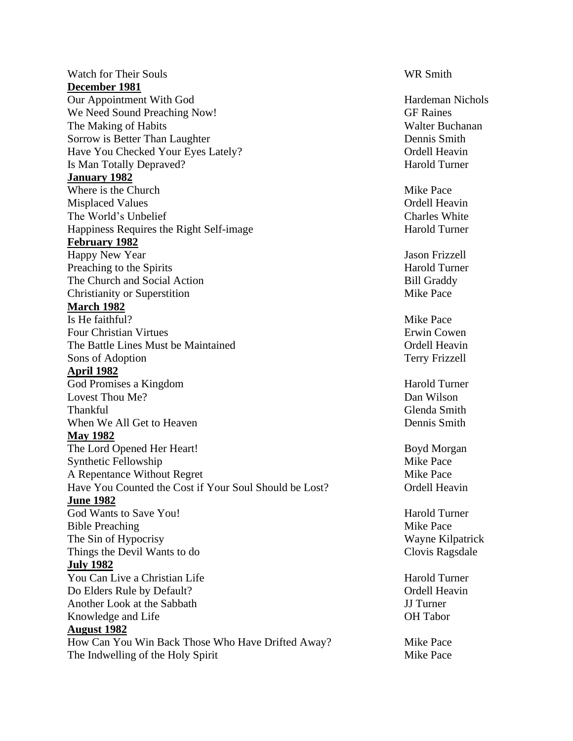Watch for Their Souls WR Smith **December 1981** Our Appointment With God Hardeman Nichols We Need Sound Preaching Now! GF Raines The Making of Habits The Making of Habits New York 1988. The Making of Habits New York 1988. The Making of Habits New York 1988. The Making of Habits New York 1988. The Making of Habits New York 1988. The Making of Habits Sorrow is Better Than Laughter **Dennis Smith** Have You Checked Your Eyes Lately? Ordell Heavin Is Man Totally Depraved? Harold Turner **January 1982** Where is the Church Mike Pace Misplaced Values and the contract of the contract of the contract of the contract of the contract of the contract of the contract of the contract of the contract of the contract of the contract of the contract of the contr The World's Unbelief Charles White Happiness Requires the Right Self-image Harold Turner **February 1982** Happy New Year Jason Frizzell Preaching to the Spirits Harold Turner The Church and Social Action Bill Graddy Christianity or Superstition Mike Pace **March 1982** Is He faithful? Mike Pace Four Christian Virtues Erwin Cowen The Battle Lines Must be Maintained Ordell Heavin Sons of Adoption Terry Frizzell **April 1982** God Promises a Kingdom Harold Turner Lovest Thou Me? Dan Wilson Thankful Glenda Smith When We All Get to Heaven **Dennis Smith** Dennis Smith **May 1982** The Lord Opened Her Heart! Boyd Morgan Synthetic Fellowship Mike Pace A Repentance Without Regret Mike Pace Have You Counted the Cost if Your Soul Should be Lost? Ordell Heavin **June 1982** God Wants to Save You! Solution of the Save You! Bible Preaching Nike Pace The Sin of Hypocrisy Wayne Kilpatrick Things the Devil Wants to do Clovis Ragsdale **July 1982** You Can Live a Christian Life Harold Turner Do Elders Rule by Default? Contract the Contract of the Contract of Contract of the Contract of the Contract of Contract of the Contract of the Contract of the Contract of the Contract of the Contract of the Contract of th Another Look at the Sabbath JJ Turner Knowledge and Life **OH** Tabor **August 1982** How Can You Win Back Those Who Have Drifted Away? Mike Pace The Indwelling of the Holy Spirit Mike Pace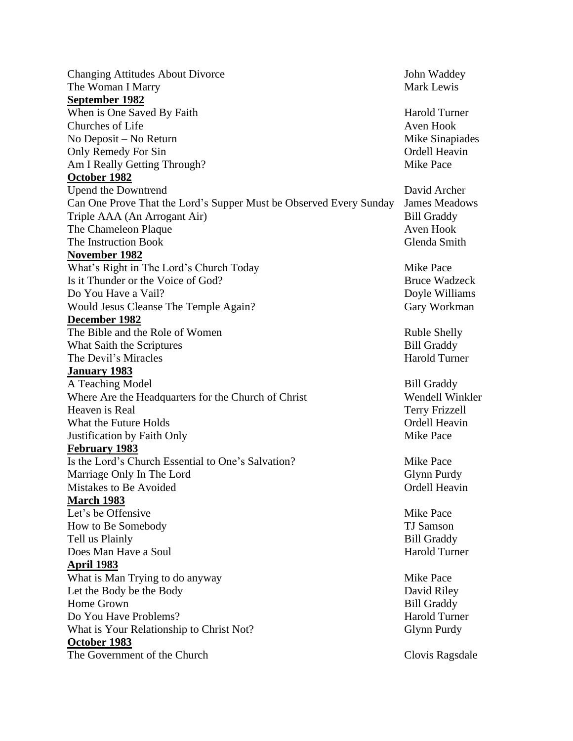Changing Attitudes About Divorce John Waddey The Woman I Marry Narry Mark Lewis Number of the Mark Lewis Number of the Mark Lewis Number of the Mark Lewis Number of the Mark Lewis Number of the Mark Lewis Number of the Mark Lewis Number of the Mark Lewis Number of th **September 1982** When is One Saved By Faith Harold Turner Churches of Life Aven Hook No Deposit – No Return Mike Sinapiades Only Remedy For Sin Ordell Heavin Am I Really Getting Through? Mike Pace **October 1982** Upend the Downtrend David Archer Can One Prove That the Lord's Supper Must be Observed Every Sunday James Meadows Triple AAA (An Arrogant Air) Bill Graddy The Chameleon Plaque **Aven Hook** Aven Hook The Instruction Book Glenda Smith **November 1982** What's Right in The Lord's Church Today Mike Pace Is it Thunder or the Voice of God? Bruce Wadzeck Do You Have a Vail? Doyle Williams Would Jesus Cleanse The Temple Again? Gary Workman **December 1982** The Bible and the Role of Women Ruble Shelly What Saith the Scriptures Bill Graddy The Devil's Miracles **Harold Turner** Harold Turner **January 1983** A Teaching Model and the state of the Bill Graddy Where Are the Headquarters for the Church of Christ Wendell Winkler Heaven is Real Terry Frizzell What the Future Holds **Containers** Constanting Constanting Constanting Constanting Ordell Heavin Justification by Faith Only **Mike Pace February 1983** Is the Lord's Church Essential to One's Salvation? Mike Pace Marriage Only In The Lord Glynn Purdy Mistakes to Be Avoided **Ordell Heavin March 1983** Let's be Offensive Mike Pace How to Be Somebody TJ Samson Tell us Plainly **Bill Graddy** Does Man Have a Soul **Harold Turner** Harold Turner **April 1983** What is Man Trying to do anyway Mike Pace Let the Body be the Body David Riley Home Grown Bill Graddy Do You Have Problems? And Turner have problems and the set of the set of the Harold Turner has been harded to the Harold Turner What is Your Relationship to Christ Not? Glynn Purdy **October 1983** The Government of the Church Clovis Ragsdale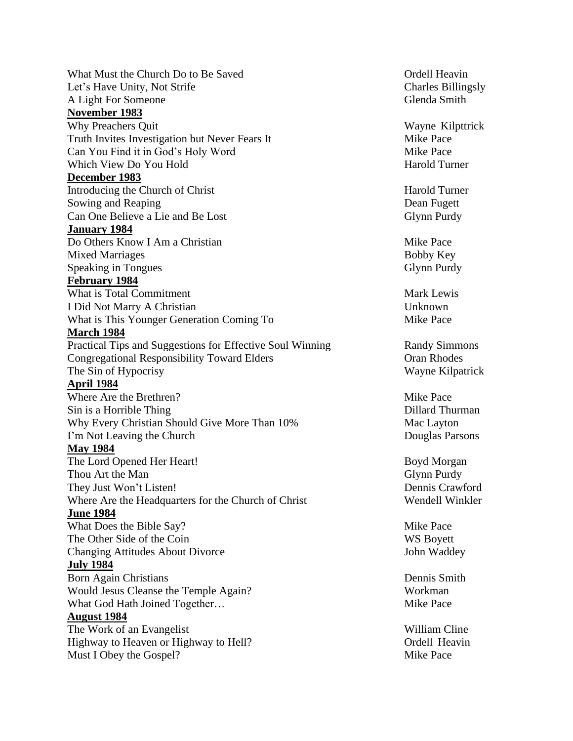What Must the Church Do to Be Saved Church Church Church and Church Church Church Church Church Church Church Church Church Church Church Church Church Church Church Church Church Church Church Church Church Church Church Let's Have Unity, Not Strife Charles Billingsly A Light For Someone Glenda Smith **November 1983** Why Preachers Quit Wayne Kilpttrick Truth Invites Investigation but Never Fears It Mike Pace Can You Find it in God's Holy Word Mike Pace Which View Do You Hold Harold Turner **December 1983** Introducing the Church of Christ Harold Turner Sowing and Reaping **Dean Fugett** Dean Fugett Can One Believe a Lie and Be Lost Glynn Purdy **January 1984** Do Others Know I Am a Christian Mike Pace Mixed Marriages and the Marriages and the Marriages and the Marriages and the Marriages and the Marriages and the Marriage of the Marriages and the Marriages and the Marriage of the Marriages and the Marriages and the Marr Speaking in Tongues Glynn Purdy **February 1984** What is Total Commitment **Mark Lewis** Mark Lewis I Did Not Marry A Christian Unknown What is This Younger Generation Coming To Mike Pace **March 1984** Practical Tips and Suggestions for Effective Soul Winning Randy Simmons Congregational Responsibility Toward Elders **Congregational Responsibility Toward Elders** Congregation The Sin of Hypocrisy Wayne Kilpatrick **April 1984** Where Are the Brethren? Mike Pace Sin is a Horrible Thing Dillard Thurman Why Every Christian Should Give More Than 10% Mac Layton I'm Not Leaving the Church Douglas Parsons **May 1984** The Lord Opened Her Heart! Boyd Morgan Thou Art the Man Glynn Purdy They Just Won't Listen! Dennis Crawford Where Are the Headquarters for the Church of Christ Wendell Winkler **June 1984** What Does the Bible Say? Mike Pace The Other Side of the Coin WS Boyett Changing Attitudes About Divorce John Waddey **July 1984** Born Again Christians Dennis Smith Would Jesus Cleanse the Temple Again? Workman What God Hath Joined Together… Solution of the Mike Pace Mike Pace **August 1984** The Work of an Evangelist William Cline Highway to Heaven or Highway to Hell? Ordell Heavin Must I Obey the Gospel? Mike Pace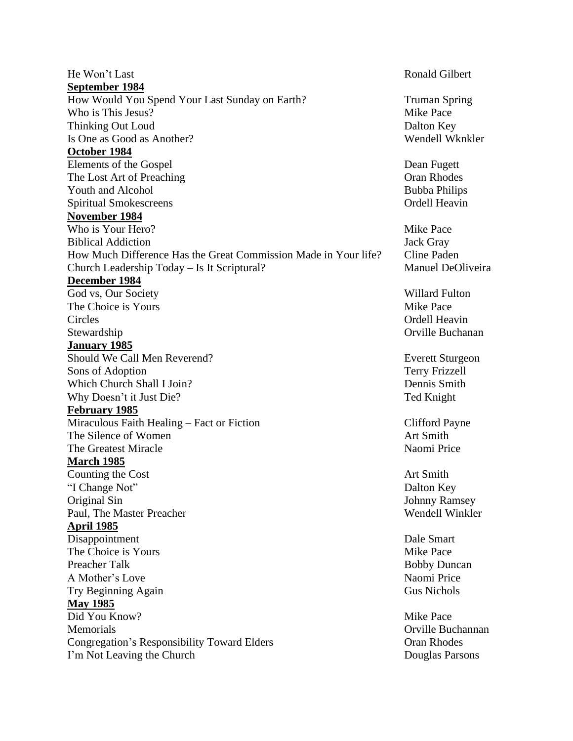He Won't Last Ronald Gilbert **September 1984** How Would You Spend Your Last Sunday on Earth? Truman Spring Who is This Jesus? Mike Pace Thinking Out Loud **Dalton Key** Is One as Good as Another? Wendell Wknkler **October 1984** Elements of the Gospel Dean Fugett The Lost Art of Preaching Cran Rhodes Youth and Alcohol Bubba Philips Spiritual Smokescreens **Spiritual** Smokescreens **Ordell Heavin November 1984** Who is Your Hero? Mike Pace Biblical Addiction Jack Gray How Much Difference Has the Great Commission Made in Your life? Cline Paden Church Leadership Today – Is It Scriptural? Manuel DeOliveira **December 1984** God vs, Our Society **Willard Fulton** The Choice is Yours and the Choice is Yours Mike Pace Circles Ordell Heavin Stewardship **Orville Buchanan** Orville Buchanan **January 1985** Should We Call Men Reverend? Everett Sturgeon Sons of Adoption Terry Frizzell Which Church Shall I Join? Dennis Smith Why Doesn't it Just Die? Ted Knight **February 1985** Miraculous Faith Healing – Fact or Fiction Clifford Payne The Silence of Women Art Smith The Greatest Miracle Naomi Price Naomi Price **March 1985** Counting the Cost **Art Smith** "I Change Not" Dalton Key Original Sin Johnny Ramsey Paul, The Master Preacher Wendell Winkler **April 1985** Disappointment Dale Smart The Choice is Yours and the Choice is Yours Mike Pace Preacher Talk Bobby Duncan A Mother's Love Naomi Price Naomi Price Try Beginning Again Gus Nichols **May 1985** Did You Know? Mike Pace Memorials **Memorials** Orville Buchannan Congregation's Responsibility Toward Elders **Congregation's Responsibility Toward Elders** Congregation's Responsibility I'm Not Leaving the Church Douglas Parsons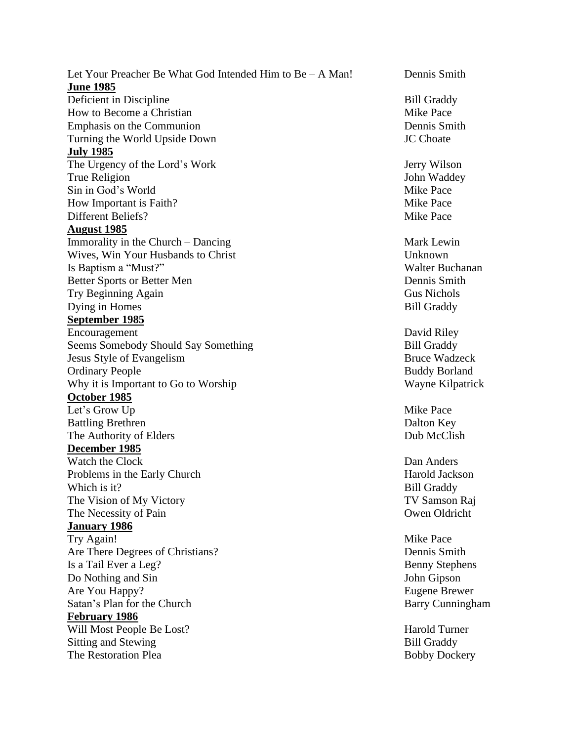Let Your Preacher Be What God Intended Him to  $Be - A$  Man! Dennis Smith **June 1985** Deficient in Discipline Bill Graddy How to Become a Christian Mike Pace Emphasis on the Communion **Dennis Smith** Dennis Smith Turning the World Upside Down JC Choate **July 1985** The Urgency of the Lord's Work Jerry Wilson True Religion **I**ohn Waddey Sin in God's World Mike Pace How Important is Faith? Mike Pace Different Beliefs? Mike Pace **August 1985** Immorality in the Church – Dancing Mark Lewin Wives, Win Your Husbands to Christ Unknown Is Baptism a "Must?" Walter Buchanan Better Sports or Better Men Dennis Smith Try Beginning Again Gus Nichols Dying in Homes Bill Graddy **September 1985** Encouragement David Riley Seems Somebody Should Say Something Bill Graddy Jesus Style of Evangelism Bruce Wadzeck Ordinary People Buddy Borland Why it is Important to Go to Worship Wayne Kilpatrick **October 1985** Let's Grow Up Mike Pace Battling Brethren Dalton Key The Authority of Elders Dub McClish **December 1985** Watch the Clock Dan Anders Problems in the Early Church **Harold Jackson** Harold Jackson Which is it? Bill Graddy The Vision of My Victory TV Samson Raj The Necessity of Pain **Owen Oldricht** Owen Oldricht **January 1986** Try Again! Mike Pace Are There Degrees of Christians? Dennis Smith Is a Tail Ever a Leg? Benny Stephens Do Nothing and Sin John Gipson Are You Happy? Eugene Brewer Satan's Plan for the Church Barry Cunningham **February 1986** Will Most People Be Lost? Harold Turner Sitting and Stewing **Bill Graddy** The Restoration Plea Bobby Dockery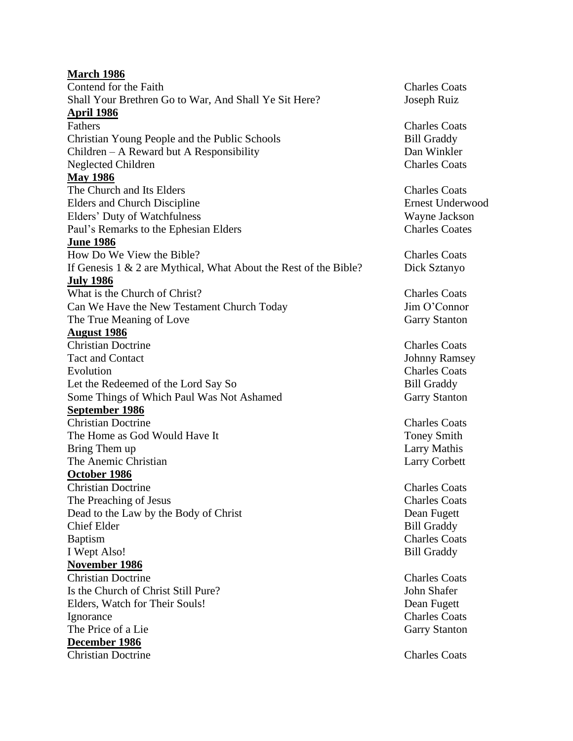| <b>March 1986</b>                                                   |                         |
|---------------------------------------------------------------------|-------------------------|
| Contend for the Faith                                               | <b>Charles Coats</b>    |
| Shall Your Brethren Go to War, And Shall Ye Sit Here?               | Joseph Ruiz             |
| <b>April 1986</b>                                                   |                         |
| Fathers                                                             | <b>Charles Coats</b>    |
| Christian Young People and the Public Schools                       | <b>Bill Graddy</b>      |
| Children $-$ A Reward but A Responsibility                          | Dan Winkler             |
| <b>Neglected Children</b>                                           | <b>Charles Coats</b>    |
| <b>May 1986</b>                                                     |                         |
| The Church and Its Elders                                           | <b>Charles Coats</b>    |
| <b>Elders and Church Discipline</b>                                 | <b>Ernest Underwood</b> |
| Elders' Duty of Watchfulness                                        | Wayne Jackson           |
| Paul's Remarks to the Ephesian Elders                               | <b>Charles Coates</b>   |
| <b>June 1986</b>                                                    |                         |
| How Do We View the Bible?                                           | <b>Charles Coats</b>    |
| If Genesis $1 \& 2$ are Mythical, What About the Rest of the Bible? | Dick Sztanyo            |
| <b>July 1986</b>                                                    |                         |
| What is the Church of Christ?                                       | <b>Charles Coats</b>    |
| Can We Have the New Testament Church Today                          | Jim O'Connor            |
| The True Meaning of Love                                            | <b>Garry Stanton</b>    |
| <b>August 1986</b>                                                  |                         |
| <b>Christian Doctrine</b>                                           | <b>Charles Coats</b>    |
| <b>Tact and Contact</b>                                             | <b>Johnny Ramsey</b>    |
| Evolution                                                           | <b>Charles Coats</b>    |
| Let the Redeemed of the Lord Say So                                 | <b>Bill Graddy</b>      |
| Some Things of Which Paul Was Not Ashamed                           | <b>Garry Stanton</b>    |
| September 1986                                                      |                         |
| <b>Christian Doctrine</b>                                           | <b>Charles Coats</b>    |
| The Home as God Would Have It                                       | <b>Toney Smith</b>      |
| Bring Them up                                                       | Larry Mathis            |
| The Anemic Christian                                                | <b>Larry Corbett</b>    |
| October 1986                                                        |                         |
| <b>Christian Doctrine</b>                                           | <b>Charles Coats</b>    |
| The Preaching of Jesus                                              | <b>Charles Coats</b>    |
| Dead to the Law by the Body of Christ                               | Dean Fugett             |
| <b>Chief Elder</b>                                                  | <b>Bill Graddy</b>      |
| Baptism                                                             | <b>Charles Coats</b>    |
| I Wept Also!                                                        | <b>Bill Graddy</b>      |
| November 1986                                                       |                         |
| <b>Christian Doctrine</b>                                           | <b>Charles Coats</b>    |
| Is the Church of Christ Still Pure?                                 | John Shafer             |
| Elders, Watch for Their Souls!                                      | Dean Fugett             |
| Ignorance                                                           | <b>Charles Coats</b>    |
| The Price of a Lie                                                  | <b>Garry Stanton</b>    |
| December 1986                                                       |                         |
| <b>Christian Doctrine</b>                                           | <b>Charles Coats</b>    |
|                                                                     |                         |
|                                                                     |                         |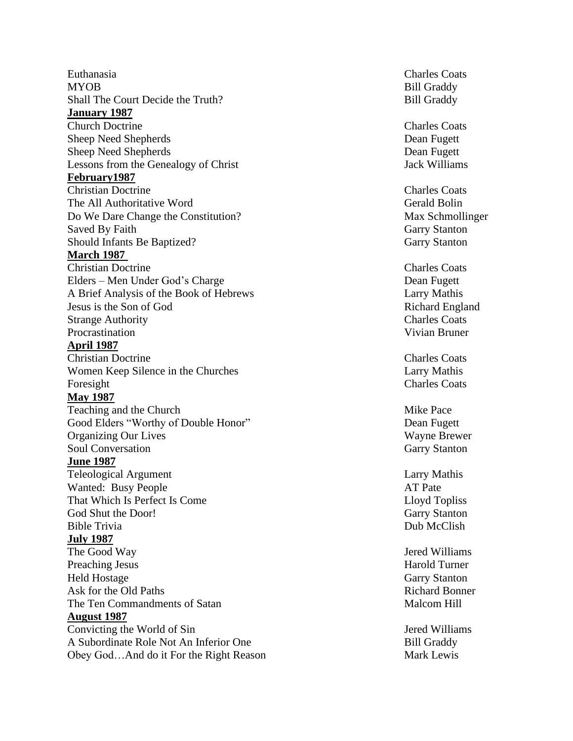Euthanasia Charles Coats MYOB Bill Graddy Shall The Court Decide the **January 1987 Church Doctrine** Sheep Need Shepherds Dean Fugett Sheep Need Shepherds Dean Fugett Lessons from the Genealogy of Christ The Seasons from the Genealogy of Christ The Seasons Jack Williams **February1987** Christian The All Authoritative Word Gerald Bolin Do We Dare Change Saved By Should Infants Be **March 1987 Christian Doctrine** Elders – Men Under God's A Brief Analysis of the Book of Hebrews Larry Mathis Jesus is the Son of God **Strange Authority** Procrastination **Procrastination** Vivian Bruner **April 1987** Christian Women Keep Silence in the Foresight Charles Coats **May 1987** Teaching and the Good Elders "Worthy of Double **Organizing Our Lives** Soul Conversation Garry Stanton **June 1987** Teleological Wanted: Busy People That Which Is Perfect Is God Shut the Bible Trivia **Dub McClish July 1987** The Good Preaching Jesus Harold Turner Held Hostage Garry Stanton Ask for the Old The Ten Commandments of Satan Malcom Hill **August 1987** Convicting the World of A Subordinate Role Not An Inferior Obey God… And do it For the Right

Bill Graddy

Charles Coats

Charles Coats Max Schmollinger **Garry Stanton Garry Stanton** 

Charles Coats Dean Fugett Richard England Charles Coats

Charles Coats Larry Mathis

**Mike Pace** Dean Fugett Wayne Brewer

Larry Mathis AT Pate Lloyd Topliss **Garry Stanton** 

Jered Williams Richard Bonner

Jered Williams **Bill Graddy** Mark Lewis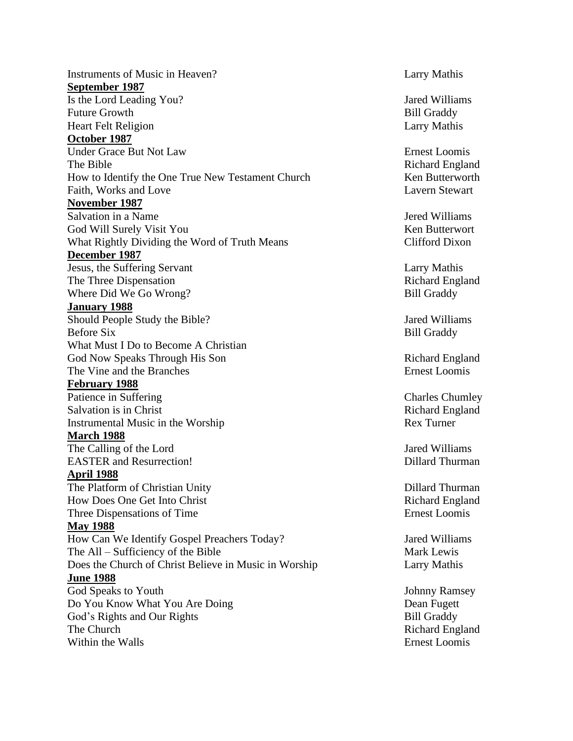Instruments of Music in Heaven? Larry Mathis **September 1987** Is the Lord Leading You? Jared Williams Future Growth **Bill Graddy** Heart Felt Religion Larry Mathis **October 1987** Under Grace But Not Law Ernest Loomis The Bible Richard England How to Identify the One True New Testament Church Ken Butterworth Faith, Works and Love Lavern Stewart **November 1987** Salvation in a Name  $\overline{\phantom{a}}$  Salvation in a Name  $\overline{\phantom{a}}$  and  $\overline{\phantom{a}}$  are  $\overline{\phantom{a}}$  and  $\overline{\phantom{a}}$  are  $\overline{\phantom{a}}$  and  $\overline{\phantom{a}}$  are  $\overline{\phantom{a}}$  and  $\overline{\phantom{a}}$  are  $\overline{\phantom{a}}$  and  $\overline{\phantom{a}}$  are  $\overline{\phantom{a}}$ God Will Surely Visit You New York 1988 States and Ken Butterwort What Rightly Dividing the Word of Truth Means Clifford Dixon **December 1987** Jesus, the Suffering Servant Larry Mathis The Three Dispensation The Three Dispensation Richard England Where Did We Go Wrong? Bill Graddy **January 1988** Should People Study the Bible? Jared Williams Before Six Bill Graddy What Must I Do to Become A Christian God Now Speaks Through His Son Richard England The Vine and the Branches **Exercise Exercise Exercise** Ernest Loomis **February 1988** Patience in Suffering Charles Chumley Salvation is in Christ Richard England Instrumental Music in the Worship Rex Turner **March 1988** The Calling of the Lord Jared Williams EASTER and Resurrection! Dillard Thurman **April 1988** The Platform of Christian Unity **Dillard Thurman** How Does One Get Into Christ Richard England Three Dispensations of Time Ernest Loomis **May 1988** How Can We Identify Gospel Preachers Today? Jared Williams The All – Sufficiency of the Bible Mark Lewis Does the Church of Christ Believe in Music in Worship Larry Mathis **June 1988** God Speaks to Youth Johnny Ramsey Do You Know What You Are Doing Dean Fugett God's Rights and Our Rights Bill Graddy The Church Richard England Within the Walls **Example 2018** Security 1.1 and 2.1 and 2.1 and 2.1 and 2.1 and 2.1 and 2.1 and 2.1 and 2.1 and 2.1 and 2.1 and 2.1 and 2.1 and 2.1 and 2.1 and 2.1 and 2.1 and 2.1 and 2.1 and 2.1 and 2.1 and 2.1 and 2.1 a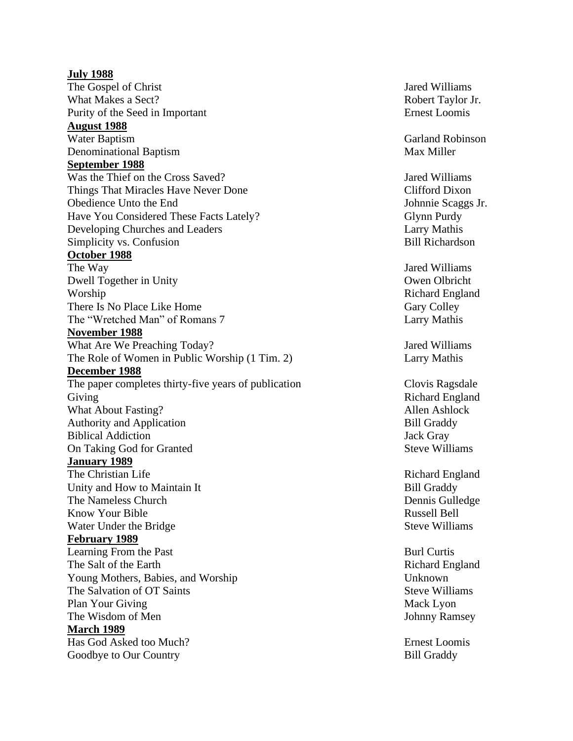**July 1988** The Gospel of Christ Jared Williams What Makes a Purity of the Seed in **August 1988 Water Baptism** Denominational **September 1988** Was the Thief on the Cross Things That Miracles Have Never Obedience Unto the Have You Considered These Facts Developing Churches and Simplicity vs. Confusion Bill Richardson **October 1988** The Way Dwell Together in Worship Richard England There Is No Place Like The "Wretched Man" of Romans **November 1988** What Are We Preaching The Role of Women in Public Worship (1 Tim. 2) Larry Mathis **December 1988** The paper completes thirty-five years of publication Clovis Ragsdale Giving Richard England What About Authority and Application **Bill Graddy** Biblical Addiction Jack Gray On Taking God for **January 1989** The Christian Life Richard England Unity and How to Maintain I The Nameless **Know Your Bible** Water Under the **February 1989** Learning From the The Salt of the Young Mothers, Babies, and Worship Unknown The Salvation of OT Plan Your The Wisdom of **March 1989** Has God Asked too Goodbye to Our

Robert Taylor Jr. Ernest Loomis

Garland Robinson Max Miller

Jared Williams Clifford Dixon Johnnie Scaggs Jr. Glynn Purdy Larry Mathis

**Jared Williams** Owen Olbricht Gary Colley Larry Mathis

Jared Williams

Allen Ashlock **Steve Williams** 

**Bill Graddy** Dennis Gulledge Russell Bell **Steve Williams** 

**Burl Curtis** Richard England Steve Williams Mack Lyon Johnny Ramsey

**Ernest Loomis** Bill Graddy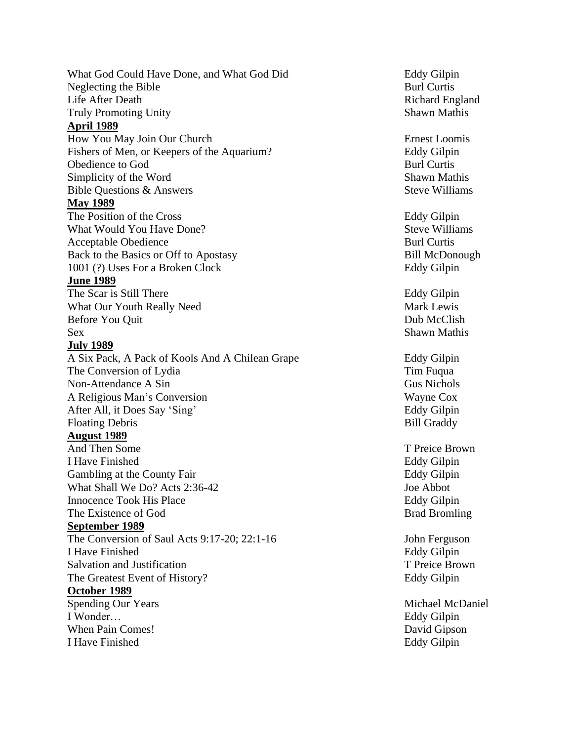What God Could Have Done, and What God Neglecting the Bible Life After Truly Promoting **April 1989** How You May Join Our Fishers of Men, or Keepers of the Obedience to God Burl Curtis Simplicity of the Word Bible Questions & **May 1989** The Position of the What Would You Have Acceptable Obedience **Burl Curtis** Back to the Basics or Off to 1001 (?) Uses For a Broken **June 1989** The Scar is Still What Our Youth Really Before You Sex Shawn Mathis Shawn Mathis Shawn Mathis Shawn Mathis Shawn Mathis Shawn Mathis Shawn Mathis Shawn Mathis Shawn Mathis Shawn Mathis Shawn Mathis Shawn Mathis Shawn Mathis Shawn Mathis Shawn Mathis Shawn Mathis Shawn Math **July 1989** A Six Pack, A Pack of Kools And A Chilean Grape Eddy Gilpin The Conversion of Lydia The Conversion of Lydia Non -Attendance A A Religious Man's Conversion Wayne Cox After All, it Does **Floating Debris August 1989** And Then I Have Gambling at the County What Shall We Do? Acts 2:3 6 Innocence Took His The Existence of God Bromling **September 1989** The Conversion of Saul Acts 9:17 -20; 22:1 I Have Salvation and The Greatest Event of **October 1989** Spending Our I Wonder... When Pain I Have

Eddy Gilpin **Burl Curtis** Richard England **Shawn Mathis** 

Ernest Loomis Eddy Gilpin **Shawn Mathis Steve Williams** 

Eddy Gilpin **Steve Williams** Bill McDonough Eddy Gilpin

Eddy Gilpin Mark Lewis Dub McClish

Gus Nichols Eddy Gilpin Bill Graddy

T Preice Brown Eddy Gilpin Eddy Gilpin Joe Abbot **Eddy Gilpin** 

John Ferguson Eddy Gilpin T Preice Brown Eddy Gilpin

Michael McDaniel Eddy Gilpin David Gipson Eddy Gilpin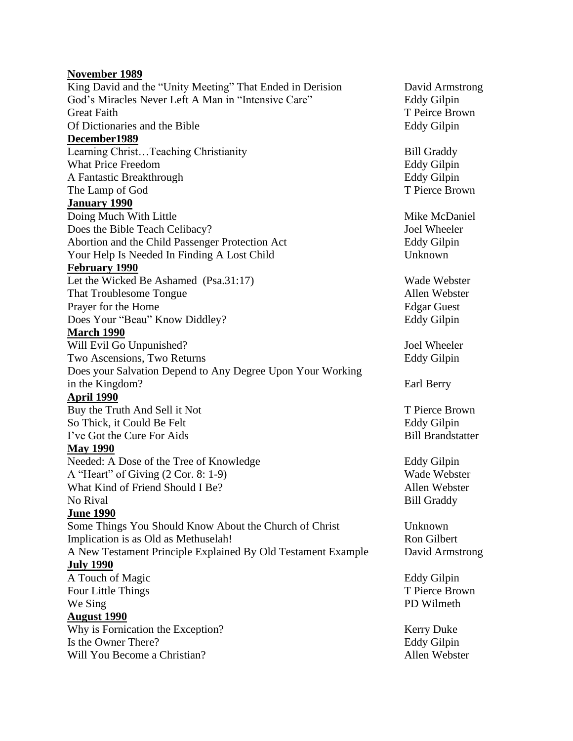#### **November 1989**

King David and the "Unity Meeting" That Ended in Derision David Armstrong God's Miracles Never Left A Man in "Intensive Care" Eddy Gilpin Great Faith T Peirce Brown Of Dictionaries and the Bible Eddy Gilpin **December1989** Learning Christ...Teaching Christianity Bill Graddy What Price Freedom **Eddy Gilpin** A Fantastic Breakthrough Eddy Gilpin The Lamp of God T Pierce Brown **January 1990** Doing Much With Little Mike McDaniel Does the Bible Teach Celibacy? Joel Wheeler Abortion and the Child Passenger Protection Act Eddy Gilpin Your Help Is Needed In Finding A Lost Child Unknown **February 1990** Let the Wicked Be Ashamed (Psa.31:17) Wade Webster That Troublesome Tongue **Allen** Webster Prayer for the Home Edgar Guest Does Your "Beau" Know Diddley? Eddy Gilpin **March 1990** Will Evil Go Unpunished? Joel Wheeler Two Ascensions, Two Returns **Eddy Gilpin** Does your Salvation Depend to Any Degree Upon Your Working in the Kingdom? Earl Berry **April 1990** Buy the Truth And Sell it Not T Pierce Brown So Thick, it Could Be Felt **Eddy Gilpin** Eddy Gilpin I've Got the Cure For Aids **Bill Brandstatter May 1990** Needed: A Dose of the Tree of Knowledge Eddy Gilpin A "Heart" of Giving (2 Cor. 8: 1-9) Wade Webster What Kind of Friend Should I Be? Allen Webster No Rival Bill Graddy Bill Graddy **June 1990** Some Things You Should Know About the Church of Christ Unknown Implication is as Old as Methuselah! Ron Gilbert A New Testament Principle Explained By Old Testament Example David Armstrong **July 1990** A Touch of Magic Eddy Gilpin Four Little Things T Pierce Brown We Sing PD Wilmeth **August 1990** Why is Fornication the Exception? Kerry Duke Is the Owner There? Eddy Gilpin Will You Become a Christian? Allen Webster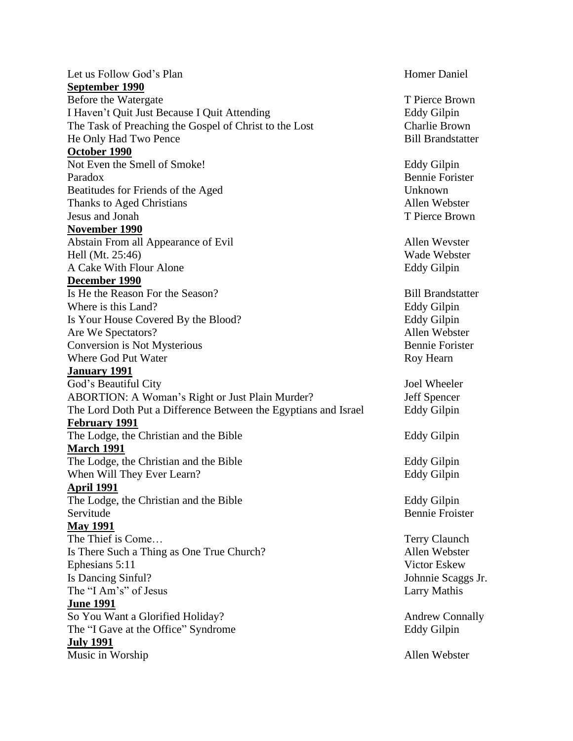| Let us Follow God's Plan                                        | <b>Homer Daniel</b>      |
|-----------------------------------------------------------------|--------------------------|
| September 1990                                                  |                          |
| Before the Watergate                                            | T Pierce Brown           |
| I Haven't Quit Just Because I Quit Attending                    | <b>Eddy Gilpin</b>       |
| The Task of Preaching the Gospel of Christ to the Lost          | <b>Charlie Brown</b>     |
| He Only Had Two Pence                                           | <b>Bill Brandstatter</b> |
| October 1990                                                    |                          |
| Not Even the Smell of Smoke!                                    | Eddy Gilpin              |
| Paradox                                                         | <b>Bennie Forister</b>   |
| Beatitudes for Friends of the Aged                              | Unknown                  |
| Thanks to Aged Christians                                       | Allen Webster            |
| Jesus and Jonah                                                 | T Pierce Brown           |
| November 1990                                                   |                          |
| Abstain From all Appearance of Evil                             | Allen Wevster            |
| Hell (Mt. 25:46)                                                | Wade Webster             |
| A Cake With Flour Alone                                         | <b>Eddy Gilpin</b>       |
| December 1990                                                   |                          |
| Is He the Reason For the Season?                                | <b>Bill Brandstatter</b> |
| Where is this Land?                                             | <b>Eddy Gilpin</b>       |
| Is Your House Covered By the Blood?                             | <b>Eddy Gilpin</b>       |
| Are We Spectators?                                              | Allen Webster            |
| Conversion is Not Mysterious                                    | <b>Bennie Forister</b>   |
| Where God Put Water                                             | Roy Hearn                |
| <b>January 1991</b>                                             |                          |
|                                                                 |                          |
|                                                                 |                          |
| God's Beautiful City                                            | Joel Wheeler             |
| <b>ABORTION: A Woman's Right or Just Plain Murder?</b>          | Jeff Spencer             |
| The Lord Doth Put a Difference Between the Egyptians and Israel | <b>Eddy Gilpin</b>       |
| <b>February 1991</b>                                            |                          |
| The Lodge, the Christian and the Bible                          | Eddy Gilpin              |
| <b>March 1991</b>                                               |                          |
| The Lodge, the Christian and the Bible                          | Eddy Gilpin              |
| When Will They Ever Learn?                                      | <b>Eddy Gilpin</b>       |
| <u>April 1991</u>                                               |                          |
| The Lodge, the Christian and the Bible                          | Eddy Gilpin              |
| Servitude                                                       | <b>Bennie Froister</b>   |
| <b>May 1991</b>                                                 |                          |
| The Thief is Come                                               | Terry Claunch            |
| Is There Such a Thing as One True Church?                       | Allen Webster            |
| Ephesians 5:11                                                  | Victor Eskew             |
| Is Dancing Sinful?                                              | Johnnie Scaggs Jr.       |
| The "I Am's" of Jesus                                           | <b>Larry Mathis</b>      |
| <b>June 1991</b>                                                |                          |
| So You Want a Glorified Holiday?                                | <b>Andrew Connally</b>   |
| The "I Gave at the Office" Syndrome                             | Eddy Gilpin              |
| <b>July 1991</b><br>Music in Worship                            | Allen Webster            |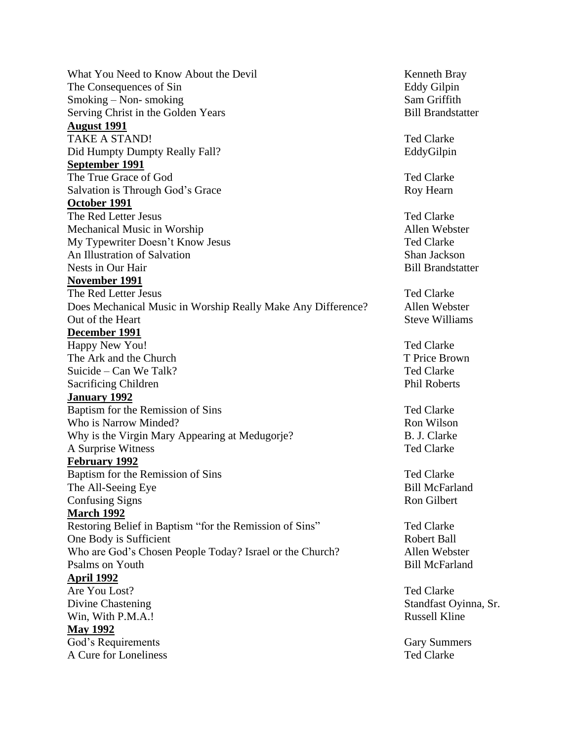What You Need to Know About the Devil the State of the Kenneth Bray The Consequences of Sin Eddy Gilpin Smoking – Non- smoking Sam Griffith Serving Christ in the Golden Years Bill Brandstatter **August 1991** TAKE A STAND! Ted Clarke Did Humpty Dumpty Really Fall? EddyGilpin **September 1991** The True Grace of God Ted Clarke Salvation is Through God's Grace Roy Hearn **October 1991** The Red Letter Jesus Ted Clarke Mechanical Music in Worship Network and Allen Webster My Typewriter Doesn't Know Jesus Ted Clarke An Illustration of Salvation Shan Jackson Nests in Our Hair and Solution and Solution and Solution and Bill Brandstatter **November 1991** The Red Letter Jesus Ted Clarke Does Mechanical Music in Worship Really Make Any Difference? Allen Webster Out of the Heart Steve Williams **December 1991** Happy New You! Ted Clarke The Ark and the Church The Ark and the Church T Price Brown Suicide – Can We Talk? The Clarke Can We Talk? Sacrificing Children **Phil Roberts** Phil Roberts **January 1992** Baptism for the Remission of Sins Ted Clarke Who is Narrow Minded? Ron Wilson Why is the Virgin Mary Appearing at Medugorje? B. J. Clarke A Surprise Witness Ted Clarke **February 1992** Baptism for the Remission of Sins Ted Clarke The All-Seeing Eye Bill McFarland Confusing Signs Ron Gilbert **March 1992** Restoring Belief in Baptism "for the Remission of Sins" Ted Clarke One Body is Sufficient Robert Ball Who are God's Chosen People Today? Israel or the Church? Allen Webster Psalms on Youth Bill McFarland **April 1992** Are You Lost? The You Lost? Divine Chastening Standfast Oyinna, Sr. Win, With P.M.A.! Russell Kline **May 1992** God's Requirements Gary Summers Gary Summers A Cure for Loneliness Ted Clarke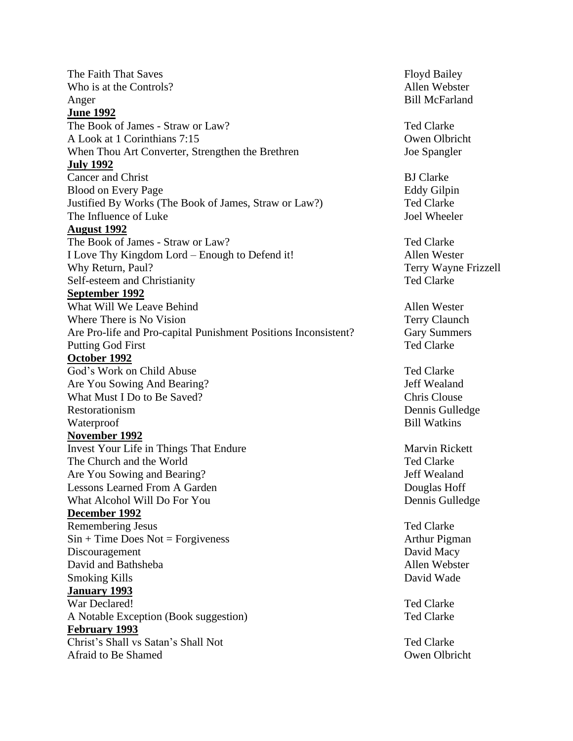The Faith That Saves Floyd Bailey Who is at the Controls? Allen Webster Anger Bill McFarland **June 1992** The Book of James - Straw or Law? The Book of James - Straw or Law? A Look at 1 Corinthians 7:15 Owen Olbricht When Thou Art Converter, Strengthen the Brethren Joe Spangler **July 1992** Cancer and Christ BJ Clarke Blood on Every Page Eddy Gilpin Justified By Works (The Book of James, Straw or Law?) Ted Clarke The Influence of Luke Intervention of Luke Joel Wheeler **August 1992** The Book of James - Straw or Law? The Book of James - Straw or Law? I Love Thy Kingdom Lord – Enough to Defend it! Allen Wester Why Return, Paul? Terry Wayne Frizzell Self-esteem and Christianity Ted Clarke **September 1992** What Will We Leave Behind Allen Wester Where There is No Vision Terry Claunch Are Pro-life and Pro-capital Punishment Positions Inconsistent? Gary Summers Putting God First Ted Clarke **October 1992** God's Work on Child Abuse Ted Clarke Are You Sowing And Bearing? Jeff Wealand What Must I Do to Be Saved? Chris Clouse Chris Clouse Restorationism Dennis Gulledge Waterproof Bill Watkins **November 1992** Invest Your Life in Things That Endure Marvin Rickett The Church and the World Ted Clarke Are You Sowing and Bearing? Jeff Wealand Lessons Learned From A Garden Douglas Hoff What Alcohol Will Do For You Dennis Gulledge **December 1992** Remembering Jesus Ted Clarke  $Sin + Time Does Not = For giveness$  Arthur Pigman Discouragement David Macy David and Bathsheba Allen Webster Smoking Kills David Wade **January 1993** War Declared! Ted Clarke A Notable Exception (Book suggestion) Ted Clarke **February 1993** Christ's Shall vs Satan's Shall Not Ted Clarke Afraid to Be Shamed **Owen Olbricht** Contact the Shamed Contact of the Shamed Contact of the Owen Olbricht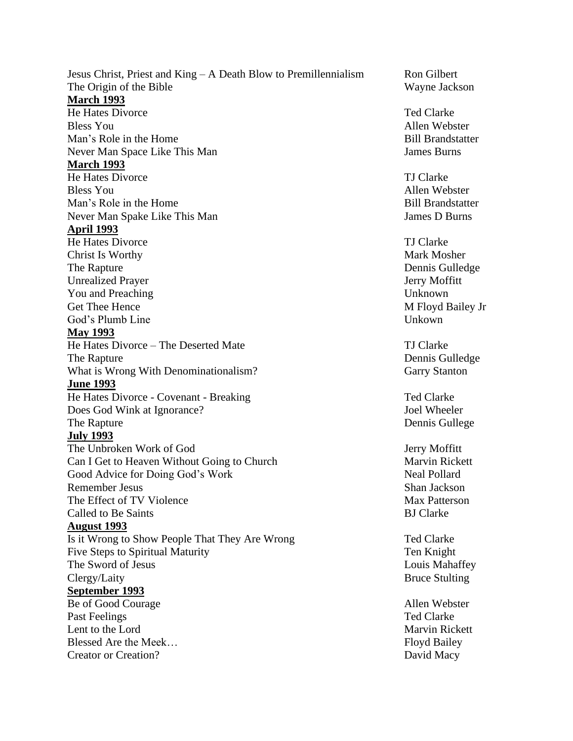Jesus Christ, Priest and King – A Death Blow to Premillennialism Ron Gilbert The Origin of the Bible Wayne Jackson **March 1993** He Hates Divorce Ted Clarke Bless You Allen Webster Man's Role in the Home **Bill Brandstatter** Never Man Space Like This Man James Burns James Burns **March 1993** He Hates Divorce TJ Clarke Bless You Allen Webster Man's Role in the Home Bill Brandstatter Never Man Spake Like This Man James D Burns **April 1993** He Hates Divorce TJ Clarke Christ Is Worthy Mark Mosher New York 1988 and 2008 and 2008 and 2008 and 2008 and 2008 and 2008 and 2008 and 2008 and 2008 and 2008 and 2008 and 2008 and 2008 and 2008 and 2008 and 2008 and 2008 and 2008 and 2008 and 2008 The Rapture Dennis Gulledge Unrealized Prayer Jerry Moffitt You and Preaching Unknown Get Thee Hence M Floyd Bailey Jr God's Plumb Line Unkown **May 1993** He Hates Divorce – The Deserted Mate TJ Clarke The Rapture Dennis Gulledge What is Wrong With Denominationalism? Garry Stanton **June 1993** He Hates Divorce - Covenant - Breaking Ted Clarke Does God Wink at Ignorance? Joel Wheeler The Rapture Dennis Gullege **July 1993** The Unbroken Work of God Jerry Moffitt Can I Get to Heaven Without Going to Church Marvin Rickett Good Advice for Doing God's Work Neal Pollard Remember Jesus Shan Jackson The Effect of TV Violence The Effect of TV Violence Max Patterson Called to Be Saints **BJ Clarke August 1993** Is it Wrong to Show People That They Are Wrong Ted Clarke Five Steps to Spiritual Maturity Ten Knight The Sword of Jesus **Louis Mahaffey** Clergy/Laity Bruce Stulting **September 1993** Be of Good Courage Allen Webster Past Feelings Ted Clarke Lent to the Lord Marvin Rickett Blessed Are the Meek... Creator or Creation? David Macy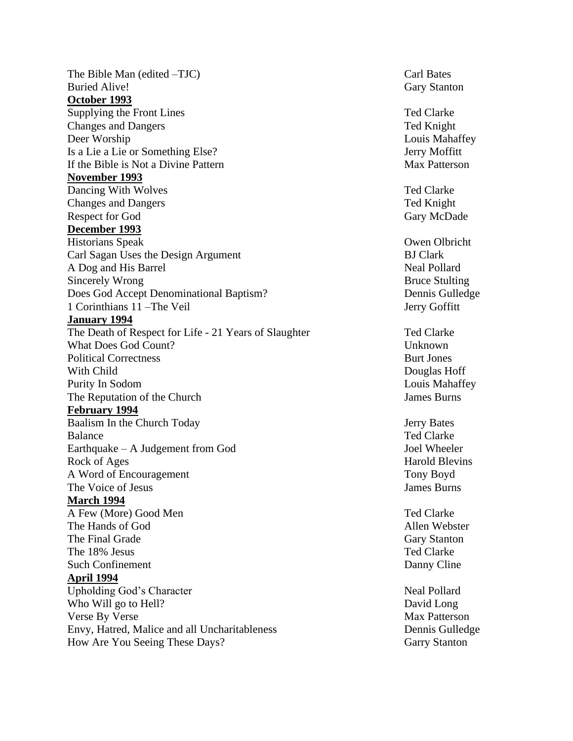The Bible Man (edited –TJC) Carl Bates Buried Alive! Gary Stanton **October 1993** Supplying the Front Lines Ted Clarke Changes and Dangers Ted Knight Deer Worship Louis Mahaffey Is a Lie a Lie or Something Else? Jerry Moffitt If the Bible is Not a Divine Pattern Max Patterson **November 1993** Dancing With Wolves Ted Clarke Changes and Dangers Ted Knight Respect for God Gary McDade **December 1993** Historians Speak Owen Olbricht Carl Sagan Uses the Design Argument BJ Clark A Dog and His Barrel Neal Pollard Sincerely Wrong Bruce Stulting Does God Accept Denominational Baptism? Dennis Gulledge 1 Corinthians 11 – The Veil Jerry Goffitt **January 1994** The Death of Respect for Life - 21 Years of Slaughter Ted Clarke What Does God Count? Unknown Political Correctness Burt Jones Burt Jones Burt Jones Burt Jones Burt Jones Burt Jones Burt Jones Burt Jones Burt Jones Burt Jones Burt Jones Burt Jones Burt Jones Burt Jones Burt Jones Burt Jones Burt Jones Burt Jones Bu With Child Douglas Hoff Purity In Sodom **Louis Mahaffey Louis Mahaffey** The Reputation of the Church James Burns James Burns **February 1994** Baalism In the Church Today Jerry Bates Balance Ted Clarke Earthquake – A Judgement from God Joel Wheeler Rock of Ages Harold Blevins A Word of Encouragement Tony Boyd The Voice of Jesus James Burns James Burns James Burns James Burns James Burns James Burns James Burns James Burns James Burns James Burns James Burns James Burns James Burns James Burns James Burns James Burns James Burns **March 1994** A Few (More) Good Men Ted Clarke The Hands of God Allen Webster The Final Grade Gary Stanton Gary Stanton The 18% Jesus Ted Clarke Such Confinement Danny Cline **April 1994** Upholding God's Character Neal Pollard Who Will go to Hell? David Long Verse By Verse Max Patterson Envy, Hatred, Malice and all Uncharitableness Dennis Gulledge How Are You Seeing These Days? Garry Stanton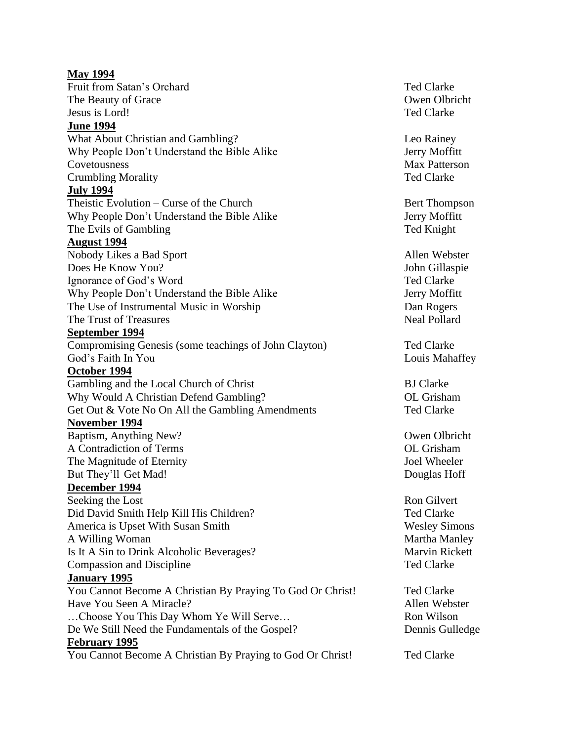**May 1994** Fruit from Satan's Orchard Ted Clarke The Beauty of Grace **Owen Olbricht** Owen Olbricht Jesus is Lord! Ted Clarke **June 1994**  What About Christian and Gambling? Leo Rainey Why People Don't Understand the Bible Alike Jerry Moffitt Covetousness Max Patterson Crumbling Morality Ted Clarke **July 1994** Theistic Evolution – Curse of the Church Bert Thompson Why People Don't Understand the Bible Alike Jerry Moffitt The Evils of Gambling Ted Knight **August 1994** Nobody Likes a Bad Sport Allen Webster Does He Know You? John Gillaspie Ignorance of God's Word **Ted Clarke** Ted Clarke Why People Don't Understand the Bible Alike Jerry Moffitt The Use of Instrumental Music in Worship Dan Rogers The Trust of Treasures The Trust of Treasures Neal Pollard **September 1994** Compromising Genesis (some teachings of John Clayton) Ted Clarke God's Faith In You Louis Mahaffey **October 1994** Gambling and the Local Church of Christ BJ Clarke Why Would A Christian Defend Gambling? OL Grisham Get Out & Vote No On All the Gambling Amendments Ted Clarke **November 1994** Baptism, Anything New? Owen Olbricht A Contradiction of Terms OL Grisham The Magnitude of Eternity **Solution** Joel Wheeler But They'll Get Mad! Douglas Hoff **December 1994** Seeking the Lost Ron Gilvert Did David Smith Help Kill His Children? Ted Clarke America is Upset With Susan Smith Wesley Simons A Willing Woman Martha Manley Is It A Sin to Drink Alcoholic Beverages? Marvin Rickett Compassion and Discipline Ted Clarke **January 1995** You Cannot Become A Christian By Praying To God Or Christ! Ted Clarke Have You Seen A Miracle? Allen Webster Allen Webster ...Choose You This Day Whom Ye Will Serve... Ron Wilson De We Still Need the Fundamentals of the Gospel? Dennis Gulledge **February 1995** You Cannot Become A Christian By Praying to God Or Christ! Ted Clarke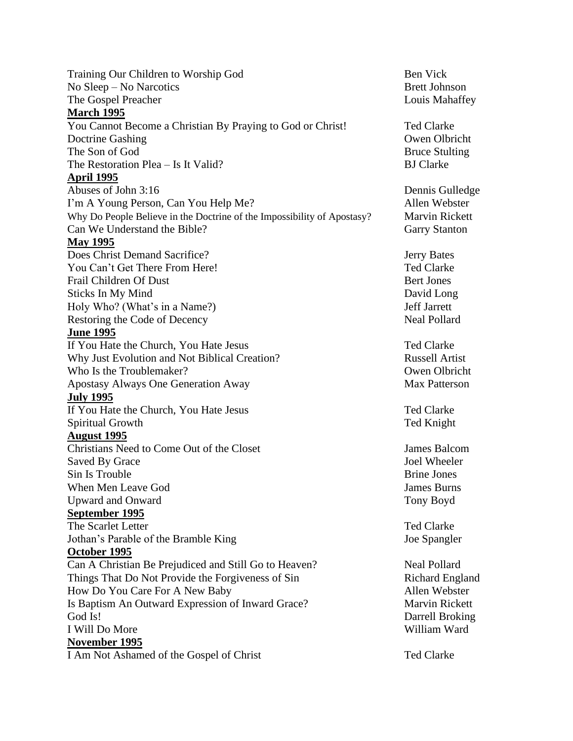Training Our Children to Worship God Ben Vick No Sleep – No Narcotics Brett Johnson The Gospel Preacher **Louis Mahaffey** Louis Mahaffey **March 1995** You Cannot Become a Christian By Praying to God or Christ! Ted Clarke Doctrine Gashing **Doctrine Gashing Owen Olbricht** The Son of God Bruce Stulting The Restoration Plea – Is It Valid? BJ Clarke **April 1995** Abuses of John 3:16 Dennis Gulledge I'm A Young Person, Can You Help Me? Allen Webster Why Do People Believe in the Doctrine of the Impossibility of Apostasy? Marvin Rickett Can We Understand the Bible? Garry Stanton **May 1995** Does Christ Demand Sacrifice? Jerry Bates You Can't Get There From Here! The South of the Clarke Ted Clarke Frail Children Of Dust Bert Jones Bert Jones Sticks In My Mind David Long Holy Who? (What's in a Name?) Jeff Jarrett Restoring the Code of Decency Neal Pollard **June 1995** If You Hate the Church, You Hate Jesus Ted Clarke Why Just Evolution and Not Biblical Creation? Russell Artist Who Is the Troublemaker? Owen Olbricht Apostasy Always One Generation Away Max Patterson **July 1995** If You Hate the Church, You Hate Jesus Ted Clarke Spiritual Growth Ted Knight **August 1995** Christians Need to Come Out of the Closet James Balcom Saved By Grace Joel Wheeler Sin Is Trouble **Brine Jones** When Men Leave God **James Burns** James Burns Upward and Onward Tony Boyd **September 1995** The Scarlet Letter The Scarlet Letter The Scarlet Letter Ted Clarke Jothan's Parable of the Bramble King Joe Spangler **October 1995** Can A Christian Be Prejudiced and Still Go to Heaven? Neal Pollard Things That Do Not Provide the Forgiveness of Sin Richard England How Do You Care For A New Baby Allen Webster Is Baptism An Outward Expression of Inward Grace? Marvin Rickett God Is! Darrell Broking I Will Do More William Ward **November 1995** I Am Not Ashamed of the Gospel of Christ Ted Clarke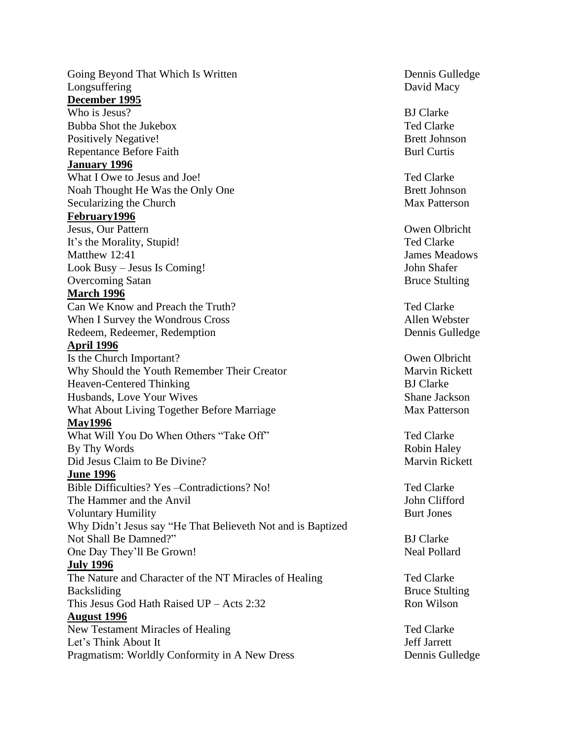Going Beyond That Which Is Written **Dennis Gulledge** Dennis Gulledge Longsuffering David Macy **December 1995** Who is Jesus? BJ Clarke Bubba Shot the Jukebox Ted Clarke Positively Negative! Brett Johnson Repentance Before Faith Burl Curtis **Burl Curtis January 1996** What I Owe to Jesus and Joe! The South of Ted Clarke Ted Clarke Noah Thought He Was the Only One Brett Johnson Secularizing the Church Max Patterson **February1996** Jesus, Our Pattern Owen Olbricht It's the Morality, Stupid! Ted Clarke Matthew 12:41 James Meadows Look Busy – Jesus Is Coming! John Shafer Overcoming Satan Bruce Stulting **March 1996** Can We Know and Preach the Truth? Ted Clarke When I Survey the Wondrous Cross Allen Webster Redeem, Redeemer, Redemption Dennis Gulledge **April 1996** Is the Church Important? Owen Olbricht Why Should the Youth Remember Their Creator Marvin Rickett Heaven-Centered Thinking BJ Clarke Husbands, Love Your Wives Shane Jackson What About Living Together Before Marriage Max Patterson **May1996** What Will You Do When Others "Take Off" Ted Clarke By Thy Words **Robin Haley** Robin Haley Robin Haley Did Jesus Claim to Be Divine? Marvin Rickett **June 1996** Bible Difficulties? Yes –Contradictions? No! Ted Clarke The Hammer and the Anvil **I** and the Anvil **John Clifford** Voluntary Humility **Burt Jones** Burt Jones Why Didn't Jesus say "He That Believeth Not and is Baptized Not Shall Be Damned?" BJ Clarke One Day They'll Be Grown! Neal Pollard **July 1996** The Nature and Character of the NT Miracles of Healing Ted Clarke Backsliding Bruce Stulting Bruce Stulting Bruce Stulting Bruce Stulting This Jesus God Hath Raised  $UP -$  Acts 2:32 Ron Wilson **August 1996** New Testament Miracles of Healing Ted Clarke Let's Think About It Pragmatism: Worldly Conformity in A New Dress Dennis Gulledge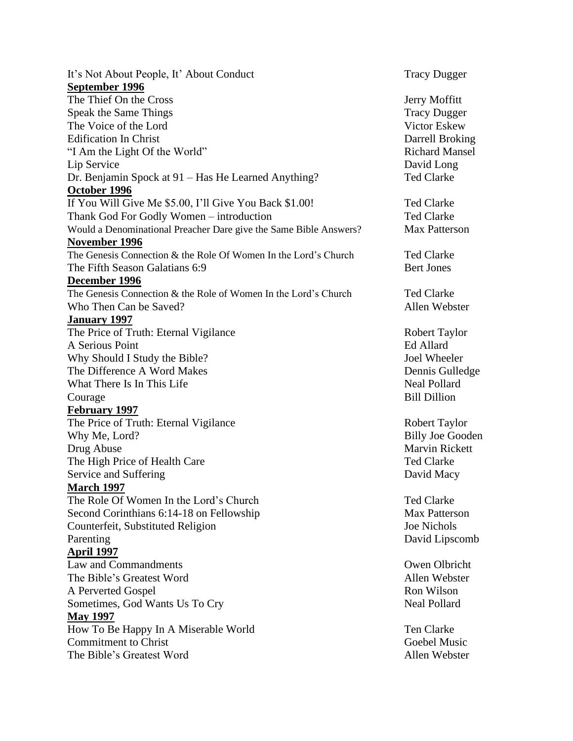It's Not About People, It' About Conduct Tracy Dugger **September 1996** The Thief On the Cross Jerry Moffitt Speak the Same Things Tracy Dugger The Voice of the Lord Victor Eskew Edification In Christ Darrell Broking "I Am the Light Of the World" and the Contract of the World" Richard Mansel Lip Service David Long Dr. Benjamin Spock at 91 – Has He Learned Anything? Ted Clarke **October 1996** If You Will Give Me \$5.00, I'll Give You Back \$1.00! Ted Clarke Thank God For Godly Women – introduction Ted Clarke Would a Denominational Preacher Dare give the Same Bible Answers? Max Patterson **November 1996** The Genesis Connection & the Role Of Women In the Lord's Church Ted Clarke The Fifth Season Galatians 6:9 Bert Jones **December 1996** The Genesis Connection & the Role of Women In the Lord's Church Ted Clarke Who Then Can be Saved? Allen Webster **January 1997** The Price of Truth: Eternal Vigilance Robert Taylor A Serious Point Ed Allard Why Should I Study the Bible? Joel Wheeler The Difference A Word Makes Dennis Gulledge What There Is In This Life Neal Pollard Neal Pollard **Courage** Bill Dillion **February 1997** The Price of Truth: Eternal Vigilance Robert Taylor Why Me, Lord? Billy Joe Gooden Drug Abuse Marvin Rickett The High Price of Health Care Ted Clarke Service and Suffering David Macy **March 1997** The Role Of Women In the Lord's Church Team and Team Ted Clarke Second Corinthians 6:14-18 on Fellowship Max Patterson Counterfeit, Substituted Religion Joe Nichols Parenting David Lipscomb **April 1997** Law and Commandments Owen Olbricht The Bible's Greatest Word **Allen** Webster A Perverted Gospel Ron Wilson Sometimes, God Wants Us To Cry Neal Pollard **May 1997** How To Be Happy In A Miserable World Ten Clarke **Commitment to Christ** Christ Goebel Music Goebel Music Goebel Music Goebel Music Goebel Music Christ Goebel Music Christ The Bible's Greatest Word **Allen** Webster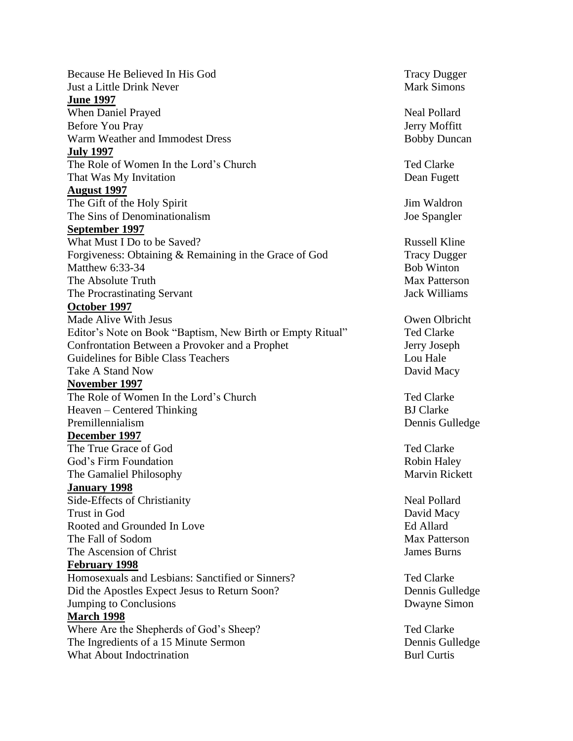Because He Believed In His God Tracy Dugger Just a Little Drink Never News Assembly 2008 and Mark Simons **June 1997** When Daniel Prayed Neal Pollard Before You Pray  $J$ erry Moffitt Warm Weather and Immodest Dress Bobby Duncan **July 1997** The Role of Women In the Lord's Church Ted Clarke Ted Clarke That Was My Invitation **Dean Fugett August 1997** The Gift of the Holy Spirit Jim Waldron The Sins of Denominationalism Joe Spangler **September 1997** What Must I Do to be Saved? The Same Section of the Saved Section 2. All sections are set of the Russell Kline Forgiveness: Obtaining & Remaining in the Grace of God Tracy Dugger Matthew 6:33-34 Bob Winton The Absolute Truth The Secret Association of the Max Patterson The Procrastinating Servant Jack Williams **October 1997** Made Alive With Jesus **Owen Olbricht** Owen Olbricht Editor's Note on Book "Baptism, New Birth or Empty Ritual" Ted Clarke Confrontation Between a Provoker and a Prophet Jerry Joseph Guidelines for Bible Class Teachers **Louis Contract Contract Contract Contract Contract Contract Contract Contract Contract Contract Contract Contract Contract Contract Contract Contract Contract Contract Contract Contract** Take A Stand Now David Macy **November 1997** The Role of Women In the Lord's Church Ted Clarke Ted Clarke Heaven – Centered Thinking and BJ Clarke Premillennialism Dennis Gulledge **December 1997** The True Grace of God Ted Clarke God's Firm Foundation<br>
The Gamaliel Philosophy<br>
The Gamaliel Philosophy The Gamaliel Philosophy **January 1998** Side-Effects of Christianity Neal Pollard Trust in God **David Macy** Rooted and Grounded In Love **Ed Allard** The Fall of Sodom **Max Patterson** The Ascension of Christ Christ James Burns James Burns **February 1998** Homosexuals and Lesbians: Sanctified or Sinners? Ted Clarke Did the Apostles Expect Jesus to Return Soon? Dennis Gulledge Jumping to Conclusions Dwayne Simon **March 1998** Where Are the Shepherds of God's Sheep? Ted Clarke The Ingredients of a 15 Minute Sermon Dennis Gulledge What About Indoctrination **Burl Curtis** Burl Curtis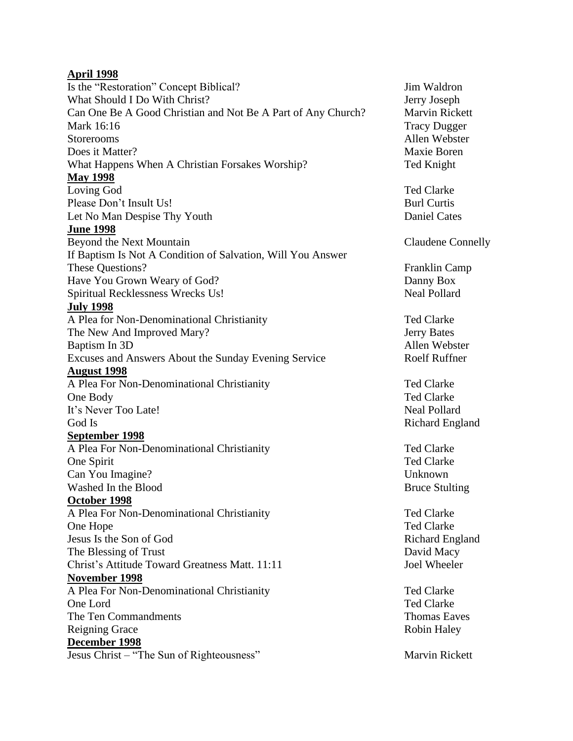### **April 1998**

Is the "Restoration" Concept Biblical? Jim Waldron What Should I Do With Christ? Jerry Joseph Can One Be A Good Christian and Not Be A Part of Any Church? Marvin Rickett Mark 16:16 Tracy Dugger Storerooms Allen Webster Does it Matter? Maxie Boren Maxie Boren Maxie Boren Maxie Boren Maxie Boren Maxie Boren Maxie Boren Maxie Boren Maxie Boren Maxie Boren Maxie Boren Maxie Boren Maxie Boren Maxie Boren Maxie Boren Maxie Boren Maxie Boren Ma What Happens When A Christian Forsakes Worship? Ted Knight **May 1998** Loving God Ted Clarke Please Don't Insult Us! Burl Curtis Burl Curtis Let No Man Despise Thy Youth Daniel Cates **June 1998** Beyond the Next Mountain Claudene Connelly If Baptism Is Not A Condition of Salvation, Will You Answer These Questions? Franklin Camp Have You Grown Weary of God? Danny Box Spiritual Recklessness Wrecks Us! Neal Pollard **July 1998** A Plea for Non-Denominational Christianity Ted Clarke The New And Improved Mary? Jerry Bates Baptism In 3D Allen Webster Excuses and Answers About the Sunday Evening Service Roelf Ruffner **August 1998** A Plea For Non-Denominational Christianity Ted Clarke One Body Ted Clarke It's Never Too Late! Some Contract the Second Late of the Neal Pollard God Is **Richard England September 1998** A Plea For Non-Denominational Christianity Ted Clarke One Spirit Ted Clarke Can You Imagine? Unknown Washed In the Blood Bruce Stulting **October 1998** A Plea For Non-Denominational Christianity Ted Clarke One Hope Ted Clarke Jesus Is the Son of God Richard England The Blessing of Trust The Blessing of Trust David Macy Christ's Attitude Toward Greatness Matt. 11:11 Joel Wheeler **November 1998** A Plea For Non-Denominational Christianity Ted Clarke One Lord Ted Clarke The Ten Commandments Thomas Eaves Reigning Grace Robin Haley **December 1998** Jesus Christ – "The Sun of Righteousness" Marvin Rickett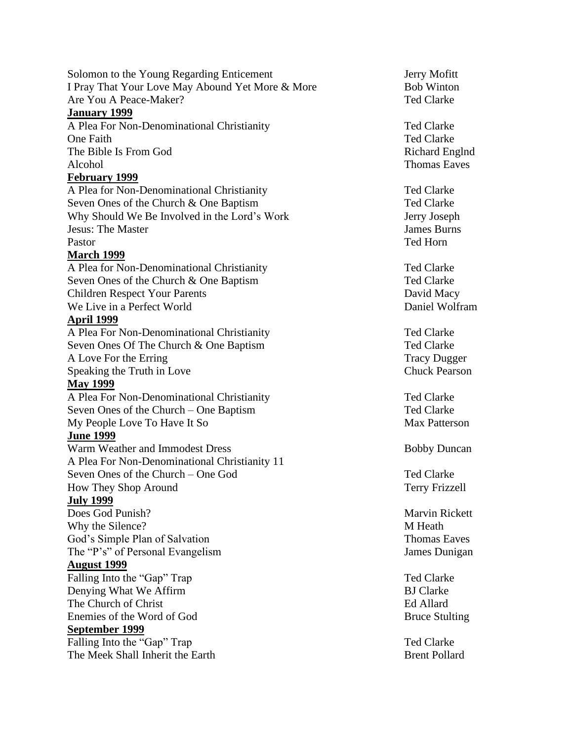Solomon to the Young Regarding Enticement Jerry Mofitt I Pray That Your Love May Abound Yet More & More Bob Winton Are You A Peace-Maker? The Teacher of the Second Late Teacher and Ted Clarke

### **January 1999**

A Plea For Non-Denominational Christianity Ted Clarke One Faith Ted Clarke The Bible Is From God **Richard Englnd** Richard Englnd Alcohol Thomas Eaves

# **February 1999**

A Plea for Non-Denominational Christianity Ted Clarke Seven Ones of the Church & One Baptism Ted Clarke Why Should We Be Involved in the Lord's Work Jerry Joseph **Jesus: The Master** James Burns **James Burns** Pastor Ted Horn

## **March 1999**

A Plea for Non-Denominational Christianity Ted Clarke Seven Ones of the Church & One Baptism Ted Clarke Children Respect Your Parents David Macy We Live in a Perfect World Daniel Wolfram

### **April 1999**

A Plea For Non-Denominational Christianity Ted Clarke Seven Ones Of The Church & One Baptism Ted Clarke A Love For the Erring Tracy Dugger Speaking the Truth in Love Chuck Pearson

#### **May 1999**

A Plea For Non-Denominational Christianity Ted Clarke Seven Ones of the Church – One Baptism Ted Clarke My People Love To Have It So Max Patterson

## **June 1999**

Warm Weather and Immodest Dress Bobby Duncan A Plea For Non-Denominational Christianity 11 Seven Ones of the Church – One God Ted Clarke How They Shop Around Terry Frizzell

## **July 1999**

**Does God Punish?** Marvin Rickett Why the Silence? M Heath God's Simple Plan of Salvation Thomas Eaves The "P's" of Personal Evangelism James Dunigan

#### **August 1999**

Falling Into the "Gap" Trap Ted Clarke Denying What We Affirm BJ Clarke The Church of Christ Ed Allard Enemies of the Word of God Bruce Stulting **September 1999** Falling Into the "Gap" Trap Ted Clarke

The Meek Shall Inherit the Earth Brent Pollard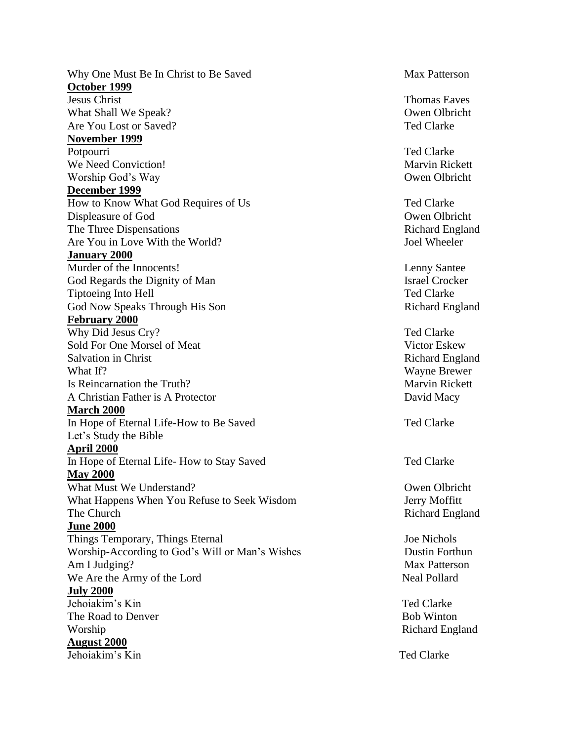Why One Must Be In Christ to Be Saved Max Patterson **October 1999** Jesus Christ Thomas Eaves What Shall We Speak? Owen Olbricht Are You Lost or Saved? The Saved Clarke Service Saved Are You Lost or Saved New You Lost or Saved New You Lost or Saved New You Lost or Saved New You Lost or Saved New You Lost or Saved New You Lost or Saved New You Lost o **November 1999** Potpourri Ted Clarke We Need Conviction! Marvin Rickett Worship God's Way **Owen Olbricht December 1999** How to Know What God Requires of Us Ted Clarke Displeasure of God Owen Olbricht The Three Dispensations Richard England Are You in Love With the World? Joel Wheeler **January 2000** Murder of the Innocents! Lenny Santee God Regards the Dignity of Man Israel Crocker Tiptoeing Into Hell Ted Clarke God Now Speaks Through His Son Richard England **February 2000** Why Did Jesus Cry? Ted Clarke Sold For One Morsel of Meat
Victor Eskew
Victor Eskew
Victor
and Victor
Eskew
Victor

Sold
For
One

Norsel  $\alpha$   $\alpha$   $\alpha$   $\alpha$   $\alpha$   $\alpha$   $\alpha$   $\alpha$   $\alpha$   $\alpha$   $\alpha$   $\alpha$   $\alpha$   $\alpha$   $\alpha$   $\alpha$   $\alpha$   $\alpha$   $\alpha$  Salvation in Christ Richard England What If? Wayne Brewer Is Reincarnation the Truth? Marvin Rickett A Christian Father is A Protector David Macy **March 2000** In Hope of Eternal Life-How to Be Saved Ted Clarke Let's Study the Bible **April 2000** In Hope of Eternal Life- How to Stay Saved Ted Clarke **May 2000** What Must We Understand? **Owen Olbricht** Owen Olbricht What Happens When You Refuse to Seek Wisdom Jerry Moffitt The Church Richard England **June 2000** Things Temporary, Things Eternal Joe Nichols Worship-According to God's Will or Man's Wishes Dustin Forthun Am I Judging? Max Patterson We Are the Army of the Lord Neal Pollard **July 2000** Jehoiakim's Kin Ted Clarke The Road to Denver **Bob Winton** Worship Richard England **August 2000** Jehoiakim's Kin Ted Clarke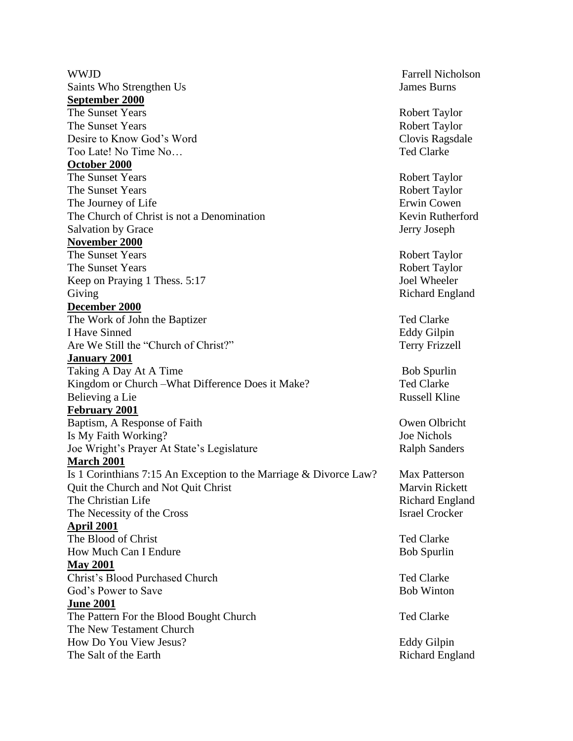WWJD Farrell Nicholson Saints Who Strengthen Us James Burns **September 2000** The Sunset Years Robert Taylor The Sunset Years Robert Taylor Desire to Know God's Word Clovis Ragsdale Too Late! No Time No… **October 2000** The Sunset Years Robert Taylor The Sunset Years Robert Taylor The Journey of Life **Erwin** Cowen The Church of Christ is not a Denomination Kevin Rutherford Salvation by Grace Jerry Joseph **November 2000** The Sunset Years Robert Taylor The Sunset Years Robert Taylor Keep on Praying 1 Thess. 5:17 Joel Wheeler Giving **Richard England** Richard England **December 2000** The Work of John the Baptizer Ted Clarke I Have Sinned **Eddy Gilpin** Are We Still the "Church of Christ?" Terry Frizzell **January 2001** Taking A Day At A Time Bob Spurlin Kingdom or Church –What Difference Does it Make? Ted Clarke Believing a Lie Russell Kline **February 2001** Baptism, A Response of Faith Owen Olbricht Is My Faith Working? Joe Nichols Joe Wright's Prayer At State's Legislature Ralph Sanders **March 2001** Is 1 Corinthians 7:15 An Exception to the Marriage  $& Divorce Law?$  Max Patterson Quit the Church and Not Quit Christ Marvin Rickett The Christian Life Richard England The Necessity of the Cross Israel Crocker **April 2001** The Blood of Christ The Blood of Christ Ted Clarke How Much Can I Endure Bob Spurlin **May 2001** Christ's Blood Purchased Church Ted Clarke God's Power to Save Bob Winton **June 2001** The Pattern For the Blood Bought Church Ted Clarke The New Testament Church How Do You View Jesus? Eddy Gilpin The Salt of the Earth Richard England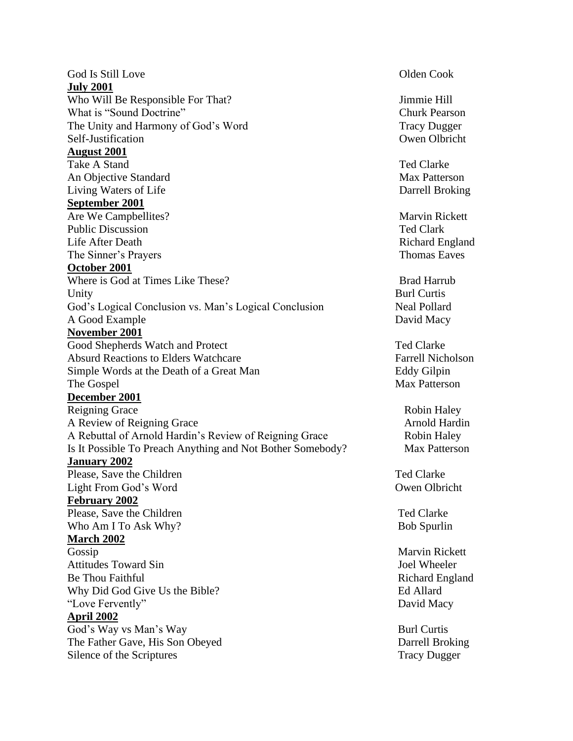God Is Still Love **Olden** Cook **July 2001** Who Will Be Responsible For That? Jimmie Hill What is "Sound Doctrine" Churk Pearson The Unity and Harmony of God's Word Tracy Dugger Self-Justification Owen Olbricht **August 2001** Take A Stand Ted Clarke An Objective Standard Max Patterson Living Waters of Life Darrell Broking **September 2001** Are We Campbellites? Marvin Rickett Public Discussion Ted Clark Life After Death Richard England The Sinner's Prayers Thomas Eaves **October 2001** Where is God at Times Like These? Unity **Burl Curtis** God's Logical Conclusion vs. Man's Logical Conclusion Neal Pollard A Good Example David Macy **November 2001** Good Shepherds Watch and Protect Ted Clarke Absurd Reactions to Elders Watchcare Farrell Nicholson Simple Words at the Death of a Great Man Eddy Gilpin The Gospel Max Patterson **December 2001** Reigning Grace Robin Haley A Review of Reigning Grace Arnold Hardin A Rebuttal of Arnold Hardin's Review of Reigning Grace Robin Haley Is It Possible To Preach Anything and Not Bother Somebody? Max Patterson **January 2002** Please, Save the Children Ted Clarke Light From God's Word Owen Olbricht **February 2002** Please, Save the Children Ted Clarke Who Am I To Ask Why? Bob Spurlin **March 2002** Gossip Marvin Rickett Attitudes Toward Sin and Society and Society and Society and Society and Society and Society and Society and Society and Society and Society and Society and Society and Society and Society and Society and Society and Socie Be Thou Faithful **Richard England** Richard England Why Did God Give Us the Bible? Ed Allard "Love Fervently" David Macy **April 2002** God's Way vs Man's Way Burl Curtis The Father Gave, His Son Obeyed Darrell Broking Silence of the Scriptures Tracy Dugger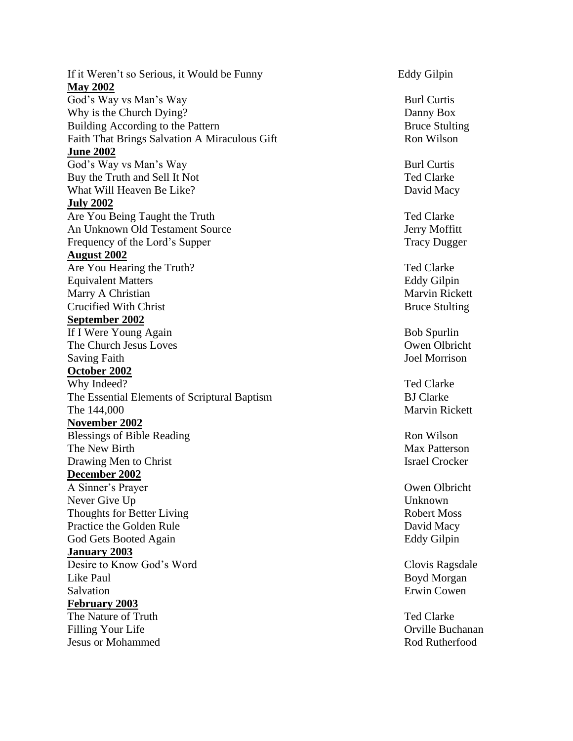If it Weren't so Serious, it Would be **May 2002** God's Way vs Man's Way Burl Curtis Why is the Church Dying? Danny Box Building According to Faith That Brings Salvation A Miraculous Gift Ron Wilson **June 2002** God's Way vs Man's Way Burl Curtis Buy the Truth and Sell It What Will Heaven Be **July 2002** Are You Being Taught An Unknown Old Testament Source Jerry Moffitt Frequency of the Lord's Supper Tracy Dugger **August 2002** Are You Hearing the Equivalent Matters Eddy Gilpin Marry A Christian **Crucified With Christ September 2002** If I Were Young Again **Bob Spurlin** The Church Jesus Loves **Owen** Owen Olbricht Saving Faith Saving Saving Saving Saving Saving Saving Saving Saving Saving Saving Saving Saving Saving Saving Saving Saving Saving Saving Saving Saving Saving Saving Saving Saving Saving Saving Saving Saving Saving Saving **October 2002** Why Indeed? Ted Clarke The Essential Elements of Scriptural Baptism BJ Clarke The 144,000 **November 2002** Blessings of Bible Reading Ron Wilson The New Birth Max Patterson Drawing Men to Christ Israel Crocker **December 2002** A Sinner's Prayer Owen Olbricht Never Give U Thoughts for Better Living Thoughts for Better Living Practice the Golden Rule **David Macy** God Gets Booted Again **Eddy Gilpin** Eddy Gilpin **January 2003** Desire to Know God's Word Clovis Ragsdale Like Paul Boyd Morgan Salvation **Example 2018** Salvation **Example 2018** Salvation **Example 2018 February 2003** The Nature of Truth The Nature of Truth Ted Clarke **Filling Your Life** Jesus or Mohammed Rod Rutherfood

Eddy Gilpin

Bruce Stulting

Ted Clarke David Macy

Ted Clarke

Ted Clarke **Marvin Rickett Bruce Stulting** 

Marvin Rickett

**Unknown** 

Orville Buchanan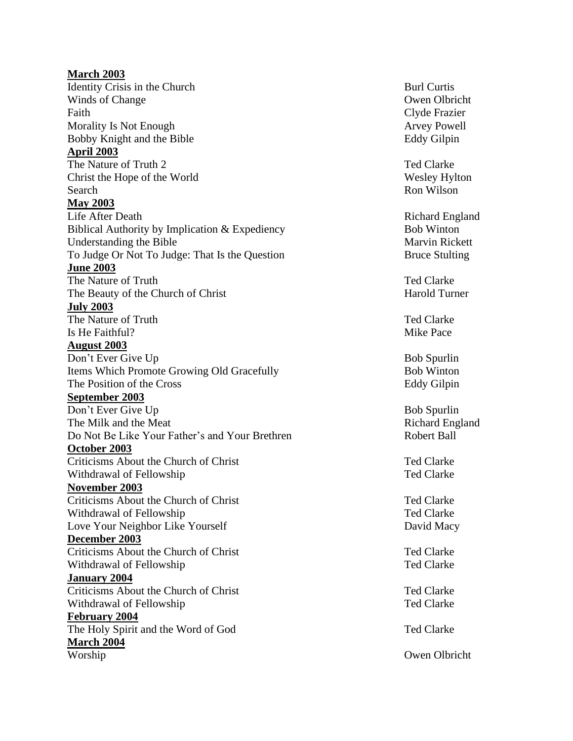**March 2003** Identity Crisis in the Church Burl Curtis Winds of Change Owen Olbricht Faith Clyde Frazier Morality Is Not Enough **Arrival** Arvey Powell Bobby Knight and **April 2003** The Nature of Truth 2 Ted Clarke Christ the Hope of Search Ron Wilson **May 2003 Life After Death** Biblical Authority by Implication & Expediency Bob Winton Understanding the Bible To Judge Or Not To Judge: That Is **June 2003** The Nature of Truth The Nature of Truth Ted Clarke The Beauty of the Church of Christ The Beauty of the Church of Christ **July 2003** The Nature of Truth Ted Clarke Is He Faithful? Mike Pace **August 2003** Don't Ever Give U Items Which Promote Growing Old Gracefully Bob Winton The Position of the Cross **September 2003** Don't Ever Give The Milk and the Meat Do Not Be Like Your Father's and Your Brethren Robert Ball **October 2003** Criticisms About the Church of Christ Ted Clarke Withdrawal of Fellowship Ted Clarke **November 2003** Criticisms About the Church of Christ Ted Clarke Withdrawal of Fellowship Ted Clarke Love Your Neighbor Like Yourself David Macy **December 2003** Criticisms About the Church of Christ Ted Clarke Withdrawal of Fellowship Ted Clarke **January 2004** Criticisms About the Church of Christ Ted Clarke Withdrawal of Fellowship Ted Clarke **February 2004** The Holy Spirit and the Word of God The Holy Spirit and the Word of God Ted Clarke **March 2004** Worship Owen Olbricht

Eddy Gilpin

Wesley Hylton

Richard England Marvin Rickett Bruce Stulting

Bob Spurlin Eddy Gilpin

Bob Spurlin Richard England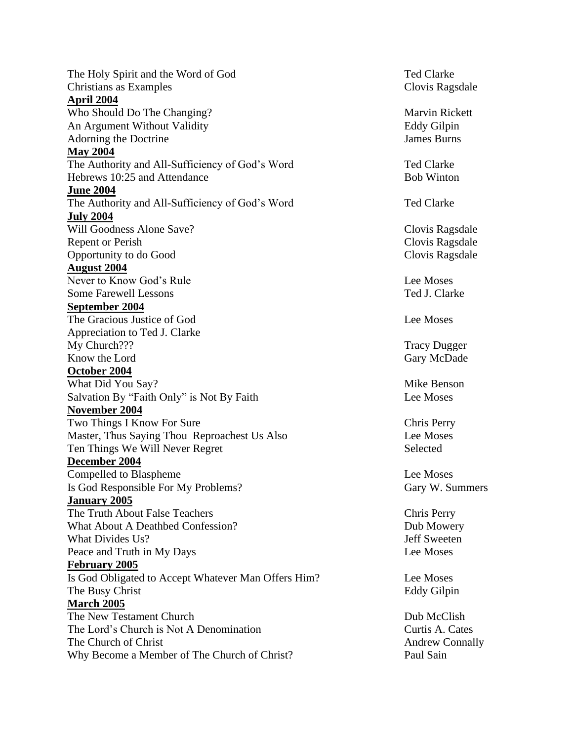The Holy Spirit and the Word of God Ted Clarke Christians as Examples Clovis Ragsdale **April 2004** Who Should Do The Changing? Marvin Rickett An Argument Without Validity **Eddy Gilpin** Adorning the Doctrine James Burns **May 2004** The Authority and All-Sufficiency of God's Word Ted Clarke Hebrews 10:25 and Attendance Bob Winton **June 2004** The Authority and All-Sufficiency of God's Word Ted Clarke **July 2004** Will Goodness Alone Save? Clovis Ragsdale Repent or Perish Clovis Ragsdale Opportunity to do Good Clovis Ragsdale **August 2004** Never to Know God's Rule Lee Moses Some Farewell Lessons Ted J. Clarke **September 2004** The Gracious Justice of God Lee Moses Appreciation to Ted J. Clarke My Church??? Tracy Dugger Know the Lord Gary McDade Gary McDade Gary McDade Gary McDade Gary McDade Gary McDade Gary McDade Gary McDade Gary McDade Gary McDade Gary McDade Gary McDade Gary McDade Gary McDade Gary McDade Gary McDade Gary McDade Gary **October 2004** What Did You Say? Mike Benson Salvation By "Faith Only" is Not By Faith  $\blacksquare$ **November 2004** Two Things I Know For Sure Chris Perry Master, Thus Saying Thou Reproachest Us Also Lee Moses Ten Things We Will Never Regret Selected **December 2004 Compelled to Blaspheme** Lee Moses Is God Responsible For My Problems? Gary W. Summers **January 2005** The Truth About False Teachers Chris Perry What About A Deathbed Confession? Dub Mowery What Divides Us? Jeff Sweeten Peace and Truth in My Days **Lee Moses February 2005** Is God Obligated to Accept Whatever Man Offers Him? Lee Moses The Busy Christ Eddy Gilpin **March 2005** The New Testament Church The New Testament Church Dub McClish The Lord's Church is Not A Denomination Curtis A. Cates The Church of Christ Andrew Connally Why Become a Member of The Church of Christ? Paul Sain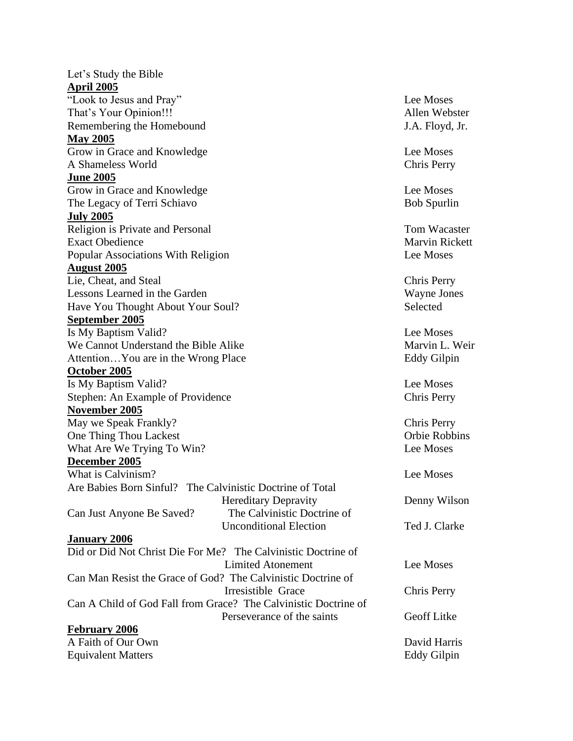Let's Study the Bible **April 2005** "Look to Jesus and Pray" Lee Moses That's Your Opinion!!! Allen Webster Remembering the Homebound J.A. Floyd, Jr. **May 2005** Grow in Grace and Knowledge **Lee Moses** A Shameless World Chris Perry **June 2005** Grow in Grace and Knowledge **Lee Moses** The Legacy of Terri Schiavo Bob Spurlin **July 2005** Religion is Private and Personal Tom Wacaster Tom Wacaster Exact Obedience Marvin Rickett Popular Associations With Religion Lee Moses **August 2005** Lie, Cheat, and Steal Chris Perry Lessons Learned in the Garden Wayne Jones Have You Thought About Your Soul? Selected **September 2005** Is My Baptism Valid? Lee Moses We Cannot Understand the Bible Alike Marvin L. Weir Attention... You are in the Wrong Place Eddy Gilpin **October 2005** Is My Baptism Valid? Lee Moses Stephen: An Example of Providence Chris Perry **November 2005** May we Speak Frankly? Chris Perry One Thing Thou Lackest **Orbie Robbins** Orbie Robbins What Are We Trying To Win? Lee Moses **December 2005** What is Calvinism? Are Babies Born Sinful? The Calvinistic Doctrine of Total Hereditary Depravity Denny Wilson Can Just Anyone Be Saved? The Calvinistic Doctrine of Unconditional Election Ted J. Clarke **January 2006** Did or Did Not Christ Die For Me? The Calvinistic Doctrine of Limited Atonement Lee Moses Can Man Resist the Grace of God? The Calvinistic Doctrine of Irresistible Grace Chris Perry Can A Child of God Fall from Grace? The Calvinistic Doctrine of Perseverance of the saints Geoff Litke **February 2006** A Faith of Our Own David Harris Equivalent Matters Eddy Gilpin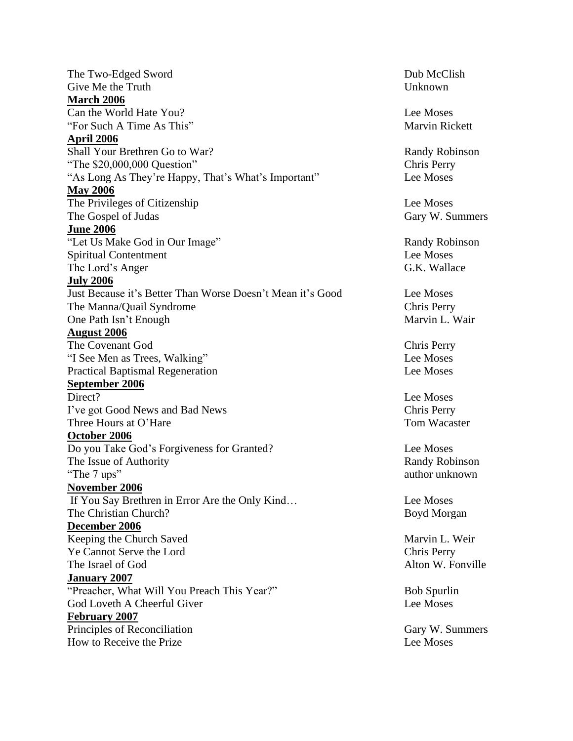The Two-Edged Sword **Dub McClish** Give Me the Truth Unknown **March 2006** Can the World Hate You? Lee Moses "For Such A Time As This" Marvin Rickett **April 2006** Shall Your Brethren Go to War? Randy Robinson "The \$20,000,000 Question" Chris Perry "As Long As They're Happy, That's What's Important" Lee Moses **May 2006** The Privileges of Citizenship Lee Moses The Gospel of Judas Gary W. Summers **June 2006** "Let Us Make God in Our Image" Randy Robinson Spiritual Contentment Lee Moses The Lord's Anger G.K. Wallace **July 2006** Just Because it's Better Than Worse Doesn't Mean it's Good Lee Moses The Manna/Quail Syndrome Chris Perry One Path Isn't Enough Marvin L. Wair **August 2006** The Covenant God Chris Perry "I See Men as Trees, Walking" Lee Moses Practical Baptismal Regeneration Lee Moses **September 2006** Direct? Lee Moses I've got Good News and Bad News Chris Perry Three Hours at O'Hare Tom Wacaster **October 2006** Do you Take God's Forgiveness for Granted? Lee Moses The Issue of Authority Randy Robinson "The 7 ups" author unknown **November 2006** If You Say Brethren in Error Are the Only Kind… Lee Moses The Christian Church? Boyd Morgan **December 2006** Keeping the Church Saved Marvin L. Weir Ye Cannot Serve the Lord Chris Perry The Israel of God Alton W. Fonville **January 2007** "Preacher, What Will You Preach This Year?" Bob Spurlin God Loveth A Cheerful Giver Lee Moses **February 2007** Principles of Reconciliation Gary W. Summers How to Receive the Prize Theorem and the Lee Moses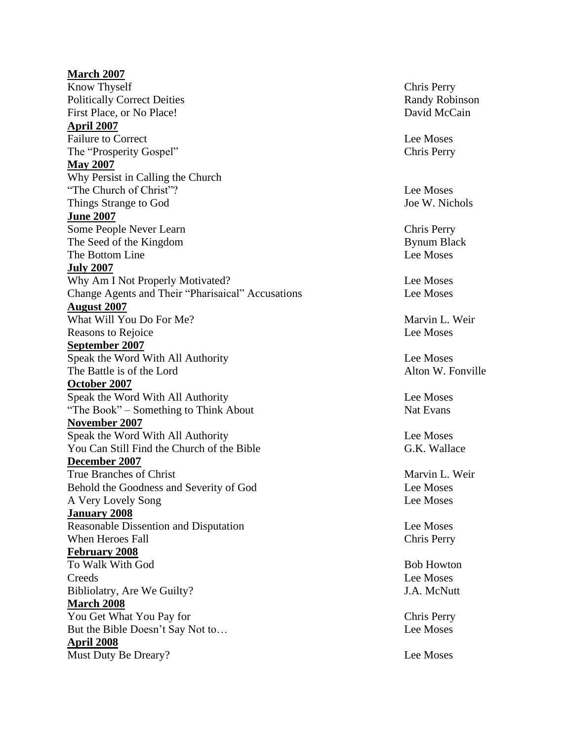## **March 2007** Know Thyself Chris Perry Politically Correct Deities Randy Robinson First Place, or No Place! David McCain **April 2007** Failure to Correct Lee Moses The "Prosperity Gospel" Chris Perry **May 2007** Why Persist in Calling the Church "The Church of Christ"? Lee Moses Things Strange to God Joe W. Nichols **June 2007** Some People Never Learn Chris Perry The Seed of the Kingdom Bynum Black The Bottom Line **Lee Moses July 2007** Why Am I Not Properly Motivated? Lee Moses Change Agents and Their "Pharisaical" Accusations Lee Moses **August 2007** What Will You Do For Me? Marvin L. Weir Reasons to Rejoice Lee Moses **September 2007** Speak the Word With All Authority Lee Moses The Battle is of the Lord **Alton W. Fonville October 2007** Speak the Word With All Authority Lee Moses "The Book" – Something to Think About Nat Evans **November 2007** Speak the Word With All Authority Lee Moses You Can Still Find the Church of the Bible G.K. Wallace **December 2007** True Branches of Christ Marvin L. Weir Behold the Goodness and Severity of God Lee Moses A Very Lovely Song Lee Moses **January 2008** Reasonable Dissention and Disputation **Lee Moses** When Heroes Fall **Chris Perry** Chris Perry **February 2008** To Walk With God Bob Howton Bob Howton Creeds Lee Moses Bibliolatry, Are We Guilty? J.A. McNutt **March 2008** You Get What You Pay for The Chris Perry But the Bible Doesn't Say Not to... Lee Moses **April 2008** Must Duty Be Dreary? Lee Moses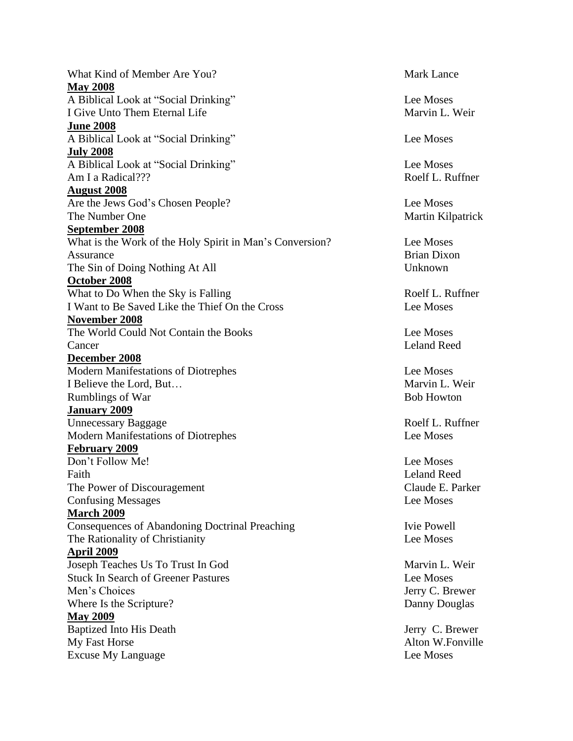What Kind of Member Are You? **May 2008** A Biblical Look at "Social Drinking" Lee Moses I Give Unto Them Eternal Life Marvin L. Weir **June 2008** A Biblical Look at "Social Drinking" Lee Moses **July 2008** A Biblical Look at "Social Drinking" Lee Moses Am I a Radical??? **Roelf L. Ruffner August 2008** Are the Jews God's Chosen People? Lee Moses The Number One Martin Kilpatrick **September 2008** What is the Work of the Holy Spirit in Man's Conversion? Lee Moses Assurance Brian Dixon The Sin of Doing Nothing At All Unknown **October 2008** What to Do When the Sky is Falling Roelf L. Ruffner I Want to Be Saved Like the Thief On the Cross Lee Moses **November 2008** The World Could Not Contain the Books Lee Moses Cancer Leland Reed **December 2008** Modern Manifestations of Diotrephes Lee Moses I Believe the Lord, But... Name of the Lord and Solution and Marvin L. Weir Rumblings of War Bob Howton **January 2009** Unnecessary Baggage Roelf L. Ruffner Modern Manifestations of Diotrephes Lee Moses **February 2009** Don't Follow Me! Lee Moses Faith Leland Reed The Power of Discouragement Claude E. Parker **Confusing Messages** Lee Moses **March 2009** Consequences of Abandoning Doctrinal Preaching Ivie Powell The Rationality of Christianity **Lee Moses April 2009** Joseph Teaches Us To Trust In God Marvin L. Weir Stuck In Search of Greener Pastures Lee Moses Men's Choices Jerry C. Brewer Where Is the Scripture? Danny Douglas **May 2009** Baptized Into His Death Jerry C. Brewer My Fast Horse Alton W.Fonville Excuse My Language Lee Moses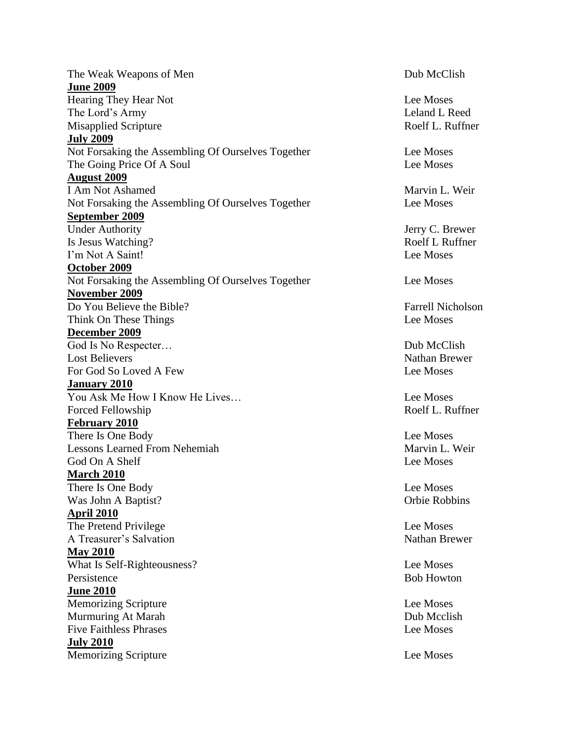The Weak Weapons of Men Dub McClish **June 2009** Hearing They Hear Not Lee Moses The Lord's Army Leland L Reed Misapplied Scripture Roelf L. Ruffner **July 2009** Not Forsaking the Assembling Of Ourselves Together Lee Moses The Going Price Of A Soul Lee Moses **August 2009** I Am Not Ashamed Marvin L. Weir Not Forsaking the Assembling Of Ourselves Together Lee Moses **September 2009** Under Authority Jerry C. Brewer Is Jesus Watching? Roelf L Ruffner I'm Not A Saint! Lee Moses **October 2009** Not Forsaking the Assembling Of Ourselves Together Lee Moses **November 2009** Do You Believe the Bible? Farrell Nicholson Think On These Things Lee Moses **December 2009** God Is No Respecter… Dub McClish Lost Believers Nathan Brewer For God So Loved A Few Lee Moses **January 2010** You Ask Me How I Know He Lives… Lee Moses Forced Fellowship Roelf L. Ruffner **February 2010** There Is One Body Lee Moses Lessons Learned From Nehemiah Marvin L. Weir God On A Shelf Lee Moses **March 2010** There Is One Body Lee Moses Was John A Baptist? Orbie Robbins **April 2010** The Pretend Privilege Lee Moses A Treasurer's Salvation Nathan Brewer **May 2010** What Is Self-Righteousness? Lee Moses Persistence Bob Howton Bob Howton **June 2010** Memorizing Scripture Lee Moses Murmuring At Marah Dub Mcclish Five Faithless Phrases **Lee Moses** Lee Moses **July 2010** Memorizing Scripture Lee Moses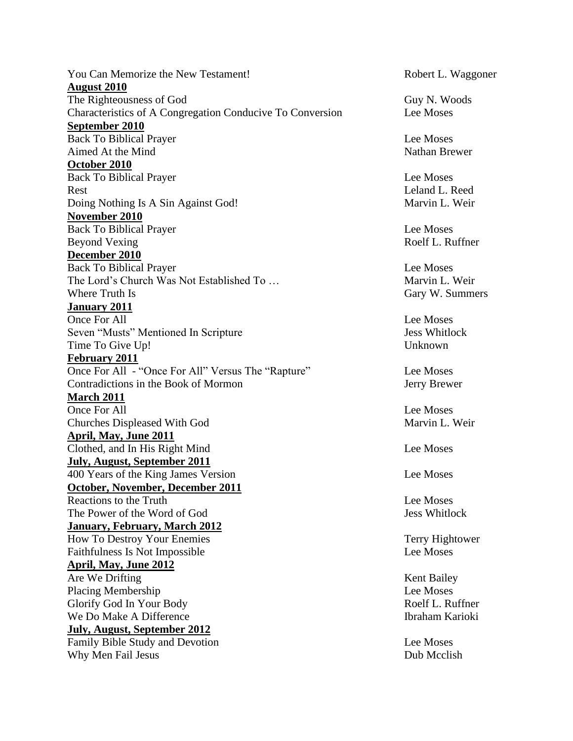You Can Memorize the New Testament! Robert L. Waggoner **August 2010** The Righteousness of God Guy N. Woods Characteristics of A Congregation Conducive To Conversion Lee Moses **September 2010** Back To Biblical Prayer Lee Moses Aimed At the Mind Nathan Brewer **October 2010** Back To Biblical Prayer Lee Moses Rest Leland L. Reed Doing Nothing Is A Sin Against God! Marvin L. Weir **November 2010** Back To Biblical Prayer Lee Moses Beyond Vexing Roelf L. Ruffner **December 2010** Back To Biblical Prayer Lee Moses The Lord's Church Was Not Established To … Marvin L. Weir Where Truth Is Gary W. Summers **January 2011** Once For All **Lee Moses** Seven "Musts" Mentioned In Scripture Jess Whitlock Time To Give Up! Unknown **February 2011** Once For All - "Once For All" Versus The "Rapture" Lee Moses Contradictions in the Book of Mormon Jerry Brewer **March 2011** Once For All Lee Moses Churches Displeased With God Marvin L. Weir **April, May, June 2011** Clothed, and In His Right Mind Lee Moses **July, August, September 2011** 400 Years of the King James Version Lee Moses **October, November, December 2011** Reactions to the Truth **Lee Moses** The Power of the Word of God Jess Whitlock **January, February, March 2012** How To Destroy Your Enemies Terry Hightower Faithfulness Is Not Impossible Lee Moses **April, May, June 2012** Are We Drifting Kent Bailey Placing Membership Lee Moses Glorify God In Your Body Roelf L. Ruffner We Do Make A Difference **Ibraham Karioki** Ibraham Karioki **July, August, September 2012** Family Bible Study and Devotion Lee Moses Why Men Fail Jesus Dub Mcclish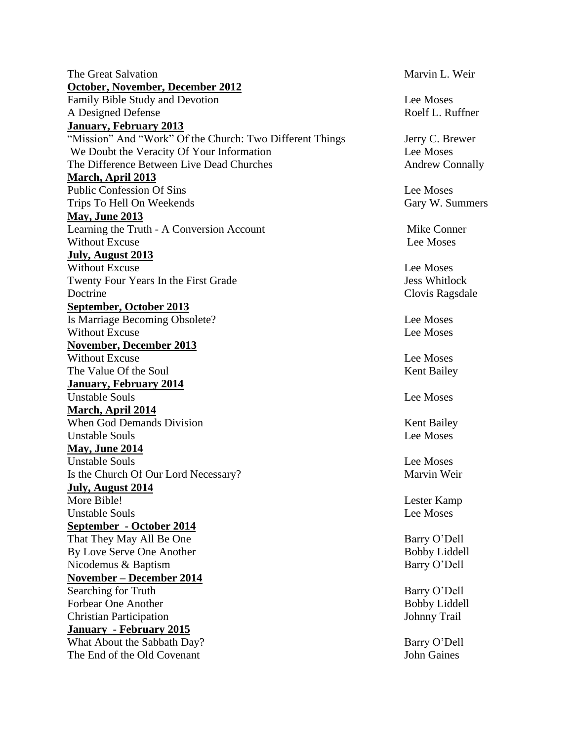The Great Salvation and American Marvin L. Weir **October, November, December 2012** Family Bible Study and Devotion Lee Moses A Designed Defense Roelf L. Ruffner **January, February 2013** "Mission" And "Work" Of the Church: Two Different Things Jerry C. Brewer We Doubt the Veracity Of Your Information The Contract Lee Moses The Difference Between Live Dead Churches Andrew Connally **March, April 2013** Public Confession Of Sins Lee Moses Trips To Hell On Weekends Gary W. Summers **May, June 2013** Learning the Truth - A Conversion Account Mike Conner Without Excuse Lee Moses **July, August 2013** Without Excuse Lee Moses Twenty Four Years In the First Grade State State State State State State State State State State State State State State State State State State State State State State State State State State State State State State State Doctrine Clovis Ragsdale **September, October 2013** Is Marriage Becoming Obsolete? Lee Moses Without Excuse Lee Moses **November, December 2013** Without Excuse **Lee Moses** The Value Of the Soul The Value Of the Soul Kent Bailey **January, February 2014** Unstable Souls **Lee Moses March, April 2014** When God Demands Division Kent Bailey Unstable Souls **Lee Moses May, June 2014** Unstable Souls **Lee Moses** Is the Church Of Our Lord Necessary? Marvin Weir **July, August 2014** More Bible! Lester Kamp Unstable Souls **Lee Moses September - October 2014** That They May All Be One Barry O'Dell By Love Serve One Another Bobby Liddell Nicodemus & Baptism Barry O'Dell **November – December 2014** Searching for Truth Barry O'Dell Forbear One Another Bobby Liddell Christian Participation Johnny Trail **January - February 2015** What About the Sabbath Day? Barry O'Dell The End of the Old Covenant The End of the Old Covenant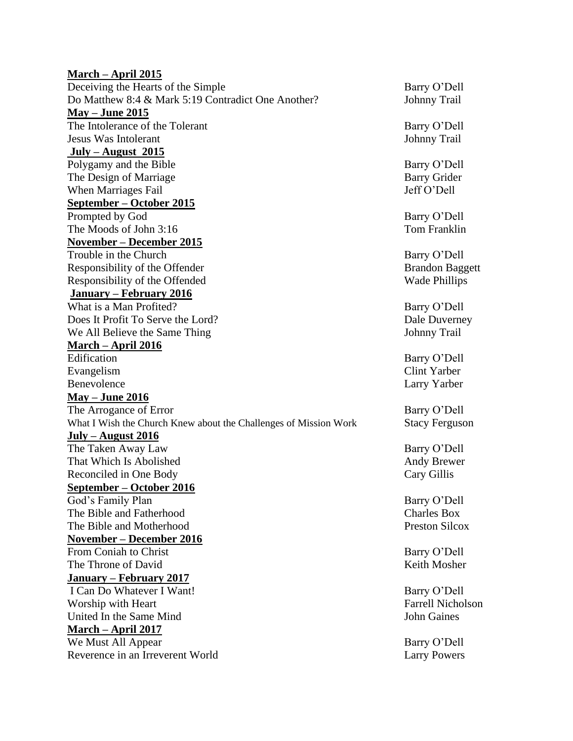## **March – April 2015**

Deceiving the Hearts of the Simple Barry O'Dell Do Matthew 8:4 & Mark 5:19 Contradict One Another? Johnny Trail **May – June 2015** The Intolerance of the Tolerant Barry O'Dell Jesus Was Intolerant Johnny Trail **July – August 2015** Polygamy and the Bible Barry O'Dell The Design of Marriage Barry Grider When Marriages Fail Jeff O'Dell **September – October 2015** Prompted by God Barry O'Dell The Moods of John 3:16 Tom Franklin **November – December 2015** Trouble in the Church Barry O'Dell Responsibility of the Offender Brandon Baggett Responsibility of the Offended Wade Phillips **January – February 2016** What is a Man Profited? Barry O'Dell Does It Profit To Serve the Lord? Dale Duverney We All Believe the Same Thing Johnny Trail **March – April 2016** Edification Barry O'Dell Evangelism Clint Yarber Benevolence Larry Yarber **May – June 2016** The Arrogance of Error Barry O'Dell What I Wish the Church Knew about the Challenges of Mission Work Stacy Ferguson **July – August 2016** The Taken Away Law Barry O'Dell That Which Is Abolished **Andy Brewer** Andy Brewer Reconciled in One Body Cary Gillis **September – October 2016** God's Family Plan Barry O'Dell The Bible and Fatherhood Charles Box The Bible and Motherhood **Preston Silcox** Preston Silcox **November – December 2016** From Coniah to Christ Barry O'Dell The Throne of David The Throne of David **January – February 2017** I Can Do Whatever I Want! Barry O'Dell Worship with Heart **Facture 1** and the set of the set of the Farrell Nicholson United In the Same Mind **John Gaines** John Gaines **March – April 2017** We Must All Appear Barry O'Dell Reverence in an Irreverent World Larry Powers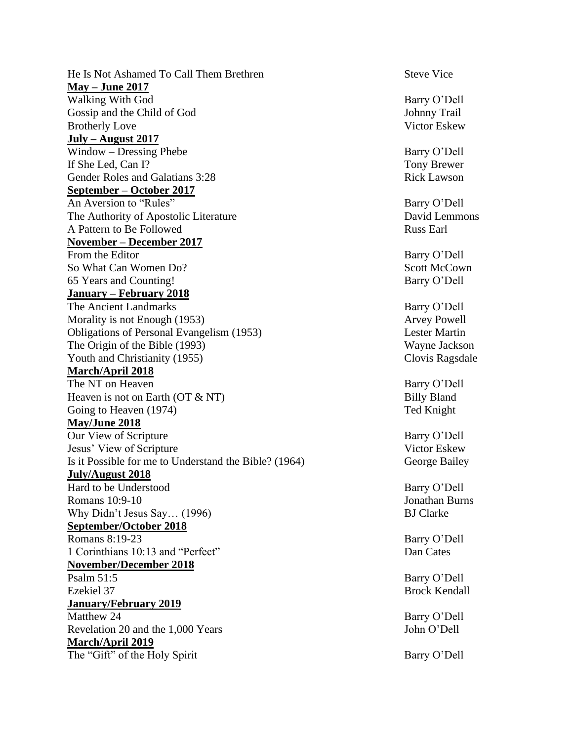He Is Not Ashamed To Call Them Brethren Steve Vice **May – June 2017** Walking With God Barry O'Dell Gossip and the Child of God Johnny Trail Brotherly Love Victor Eskew **July – August 2017** Window – Dressing Phebe Barry O'Dell If She Led, Can I? Tony Brewer Gender Roles and Galatians 3:28 Rick Lawson **September – October 2017** An Aversion to "Rules" and the same of the Barry O'Dell The Authority of Apostolic Literature David Lemmons A Pattern to Be Followed **Russ Earl** Russ Earl **November – December 2017** From the Editor Barry O'Dell So What Can Women Do? Scott McCown 65 Years and Counting! Barry O'Dell **January – February 2018** The Ancient Landmarks Barry O'Dell Morality is not Enough (1953) Arvey Powell Obligations of Personal Evangelism (1953) Lester Martin The Origin of the Bible (1993) Wayne Jackson Youth and Christianity (1955) Clovis Ragsdale **March/April 2018** The NT on Heaven Barry O'Dell Heaven is not on Earth (OT & NT) Billy Bland Going to Heaven (1974) Ted Knight **May/June 2018** Our View of Scripture Barry O'Dell Jesus' View of Scripture Victor Eskew Is it Possible for me to Understand the Bible? (1964) George Bailey **July/August 2018** Hard to be Understood Barry O'Dell Romans 10:9-10 Jonathan Burns Why Didn't Jesus Say... (1996) BJ Clarke **September/October 2018** Romans 8:19-23 Barry O'Dell 1 Corinthians 10:13 and "Perfect" Dan Cates **November/December 2018** Psalm 51:5 Barry O'Dell Ezekiel 37 Brock Kendall **January/February 2019** Matthew 24 Barry O'Dell Revelation 20 and the 1,000 Years John O'Dell **March/April 2019** The "Gift" of the Holy Spirit Barry O'Dell